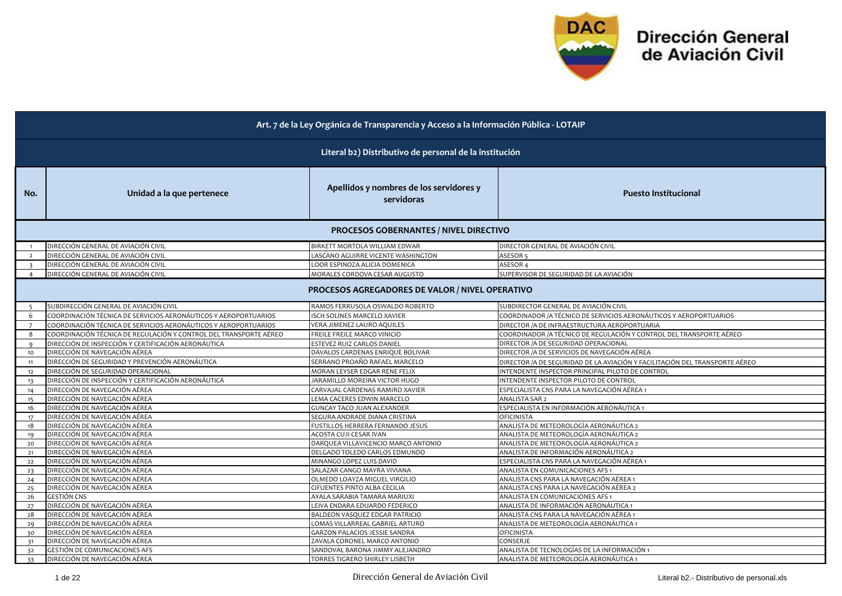

| Art. 7 de la Ley Orgánica de Transparencia y Acceso a la Información Pública - LOTAIP |                                                                   |                                                         |                                                                                 |  |
|---------------------------------------------------------------------------------------|-------------------------------------------------------------------|---------------------------------------------------------|---------------------------------------------------------------------------------|--|
|                                                                                       | Literal b2) Distributivo de personal de la institución            |                                                         |                                                                                 |  |
| No.                                                                                   | Unidad a la que pertenece                                         | Apellidos y nombres de los servidores y<br>servidoras   | <b>Puesto Institucional</b>                                                     |  |
|                                                                                       |                                                                   | <b>PROCESOS GOBERNANTES / NIVEL DIRECTIVO</b>           |                                                                                 |  |
| $\overline{1}$                                                                        | DIRECCIÓN GENERAL DE AVIACIÓN CIVIL                               | BIRKETT MORTOLA WILLIAM EDWAR                           | DIRECTOR GENERAL DE AVIACIÓN CIVIL                                              |  |
| $\overline{2}$                                                                        | DIRECCIÓN GENERAL DE AVIACIÓN CIVIL                               | LASCANO AGUIRRE VICENTE WASHINGTON                      | ASESOR <sub>5</sub>                                                             |  |
| $\overline{\mathbf{3}}$                                                               | DIRECCIÓN GENERAL DE AVIACIÓN CIVIL                               | LOOR ESPINOZA ALICIA DOMENICA                           | ASESOR 4                                                                        |  |
| $\overline{a}$                                                                        | DIRECCIÓN GENERAL DE AVIACIÓN CIVIL                               | MORALES CORDOVA CESAR AUGUSTO                           | SUPERVISOR DE SEGURIDAD DE LA AVIACIÓN                                          |  |
|                                                                                       |                                                                   | PROCESOS AGREGADORES DE VALOR / NIVEL OPERATIVO         |                                                                                 |  |
| -5                                                                                    | SUBDIRECCIÓN GENERAL DE AVIACIÓN CIVIL                            | RAMOS FERRUSOLA OSWALDO ROBERTO                         | SUBDIRECTOR GENERAL DE AVIACIÓN CIVIL                                           |  |
| 6                                                                                     | COORDINACIÓN TÉCNICA DE SERVICIOS AERONÁUTICOS Y AEROPORTUARIOS   | ISCH SOLINES MARCELO XAVIER                             | COORDINADOR / A TÉCNICO DE SERVICIOS AERONÁUTICOS Y AEROPORTUARIOS              |  |
| 7                                                                                     | COORDINACIÓN TÉCNICA DE SERVICIOS AERONÁUTICOS Y AEROPORTUARIOS   | VERA JIMENEZ LAURO AQUILES                              | DIRECTOR / A DE INFRAESTRUCTURA AEROPORTUARIA                                   |  |
| 8                                                                                     | COORDINACIÓN TÉCNICA DE REGULACIÓN Y CONTROL DEL TRANSPORTE AÉREO | FREILE FREILE MARCO VINICIO                             | COORDINADOR /A TÉCNICO DE REGULACIÓN Y CONTROL DEL TRANSPORTE AÉREO             |  |
| $\mathbf{Q}$                                                                          | DIRECCIÓN DE INSPECCIÓN Y CERTIFICACIÓN AERONÁUTICA               | ESTEVEZ RUIZ CARLOS DANIEL                              | DIRECTOR / A DE SEGURIDAD OPERACIONAL                                           |  |
| 10                                                                                    | DIRECCIÓN DE NAVEGACIÓN AÉREA                                     | DAVALOS CARDENAS ENRIQUE BOLIVAR                        | DIRECTOR / A DE SERVICIOS DE NAVEGACIÓN AÉREA                                   |  |
| 11                                                                                    | DIRECCIÓN DE SEGURIDAD Y PREVENCIÓN AERONÁUTICA                   | SERRANO PROAÑO RAFAEL MARCELO                           | DIRECTOR /A DE SEGURIDAD DE LA AVIACIÓN Y FACILITACIÓN DEL TRANSPORTE AÉREO     |  |
| 12                                                                                    | DIRECCIÓN DE SEGURIDAD OPERACIONAL                                | MORAN LEYSER EDGAR RENE FELIX                           | INTENDENTE INSPECTOR PRINCIPAL PILOTO DE CONTROL                                |  |
| 13                                                                                    | DIRECCIÓN DE INSPECCIÓN Y CERTIFICACIÓN AERONÁUTICA               | JARAMILLO MOREIRA VICTOR HUGO                           | INTENDENTE INSPECTOR PILOTO DE CONTROL                                          |  |
| 14                                                                                    | DIRECCIÓN DE NAVEGACIÓN AÉREA                                     | CARVAJAL CARDENAS RAMIRO XAVIER                         | ESPECIALISTA CNS PARA LA NAVEGACIÓN AÉREA 1                                     |  |
| 15                                                                                    | DIRECCIÓN DE NAVEGACIÓN AÉREA                                     | LEMA CACERES EDWIN MARCELO                              | ANALISTA SAR 2                                                                  |  |
| 16                                                                                    | DIRECCIÓN DE NAVEGACIÓN AÉREA                                     | <b>GUNCAY TACO JUAN ALEXANDER</b>                       | ESPECIALISTA EN INFORMACIÓN AERONÁUTICA 1                                       |  |
| 17                                                                                    | DIRECCIÓN DE NAVEGACIÓN AÉREA                                     | SEGURA ANDRADE DIANA CRISTINA                           | <b>OFICINISTA</b>                                                               |  |
| 18                                                                                    | DIRECCIÓN DE NAVEGACIÓN AÉREA                                     | FUSTILLOS HERRERA FERNANDO JESUS                        | ANALISTA DE METEOROLOGÍA AERONÁUTICA 2                                          |  |
| 19                                                                                    | DIRECCIÓN DE NAVEGACIÓN AÉREA                                     | ACOSTA CUJI CESAR IVAN                                  | ANALISTA DE METEOROLOGÍA AERONÁUTICA 2                                          |  |
| 20                                                                                    | DIRECCIÓN DE NAVEGACIÓN AÉREA                                     | DARQUEA VILLAVICENCIO MARCO ANTONIO                     | ANALISTA DE METEOROLOGÍA AERONÁUTICA 2                                          |  |
| 21                                                                                    | DIRECCIÓN DE NAVEGACIÓN AÉREA                                     | DELGADO TOLEDO CARLOS EDMUNDO                           | ANALISTA DE INFORMACIÓN AERONÁUTICA 2                                           |  |
| 22                                                                                    | DIRECCIÓN DE NAVEGACIÓN AÉREA<br>DIRECCIÓN DE NAVEGACIÓN AÉREA    | MINANGO LOPEZ LUIS DAVID<br>SALAZAR CANGO MAYRA VIVIANA | ESPECIALISTA CNS PARA LA NAVEGACIÓN AÉREA 1<br>ANALISTA EN COMUNICACIONES AFS 1 |  |
| 23<br>24                                                                              | DIRECCIÓN DE NAVEGACIÓN AÉREA                                     | OLMEDO LOAYZA MIGUEL VIRGILIO                           | ANALISTA CNS PARA LA NAVEGACIÓN AÉREA 1                                         |  |
| 25                                                                                    | DIRECCIÓN DE NAVEGACIÓN AÉREA                                     | CIFUENTES PINTO ALBA CECILIA                            | ANALISTA CNS PARA LA NAVEGACIÓN AÉREA 2                                         |  |
| 26                                                                                    | <b>GESTIÓN CNS</b>                                                | AYALA SARABIA TAMARA MARIUXI                            | ANALISTA EN COMUNICACIONES AFS 1                                                |  |
| 27                                                                                    | DIRECCIÓN DE NAVEGACIÓN AÉREA                                     | LEIVA ENDARA EDUARDO FEDERICO                           | ANALISTA DE INFORMACIÓN AERONÁUTICA 1                                           |  |
| 28                                                                                    | DIRECCIÓN DE NAVEGACIÓN AÉREA                                     | BALDEON VASQUEZ EDGAR PATRICIO                          | ANALISTA CNS PARA LA NAVEGACIÓN AÉREA 1                                         |  |
| 29                                                                                    | DIRECCIÓN DE NAVEGACIÓN AÉREA                                     | OMAS VILLARREAL GABRIEL ARTURO                          | ANALISTA DE METEOROLOGÍA AERONÁUTICA 1                                          |  |
| 30                                                                                    | DIRECCIÓN DE NAVEGACIÓN AÉREA                                     | GARZON PALACIOS JESSIE SANDRA                           | <b>OFICINISTA</b>                                                               |  |
| 31                                                                                    | DIRECCIÓN DE NAVEGACIÓN AÉREA                                     | ZAVALA CORONEL MARCO ANTONIO                            | CONSERJE                                                                        |  |
| 32                                                                                    | GESTIÓN DE COMUNICACIONES AFS                                     | SANDOVAL BARONA JIMMY ALEJANDRO                         | ANALISTA DE TECNOLOGÍAS DE LA INFORMACIÓN 1                                     |  |
| 33                                                                                    | DIRECCIÓN DE NAVEGACIÓN AÉREA                                     | TORRES TIGRERO SHIRLEY LISBETH                          | ANALISTA DE METEOROLOGÍA AERONÁUTICA 1                                          |  |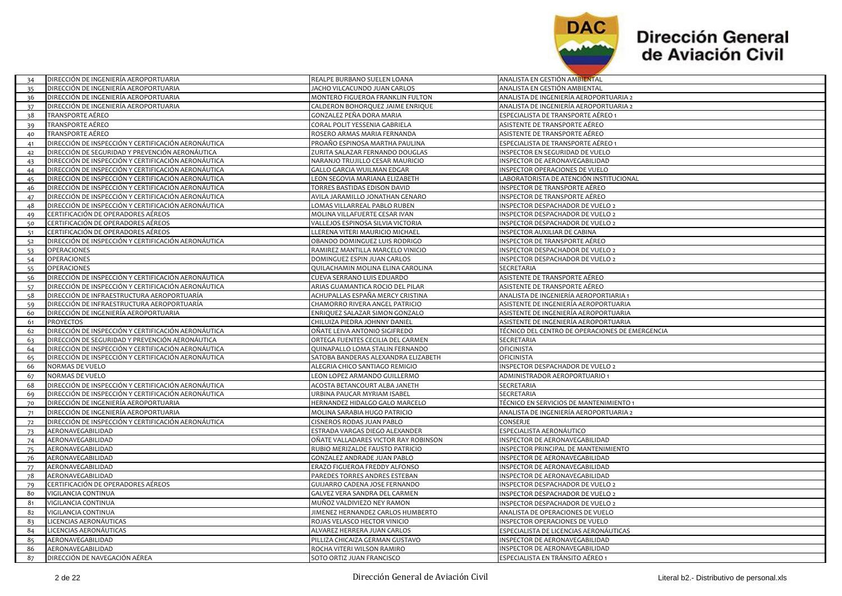

| DIRECCIÓN DE INGENIERÍA AEROPORTUARIA<br>JACHO VILCACUNDO JUAN CARLOS<br>ANALISTA EN GESTIÓN AMBIENTAL<br>35<br>DIRECCIÓN DE INGENIERÍA AEROPORTUARIA<br>MONTERO FIGUEROA FRANKLIN FULTON<br>ANALISTA DE INGENIERÍA AEROPORTUARIA 2<br>36<br>DIRECCIÓN DE INGENIERÍA AEROPORTUARIA<br>CALDERON BOHORQUEZ JAIME ENRIQUE<br>ANALISTA DE INGENIERÍA AEROPORTUARIA 2<br>37<br><b>TRANSPORTE AÉREO</b><br>GONZALEZ PEÑA DORA MARIA<br>ESPECIALISTA DE TRANSPORTE AÉREO 1<br>38<br>TRANSPORTE AÉREO<br>CORAL POLIT YESSENIA GABRIELA<br>ASISTENTE DE TRANSPORTE AÉREO<br>39<br>TRANSPORTE AÉREO<br>ROSERO ARMAS MARIA FERNANDA<br>ASISTENTE DE TRANSPORTE AÉREO<br>40<br>DIRECCIÓN DE INSPECCIÓN Y CERTIFICACIÓN AERONÁUTICA<br>PROAÑO ESPINOSA MARTHA PAULINA<br>ESPECIALISTA DE TRANSPORTE AÉREO 1<br>41<br>DIRECCIÓN DE SEGURIDAD Y PREVENCIÓN AERONÁUTICA<br>ZURITA SALAZAR FERNANDO DOUGLAS<br>INSPECTOR EN SEGURIDAD DE VUELO<br>42<br>DIRECCIÓN DE INSPECCIÓN Y CERTIFICACIÓN AERONÁUTICA<br>NARANJO TRUJILLO CESAR MAURICIO<br>INSPECTOR DE AERONAVEGABILIDAD<br>43<br>DIRECCIÓN DE INSPECCIÓN Y CERTIFICACIÓN AERONÁUTICA<br>GALLO GARCIA WUILMAN EDGAR<br>INSPECTOR OPERACIONES DE VUELO<br>44<br>DIRECCIÓN DE INSPECCIÓN Y CERTIFICACIÓN AERONÁUTICA<br>LEON SEGOVIA MARIANA ELIZABETH<br>LABORATORISTA DE ATENCIÓN INSTITUCIONAL<br>45<br>DIRECCIÓN DE INSPECCIÓN Y CERTIFICACIÓN AERONÁUTICA<br>TORRES BASTIDAS EDISON DAVID<br>INSPECTOR DE TRANSPORTE AÉREO<br>46<br>DIRECCIÓN DE INSPECCIÓN Y CERTIFICACIÓN AERONÁUTICA<br>AVILA JARAMILLO JONATHAN GENARO<br>INSPECTOR DE TRANSPORTE AÉREO<br>47<br>DIRECCIÓN DE INSPECCIÓN Y CERTIFICACIÓN AERONÁUTICA<br>LOMAS VILLARREAL PABLO RUBEN<br>INSPECTOR DESPACHADOR DE VUELO 2<br>48<br>CERTIFICACIÓN DE OPERADORES AÉREOS<br>MOLINA VILLAFUERTE CESAR IVAN<br>INSPECTOR DESPACHADOR DE VUELO 2<br>49<br>CERTIFICACIÓN DE OPERADORES AÉREOS<br>VALLEJOS ESPINOSA SILVIA VICTORIA<br>INSPECTOR DESPACHADOR DE VUELO 2<br>50<br>CERTIFICACIÓN DE OPERADORES AÉREOS<br>LLERENA VITERI MAURICIO MICHAEL<br>INSPECTOR AUXILIAR DE CABINA<br>51<br>DIRECCIÓN DE INSPECCIÓN Y CERTIFICACIÓN AERONÁUTICA<br>OBANDO DOMINGUEZ LUIS RODRIGO<br>INSPECTOR DE TRANSPORTE AÉREO<br>52<br>RAMIREZ MANTILLA MARCELO VINICIO<br>OPERACIONES<br>INSPECTOR DESPACHADOR DE VUELO 2<br>53<br><b>OPERACIONES</b><br>DOMINGUEZ ESPIN JUAN CARLOS<br>INSPECTOR DESPACHADOR DE VUELO 2<br>54<br><b>OPERACIONES</b><br>QUILACHAMIN MOLINA ELINA CAROLINA<br>SECRETARIA<br>55<br>DIRECCIÓN DE INSPECCIÓN Y CERTIFICACIÓN AERONÁUTICA<br>CUEVA SERRANO LUIS EDUARDO<br>ASISTENTE DE TRANSPORTE AÉREO<br>56<br>DIRECCIÓN DE INSPECCIÓN Y CERTIFICACIÓN AERONÁUTICA<br>ARIAS GUAMANTICA ROCIO DEL PILAR<br>ASISTENTE DE TRANSPORTE AÉREO<br>57<br>DIRECCIÓN DE INFRAESTRUCTURA AEROPORTUARÍA<br>ACHUPALLAS ESPAÑA MERCY CRISTINA<br>ANALISTA DE INGENIERÍA AEROPORTIARIA 1<br>58<br>DIRECCIÓN DE INFRAESTRUCTURA AEROPORTUARÍA<br>CHAMORRO RIVERA ANGEL PATRICIO<br>ASISTENTE DE INGENIERÍA AEROPORTUARIA<br>59<br>DIRECCIÓN DE INGENIERÍA AEROPORTUARIA<br>ENRIQUEZ SALAZAR SIMON GONZALO<br>ASISTENTE DE INGENIERÍA AEROPORTUARIA<br>60<br><b>PROYECTOS</b><br>CHILUIZA PIEDRA JOHNNY DANIEL<br>ASISTENTE DE INGENIERÍA AEROPORTUARIA<br>61<br>DIRECCIÓN DE INSPECCIÓN Y CERTIFICACIÓN AERONÁUTICA<br>OÑATE LEIVA ANTONIO SIGIFREDO<br>TÉCNICO DEL CENTRO DE OPERACIONES DE EMERGENCIA<br>62<br>DIRECCIÓN DE SEGURIDAD Y PREVENCIÓN AERONÁUTICA<br>ORTEGA FUENTES CECILIA DEL CARMEN<br>SECRETARIA<br>63<br>DIRECCIÓN DE INSPECCIÓN Y CERTIFICACIÓN AERONÁUTICA<br>QUINAPALLO LOMA STALIN FERNANDO<br>OFICINISTA<br>64<br>DIRECCIÓN DE INSPECCIÓN Y CERTIFICACIÓN AERONÁUTICA<br>SATOBA BANDERAS ALEXANDRA ELIZABETH<br>OFICINISTA<br>65<br>NORMAS DE VUELO<br>ALEGRIA CHICO SANTIAGO REMIGIO<br>INSPECTOR DESPACHADOR DE VUELO 2<br>66<br>NORMAS DE VUELO<br>LEON LOPEZ ARMANDO GUILLERMO<br>ADMINISTRADOR AEROPORTUARIO 1<br>67<br>DIRECCIÓN DE INSPECCIÓN Y CERTIFICACIÓN AERONÁUTICA<br>ACOSTA BETANCOURT ALBA JANETH<br>SECRETARIA<br>68<br>DIRECCIÓN DE INSPECCIÓN Y CERTIFICACIÓN AERONÁUTICA<br>URBINA PAUCAR MYRIAM ISABEL<br>SECRETARIA<br>69<br>DIRECCIÓN DE INGENIERÍA AEROPORTUARIA<br>HERNANDEZ HIDALGO GALO MARCELO<br>TÉCNICO EN SERVICIOS DE MANTENIMIENTO 1<br>70<br>DIRECCIÓN DE INGENIERÍA AEROPORTUARIA<br>ANALISTA DE INGENIERÍA AEROPORTUARIA 2<br>MOLINA SARABIA HUGO PATRICIO<br>71<br>DIRECCIÓN DE INSPECCIÓN Y CERTIFICACIÓN AERONÁUTICA<br>CISNEROS RODAS JUAN PABLO<br>CONSERJE<br>72<br>AERONAVEGABILIDAD<br>ESTRADA VARGAS DIEGO ALEXANDER<br>ESPECIALISTA AERONÁUTICO<br>73<br>AERONAVEGABILIDAD<br>OÑATE VALLADARES VICTOR RAY ROBINSON<br>INSPECTOR DE AERONAVEGABILIDAD<br>74<br>AERONAVEGABILIDAD<br>RUBIO MERIZALDE FAUSTO PATRICIO<br>INSPECTOR PRINCIPAL DE MANTENIMIENTO<br>75<br>AERONAVEGABILIDAD<br><b>GONZALEZ ANDRADE JUAN PABLO</b><br>INSPECTOR DE AERONAVEGABILIDAD<br>76<br>AERONAVEGABILIDAD<br>ERAZO FIGUEROA FREDDY ALFONSO<br>INSPECTOR DE AERONAVEGABILIDAD<br>77<br>AERONAVEGABILIDAD<br>PAREDES TORRES ANDRES ESTEBAN<br>INSPECTOR DE AERONAVEGABILIDAD<br>78<br>CERTIFICACIÓN DE OPERADORES AÉREOS<br>GUIJARRO CADENA JOSE FERNANDO<br>INSPECTOR DESPACHADOR DE VUELO 2<br>79<br>VIGILANCIA CONTINUA<br>GALVEZ VERA SANDRA DEL CARMEN<br>80<br>INSPECTOR DESPACHADOR DE VUELO 2<br>INSPECTOR DESPACHADOR DE VUELO 2<br>VIGILANCIA CONTINUA<br>MUÑOZ VALDIVIEZO NEY RAMON<br>81<br>ANALISTA DE OPERACIONES DE VUELO<br>VIGILANCIA CONTINUA<br>JIMENEZ HERNANDEZ CARLOS HUMBERTO<br>82<br>LICENCIAS AERONÁUTICAS<br>ROJAS VELASCO HECTOR VINICIO<br>INSPECTOR OPERACIONES DE VUELO<br>83<br>LICENCIAS AERONÁUTICAS<br>ALVAREZ HERRERA JUAN CARLOS<br>ESPECIALISTA DE LICENCIAS AERONÁUTICAS<br>84<br>85<br>AERONAVEGABILIDAD<br>PILLIZA CHICAIZA GERMAN GUSTAVO<br>INSPECTOR DE AERONAVEGABILIDAD<br>AERONAVEGABILIDAD<br>ROCHA VITERI WILSON RAMIRO<br>INSPECTOR DE AERONAVEGABILIDAD<br>86<br>SOTO ORTIZ JUAN FRANCISCO<br>ESPECIALISTA EN TRÁNSITO AÉREO 1<br>87<br>DIRECCIÓN DE NAVEGACIÓN AÉREA | 34 | DIRECCIÓN DE INGENIERÍA AEROPORTUARIA | REALPE BURBANO SUELEN LOANA | ANALISTA EN GESTIÓN AMBIENTAL |
|------------------------------------------------------------------------------------------------------------------------------------------------------------------------------------------------------------------------------------------------------------------------------------------------------------------------------------------------------------------------------------------------------------------------------------------------------------------------------------------------------------------------------------------------------------------------------------------------------------------------------------------------------------------------------------------------------------------------------------------------------------------------------------------------------------------------------------------------------------------------------------------------------------------------------------------------------------------------------------------------------------------------------------------------------------------------------------------------------------------------------------------------------------------------------------------------------------------------------------------------------------------------------------------------------------------------------------------------------------------------------------------------------------------------------------------------------------------------------------------------------------------------------------------------------------------------------------------------------------------------------------------------------------------------------------------------------------------------------------------------------------------------------------------------------------------------------------------------------------------------------------------------------------------------------------------------------------------------------------------------------------------------------------------------------------------------------------------------------------------------------------------------------------------------------------------------------------------------------------------------------------------------------------------------------------------------------------------------------------------------------------------------------------------------------------------------------------------------------------------------------------------------------------------------------------------------------------------------------------------------------------------------------------------------------------------------------------------------------------------------------------------------------------------------------------------------------------------------------------------------------------------------------------------------------------------------------------------------------------------------------------------------------------------------------------------------------------------------------------------------------------------------------------------------------------------------------------------------------------------------------------------------------------------------------------------------------------------------------------------------------------------------------------------------------------------------------------------------------------------------------------------------------------------------------------------------------------------------------------------------------------------------------------------------------------------------------------------------------------------------------------------------------------------------------------------------------------------------------------------------------------------------------------------------------------------------------------------------------------------------------------------------------------------------------------------------------------------------------------------------------------------------------------------------------------------------------------------------------------------------------------------------------------------------------------------------------------------------------------------------------------------------------------------------------------------------------------------------------------------------------------------------------------------------------------------------------------------------------------------------------------------------------------------------------------------------------------------------------------------------------------------------------------------------------------------------------------------------------------------------------------------------------------------------------------------------------------------------------------------------------------------------------------------------------------------------------------------------------------------------------------------------------------------------------------------------------------------------------------------------------------------------------------------------------------------------------------------------------------------------------------------------------------------------------------------------------------------------------------------------------------------------------------------------------------------------------------------------------------------------------------------------------------------------------------------------------------------------------------------------------------------------------------------------------------------------------------------------------------------------------------------------------------------------------------------------------------------------------------------------------------------------------------------------------------------------------------------|----|---------------------------------------|-----------------------------|-------------------------------|
|                                                                                                                                                                                                                                                                                                                                                                                                                                                                                                                                                                                                                                                                                                                                                                                                                                                                                                                                                                                                                                                                                                                                                                                                                                                                                                                                                                                                                                                                                                                                                                                                                                                                                                                                                                                                                                                                                                                                                                                                                                                                                                                                                                                                                                                                                                                                                                                                                                                                                                                                                                                                                                                                                                                                                                                                                                                                                                                                                                                                                                                                                                                                                                                                                                                                                                                                                                                                                                                                                                                                                                                                                                                                                                                                                                                                                                                                                                                                                                                                                                                                                                                                                                                                                                                                                                                                                                                                                                                                                                                                                                                                                                                                                                                                                                                                                                                                                                                                                                                                                                                                                                                                                                                                                                                                                                                                                                                                                                                                                                                                                                                                                                                                                                                                                                                                                                                                                                                                                                                                                                                                                          |    |                                       |                             |                               |
|                                                                                                                                                                                                                                                                                                                                                                                                                                                                                                                                                                                                                                                                                                                                                                                                                                                                                                                                                                                                                                                                                                                                                                                                                                                                                                                                                                                                                                                                                                                                                                                                                                                                                                                                                                                                                                                                                                                                                                                                                                                                                                                                                                                                                                                                                                                                                                                                                                                                                                                                                                                                                                                                                                                                                                                                                                                                                                                                                                                                                                                                                                                                                                                                                                                                                                                                                                                                                                                                                                                                                                                                                                                                                                                                                                                                                                                                                                                                                                                                                                                                                                                                                                                                                                                                                                                                                                                                                                                                                                                                                                                                                                                                                                                                                                                                                                                                                                                                                                                                                                                                                                                                                                                                                                                                                                                                                                                                                                                                                                                                                                                                                                                                                                                                                                                                                                                                                                                                                                                                                                                                                          |    |                                       |                             |                               |
|                                                                                                                                                                                                                                                                                                                                                                                                                                                                                                                                                                                                                                                                                                                                                                                                                                                                                                                                                                                                                                                                                                                                                                                                                                                                                                                                                                                                                                                                                                                                                                                                                                                                                                                                                                                                                                                                                                                                                                                                                                                                                                                                                                                                                                                                                                                                                                                                                                                                                                                                                                                                                                                                                                                                                                                                                                                                                                                                                                                                                                                                                                                                                                                                                                                                                                                                                                                                                                                                                                                                                                                                                                                                                                                                                                                                                                                                                                                                                                                                                                                                                                                                                                                                                                                                                                                                                                                                                                                                                                                                                                                                                                                                                                                                                                                                                                                                                                                                                                                                                                                                                                                                                                                                                                                                                                                                                                                                                                                                                                                                                                                                                                                                                                                                                                                                                                                                                                                                                                                                                                                                                          |    |                                       |                             |                               |
|                                                                                                                                                                                                                                                                                                                                                                                                                                                                                                                                                                                                                                                                                                                                                                                                                                                                                                                                                                                                                                                                                                                                                                                                                                                                                                                                                                                                                                                                                                                                                                                                                                                                                                                                                                                                                                                                                                                                                                                                                                                                                                                                                                                                                                                                                                                                                                                                                                                                                                                                                                                                                                                                                                                                                                                                                                                                                                                                                                                                                                                                                                                                                                                                                                                                                                                                                                                                                                                                                                                                                                                                                                                                                                                                                                                                                                                                                                                                                                                                                                                                                                                                                                                                                                                                                                                                                                                                                                                                                                                                                                                                                                                                                                                                                                                                                                                                                                                                                                                                                                                                                                                                                                                                                                                                                                                                                                                                                                                                                                                                                                                                                                                                                                                                                                                                                                                                                                                                                                                                                                                                                          |    |                                       |                             |                               |
|                                                                                                                                                                                                                                                                                                                                                                                                                                                                                                                                                                                                                                                                                                                                                                                                                                                                                                                                                                                                                                                                                                                                                                                                                                                                                                                                                                                                                                                                                                                                                                                                                                                                                                                                                                                                                                                                                                                                                                                                                                                                                                                                                                                                                                                                                                                                                                                                                                                                                                                                                                                                                                                                                                                                                                                                                                                                                                                                                                                                                                                                                                                                                                                                                                                                                                                                                                                                                                                                                                                                                                                                                                                                                                                                                                                                                                                                                                                                                                                                                                                                                                                                                                                                                                                                                                                                                                                                                                                                                                                                                                                                                                                                                                                                                                                                                                                                                                                                                                                                                                                                                                                                                                                                                                                                                                                                                                                                                                                                                                                                                                                                                                                                                                                                                                                                                                                                                                                                                                                                                                                                                          |    |                                       |                             |                               |
|                                                                                                                                                                                                                                                                                                                                                                                                                                                                                                                                                                                                                                                                                                                                                                                                                                                                                                                                                                                                                                                                                                                                                                                                                                                                                                                                                                                                                                                                                                                                                                                                                                                                                                                                                                                                                                                                                                                                                                                                                                                                                                                                                                                                                                                                                                                                                                                                                                                                                                                                                                                                                                                                                                                                                                                                                                                                                                                                                                                                                                                                                                                                                                                                                                                                                                                                                                                                                                                                                                                                                                                                                                                                                                                                                                                                                                                                                                                                                                                                                                                                                                                                                                                                                                                                                                                                                                                                                                                                                                                                                                                                                                                                                                                                                                                                                                                                                                                                                                                                                                                                                                                                                                                                                                                                                                                                                                                                                                                                                                                                                                                                                                                                                                                                                                                                                                                                                                                                                                                                                                                                                          |    |                                       |                             |                               |
|                                                                                                                                                                                                                                                                                                                                                                                                                                                                                                                                                                                                                                                                                                                                                                                                                                                                                                                                                                                                                                                                                                                                                                                                                                                                                                                                                                                                                                                                                                                                                                                                                                                                                                                                                                                                                                                                                                                                                                                                                                                                                                                                                                                                                                                                                                                                                                                                                                                                                                                                                                                                                                                                                                                                                                                                                                                                                                                                                                                                                                                                                                                                                                                                                                                                                                                                                                                                                                                                                                                                                                                                                                                                                                                                                                                                                                                                                                                                                                                                                                                                                                                                                                                                                                                                                                                                                                                                                                                                                                                                                                                                                                                                                                                                                                                                                                                                                                                                                                                                                                                                                                                                                                                                                                                                                                                                                                                                                                                                                                                                                                                                                                                                                                                                                                                                                                                                                                                                                                                                                                                                                          |    |                                       |                             |                               |
|                                                                                                                                                                                                                                                                                                                                                                                                                                                                                                                                                                                                                                                                                                                                                                                                                                                                                                                                                                                                                                                                                                                                                                                                                                                                                                                                                                                                                                                                                                                                                                                                                                                                                                                                                                                                                                                                                                                                                                                                                                                                                                                                                                                                                                                                                                                                                                                                                                                                                                                                                                                                                                                                                                                                                                                                                                                                                                                                                                                                                                                                                                                                                                                                                                                                                                                                                                                                                                                                                                                                                                                                                                                                                                                                                                                                                                                                                                                                                                                                                                                                                                                                                                                                                                                                                                                                                                                                                                                                                                                                                                                                                                                                                                                                                                                                                                                                                                                                                                                                                                                                                                                                                                                                                                                                                                                                                                                                                                                                                                                                                                                                                                                                                                                                                                                                                                                                                                                                                                                                                                                                                          |    |                                       |                             |                               |
|                                                                                                                                                                                                                                                                                                                                                                                                                                                                                                                                                                                                                                                                                                                                                                                                                                                                                                                                                                                                                                                                                                                                                                                                                                                                                                                                                                                                                                                                                                                                                                                                                                                                                                                                                                                                                                                                                                                                                                                                                                                                                                                                                                                                                                                                                                                                                                                                                                                                                                                                                                                                                                                                                                                                                                                                                                                                                                                                                                                                                                                                                                                                                                                                                                                                                                                                                                                                                                                                                                                                                                                                                                                                                                                                                                                                                                                                                                                                                                                                                                                                                                                                                                                                                                                                                                                                                                                                                                                                                                                                                                                                                                                                                                                                                                                                                                                                                                                                                                                                                                                                                                                                                                                                                                                                                                                                                                                                                                                                                                                                                                                                                                                                                                                                                                                                                                                                                                                                                                                                                                                                                          |    |                                       |                             |                               |
|                                                                                                                                                                                                                                                                                                                                                                                                                                                                                                                                                                                                                                                                                                                                                                                                                                                                                                                                                                                                                                                                                                                                                                                                                                                                                                                                                                                                                                                                                                                                                                                                                                                                                                                                                                                                                                                                                                                                                                                                                                                                                                                                                                                                                                                                                                                                                                                                                                                                                                                                                                                                                                                                                                                                                                                                                                                                                                                                                                                                                                                                                                                                                                                                                                                                                                                                                                                                                                                                                                                                                                                                                                                                                                                                                                                                                                                                                                                                                                                                                                                                                                                                                                                                                                                                                                                                                                                                                                                                                                                                                                                                                                                                                                                                                                                                                                                                                                                                                                                                                                                                                                                                                                                                                                                                                                                                                                                                                                                                                                                                                                                                                                                                                                                                                                                                                                                                                                                                                                                                                                                                                          |    |                                       |                             |                               |
|                                                                                                                                                                                                                                                                                                                                                                                                                                                                                                                                                                                                                                                                                                                                                                                                                                                                                                                                                                                                                                                                                                                                                                                                                                                                                                                                                                                                                                                                                                                                                                                                                                                                                                                                                                                                                                                                                                                                                                                                                                                                                                                                                                                                                                                                                                                                                                                                                                                                                                                                                                                                                                                                                                                                                                                                                                                                                                                                                                                                                                                                                                                                                                                                                                                                                                                                                                                                                                                                                                                                                                                                                                                                                                                                                                                                                                                                                                                                                                                                                                                                                                                                                                                                                                                                                                                                                                                                                                                                                                                                                                                                                                                                                                                                                                                                                                                                                                                                                                                                                                                                                                                                                                                                                                                                                                                                                                                                                                                                                                                                                                                                                                                                                                                                                                                                                                                                                                                                                                                                                                                                                          |    |                                       |                             |                               |
|                                                                                                                                                                                                                                                                                                                                                                                                                                                                                                                                                                                                                                                                                                                                                                                                                                                                                                                                                                                                                                                                                                                                                                                                                                                                                                                                                                                                                                                                                                                                                                                                                                                                                                                                                                                                                                                                                                                                                                                                                                                                                                                                                                                                                                                                                                                                                                                                                                                                                                                                                                                                                                                                                                                                                                                                                                                                                                                                                                                                                                                                                                                                                                                                                                                                                                                                                                                                                                                                                                                                                                                                                                                                                                                                                                                                                                                                                                                                                                                                                                                                                                                                                                                                                                                                                                                                                                                                                                                                                                                                                                                                                                                                                                                                                                                                                                                                                                                                                                                                                                                                                                                                                                                                                                                                                                                                                                                                                                                                                                                                                                                                                                                                                                                                                                                                                                                                                                                                                                                                                                                                                          |    |                                       |                             |                               |
|                                                                                                                                                                                                                                                                                                                                                                                                                                                                                                                                                                                                                                                                                                                                                                                                                                                                                                                                                                                                                                                                                                                                                                                                                                                                                                                                                                                                                                                                                                                                                                                                                                                                                                                                                                                                                                                                                                                                                                                                                                                                                                                                                                                                                                                                                                                                                                                                                                                                                                                                                                                                                                                                                                                                                                                                                                                                                                                                                                                                                                                                                                                                                                                                                                                                                                                                                                                                                                                                                                                                                                                                                                                                                                                                                                                                                                                                                                                                                                                                                                                                                                                                                                                                                                                                                                                                                                                                                                                                                                                                                                                                                                                                                                                                                                                                                                                                                                                                                                                                                                                                                                                                                                                                                                                                                                                                                                                                                                                                                                                                                                                                                                                                                                                                                                                                                                                                                                                                                                                                                                                                                          |    |                                       |                             |                               |
|                                                                                                                                                                                                                                                                                                                                                                                                                                                                                                                                                                                                                                                                                                                                                                                                                                                                                                                                                                                                                                                                                                                                                                                                                                                                                                                                                                                                                                                                                                                                                                                                                                                                                                                                                                                                                                                                                                                                                                                                                                                                                                                                                                                                                                                                                                                                                                                                                                                                                                                                                                                                                                                                                                                                                                                                                                                                                                                                                                                                                                                                                                                                                                                                                                                                                                                                                                                                                                                                                                                                                                                                                                                                                                                                                                                                                                                                                                                                                                                                                                                                                                                                                                                                                                                                                                                                                                                                                                                                                                                                                                                                                                                                                                                                                                                                                                                                                                                                                                                                                                                                                                                                                                                                                                                                                                                                                                                                                                                                                                                                                                                                                                                                                                                                                                                                                                                                                                                                                                                                                                                                                          |    |                                       |                             |                               |
|                                                                                                                                                                                                                                                                                                                                                                                                                                                                                                                                                                                                                                                                                                                                                                                                                                                                                                                                                                                                                                                                                                                                                                                                                                                                                                                                                                                                                                                                                                                                                                                                                                                                                                                                                                                                                                                                                                                                                                                                                                                                                                                                                                                                                                                                                                                                                                                                                                                                                                                                                                                                                                                                                                                                                                                                                                                                                                                                                                                                                                                                                                                                                                                                                                                                                                                                                                                                                                                                                                                                                                                                                                                                                                                                                                                                                                                                                                                                                                                                                                                                                                                                                                                                                                                                                                                                                                                                                                                                                                                                                                                                                                                                                                                                                                                                                                                                                                                                                                                                                                                                                                                                                                                                                                                                                                                                                                                                                                                                                                                                                                                                                                                                                                                                                                                                                                                                                                                                                                                                                                                                                          |    |                                       |                             |                               |
|                                                                                                                                                                                                                                                                                                                                                                                                                                                                                                                                                                                                                                                                                                                                                                                                                                                                                                                                                                                                                                                                                                                                                                                                                                                                                                                                                                                                                                                                                                                                                                                                                                                                                                                                                                                                                                                                                                                                                                                                                                                                                                                                                                                                                                                                                                                                                                                                                                                                                                                                                                                                                                                                                                                                                                                                                                                                                                                                                                                                                                                                                                                                                                                                                                                                                                                                                                                                                                                                                                                                                                                                                                                                                                                                                                                                                                                                                                                                                                                                                                                                                                                                                                                                                                                                                                                                                                                                                                                                                                                                                                                                                                                                                                                                                                                                                                                                                                                                                                                                                                                                                                                                                                                                                                                                                                                                                                                                                                                                                                                                                                                                                                                                                                                                                                                                                                                                                                                                                                                                                                                                                          |    |                                       |                             |                               |
|                                                                                                                                                                                                                                                                                                                                                                                                                                                                                                                                                                                                                                                                                                                                                                                                                                                                                                                                                                                                                                                                                                                                                                                                                                                                                                                                                                                                                                                                                                                                                                                                                                                                                                                                                                                                                                                                                                                                                                                                                                                                                                                                                                                                                                                                                                                                                                                                                                                                                                                                                                                                                                                                                                                                                                                                                                                                                                                                                                                                                                                                                                                                                                                                                                                                                                                                                                                                                                                                                                                                                                                                                                                                                                                                                                                                                                                                                                                                                                                                                                                                                                                                                                                                                                                                                                                                                                                                                                                                                                                                                                                                                                                                                                                                                                                                                                                                                                                                                                                                                                                                                                                                                                                                                                                                                                                                                                                                                                                                                                                                                                                                                                                                                                                                                                                                                                                                                                                                                                                                                                                                                          |    |                                       |                             |                               |
|                                                                                                                                                                                                                                                                                                                                                                                                                                                                                                                                                                                                                                                                                                                                                                                                                                                                                                                                                                                                                                                                                                                                                                                                                                                                                                                                                                                                                                                                                                                                                                                                                                                                                                                                                                                                                                                                                                                                                                                                                                                                                                                                                                                                                                                                                                                                                                                                                                                                                                                                                                                                                                                                                                                                                                                                                                                                                                                                                                                                                                                                                                                                                                                                                                                                                                                                                                                                                                                                                                                                                                                                                                                                                                                                                                                                                                                                                                                                                                                                                                                                                                                                                                                                                                                                                                                                                                                                                                                                                                                                                                                                                                                                                                                                                                                                                                                                                                                                                                                                                                                                                                                                                                                                                                                                                                                                                                                                                                                                                                                                                                                                                                                                                                                                                                                                                                                                                                                                                                                                                                                                                          |    |                                       |                             |                               |
|                                                                                                                                                                                                                                                                                                                                                                                                                                                                                                                                                                                                                                                                                                                                                                                                                                                                                                                                                                                                                                                                                                                                                                                                                                                                                                                                                                                                                                                                                                                                                                                                                                                                                                                                                                                                                                                                                                                                                                                                                                                                                                                                                                                                                                                                                                                                                                                                                                                                                                                                                                                                                                                                                                                                                                                                                                                                                                                                                                                                                                                                                                                                                                                                                                                                                                                                                                                                                                                                                                                                                                                                                                                                                                                                                                                                                                                                                                                                                                                                                                                                                                                                                                                                                                                                                                                                                                                                                                                                                                                                                                                                                                                                                                                                                                                                                                                                                                                                                                                                                                                                                                                                                                                                                                                                                                                                                                                                                                                                                                                                                                                                                                                                                                                                                                                                                                                                                                                                                                                                                                                                                          |    |                                       |                             |                               |
|                                                                                                                                                                                                                                                                                                                                                                                                                                                                                                                                                                                                                                                                                                                                                                                                                                                                                                                                                                                                                                                                                                                                                                                                                                                                                                                                                                                                                                                                                                                                                                                                                                                                                                                                                                                                                                                                                                                                                                                                                                                                                                                                                                                                                                                                                                                                                                                                                                                                                                                                                                                                                                                                                                                                                                                                                                                                                                                                                                                                                                                                                                                                                                                                                                                                                                                                                                                                                                                                                                                                                                                                                                                                                                                                                                                                                                                                                                                                                                                                                                                                                                                                                                                                                                                                                                                                                                                                                                                                                                                                                                                                                                                                                                                                                                                                                                                                                                                                                                                                                                                                                                                                                                                                                                                                                                                                                                                                                                                                                                                                                                                                                                                                                                                                                                                                                                                                                                                                                                                                                                                                                          |    |                                       |                             |                               |
|                                                                                                                                                                                                                                                                                                                                                                                                                                                                                                                                                                                                                                                                                                                                                                                                                                                                                                                                                                                                                                                                                                                                                                                                                                                                                                                                                                                                                                                                                                                                                                                                                                                                                                                                                                                                                                                                                                                                                                                                                                                                                                                                                                                                                                                                                                                                                                                                                                                                                                                                                                                                                                                                                                                                                                                                                                                                                                                                                                                                                                                                                                                                                                                                                                                                                                                                                                                                                                                                                                                                                                                                                                                                                                                                                                                                                                                                                                                                                                                                                                                                                                                                                                                                                                                                                                                                                                                                                                                                                                                                                                                                                                                                                                                                                                                                                                                                                                                                                                                                                                                                                                                                                                                                                                                                                                                                                                                                                                                                                                                                                                                                                                                                                                                                                                                                                                                                                                                                                                                                                                                                                          |    |                                       |                             |                               |
|                                                                                                                                                                                                                                                                                                                                                                                                                                                                                                                                                                                                                                                                                                                                                                                                                                                                                                                                                                                                                                                                                                                                                                                                                                                                                                                                                                                                                                                                                                                                                                                                                                                                                                                                                                                                                                                                                                                                                                                                                                                                                                                                                                                                                                                                                                                                                                                                                                                                                                                                                                                                                                                                                                                                                                                                                                                                                                                                                                                                                                                                                                                                                                                                                                                                                                                                                                                                                                                                                                                                                                                                                                                                                                                                                                                                                                                                                                                                                                                                                                                                                                                                                                                                                                                                                                                                                                                                                                                                                                                                                                                                                                                                                                                                                                                                                                                                                                                                                                                                                                                                                                                                                                                                                                                                                                                                                                                                                                                                                                                                                                                                                                                                                                                                                                                                                                                                                                                                                                                                                                                                                          |    |                                       |                             |                               |
|                                                                                                                                                                                                                                                                                                                                                                                                                                                                                                                                                                                                                                                                                                                                                                                                                                                                                                                                                                                                                                                                                                                                                                                                                                                                                                                                                                                                                                                                                                                                                                                                                                                                                                                                                                                                                                                                                                                                                                                                                                                                                                                                                                                                                                                                                                                                                                                                                                                                                                                                                                                                                                                                                                                                                                                                                                                                                                                                                                                                                                                                                                                                                                                                                                                                                                                                                                                                                                                                                                                                                                                                                                                                                                                                                                                                                                                                                                                                                                                                                                                                                                                                                                                                                                                                                                                                                                                                                                                                                                                                                                                                                                                                                                                                                                                                                                                                                                                                                                                                                                                                                                                                                                                                                                                                                                                                                                                                                                                                                                                                                                                                                                                                                                                                                                                                                                                                                                                                                                                                                                                                                          |    |                                       |                             |                               |
|                                                                                                                                                                                                                                                                                                                                                                                                                                                                                                                                                                                                                                                                                                                                                                                                                                                                                                                                                                                                                                                                                                                                                                                                                                                                                                                                                                                                                                                                                                                                                                                                                                                                                                                                                                                                                                                                                                                                                                                                                                                                                                                                                                                                                                                                                                                                                                                                                                                                                                                                                                                                                                                                                                                                                                                                                                                                                                                                                                                                                                                                                                                                                                                                                                                                                                                                                                                                                                                                                                                                                                                                                                                                                                                                                                                                                                                                                                                                                                                                                                                                                                                                                                                                                                                                                                                                                                                                                                                                                                                                                                                                                                                                                                                                                                                                                                                                                                                                                                                                                                                                                                                                                                                                                                                                                                                                                                                                                                                                                                                                                                                                                                                                                                                                                                                                                                                                                                                                                                                                                                                                                          |    |                                       |                             |                               |
|                                                                                                                                                                                                                                                                                                                                                                                                                                                                                                                                                                                                                                                                                                                                                                                                                                                                                                                                                                                                                                                                                                                                                                                                                                                                                                                                                                                                                                                                                                                                                                                                                                                                                                                                                                                                                                                                                                                                                                                                                                                                                                                                                                                                                                                                                                                                                                                                                                                                                                                                                                                                                                                                                                                                                                                                                                                                                                                                                                                                                                                                                                                                                                                                                                                                                                                                                                                                                                                                                                                                                                                                                                                                                                                                                                                                                                                                                                                                                                                                                                                                                                                                                                                                                                                                                                                                                                                                                                                                                                                                                                                                                                                                                                                                                                                                                                                                                                                                                                                                                                                                                                                                                                                                                                                                                                                                                                                                                                                                                                                                                                                                                                                                                                                                                                                                                                                                                                                                                                                                                                                                                          |    |                                       |                             |                               |
|                                                                                                                                                                                                                                                                                                                                                                                                                                                                                                                                                                                                                                                                                                                                                                                                                                                                                                                                                                                                                                                                                                                                                                                                                                                                                                                                                                                                                                                                                                                                                                                                                                                                                                                                                                                                                                                                                                                                                                                                                                                                                                                                                                                                                                                                                                                                                                                                                                                                                                                                                                                                                                                                                                                                                                                                                                                                                                                                                                                                                                                                                                                                                                                                                                                                                                                                                                                                                                                                                                                                                                                                                                                                                                                                                                                                                                                                                                                                                                                                                                                                                                                                                                                                                                                                                                                                                                                                                                                                                                                                                                                                                                                                                                                                                                                                                                                                                                                                                                                                                                                                                                                                                                                                                                                                                                                                                                                                                                                                                                                                                                                                                                                                                                                                                                                                                                                                                                                                                                                                                                                                                          |    |                                       |                             |                               |
|                                                                                                                                                                                                                                                                                                                                                                                                                                                                                                                                                                                                                                                                                                                                                                                                                                                                                                                                                                                                                                                                                                                                                                                                                                                                                                                                                                                                                                                                                                                                                                                                                                                                                                                                                                                                                                                                                                                                                                                                                                                                                                                                                                                                                                                                                                                                                                                                                                                                                                                                                                                                                                                                                                                                                                                                                                                                                                                                                                                                                                                                                                                                                                                                                                                                                                                                                                                                                                                                                                                                                                                                                                                                                                                                                                                                                                                                                                                                                                                                                                                                                                                                                                                                                                                                                                                                                                                                                                                                                                                                                                                                                                                                                                                                                                                                                                                                                                                                                                                                                                                                                                                                                                                                                                                                                                                                                                                                                                                                                                                                                                                                                                                                                                                                                                                                                                                                                                                                                                                                                                                                                          |    |                                       |                             |                               |
|                                                                                                                                                                                                                                                                                                                                                                                                                                                                                                                                                                                                                                                                                                                                                                                                                                                                                                                                                                                                                                                                                                                                                                                                                                                                                                                                                                                                                                                                                                                                                                                                                                                                                                                                                                                                                                                                                                                                                                                                                                                                                                                                                                                                                                                                                                                                                                                                                                                                                                                                                                                                                                                                                                                                                                                                                                                                                                                                                                                                                                                                                                                                                                                                                                                                                                                                                                                                                                                                                                                                                                                                                                                                                                                                                                                                                                                                                                                                                                                                                                                                                                                                                                                                                                                                                                                                                                                                                                                                                                                                                                                                                                                                                                                                                                                                                                                                                                                                                                                                                                                                                                                                                                                                                                                                                                                                                                                                                                                                                                                                                                                                                                                                                                                                                                                                                                                                                                                                                                                                                                                                                          |    |                                       |                             |                               |
|                                                                                                                                                                                                                                                                                                                                                                                                                                                                                                                                                                                                                                                                                                                                                                                                                                                                                                                                                                                                                                                                                                                                                                                                                                                                                                                                                                                                                                                                                                                                                                                                                                                                                                                                                                                                                                                                                                                                                                                                                                                                                                                                                                                                                                                                                                                                                                                                                                                                                                                                                                                                                                                                                                                                                                                                                                                                                                                                                                                                                                                                                                                                                                                                                                                                                                                                                                                                                                                                                                                                                                                                                                                                                                                                                                                                                                                                                                                                                                                                                                                                                                                                                                                                                                                                                                                                                                                                                                                                                                                                                                                                                                                                                                                                                                                                                                                                                                                                                                                                                                                                                                                                                                                                                                                                                                                                                                                                                                                                                                                                                                                                                                                                                                                                                                                                                                                                                                                                                                                                                                                                                          |    |                                       |                             |                               |
|                                                                                                                                                                                                                                                                                                                                                                                                                                                                                                                                                                                                                                                                                                                                                                                                                                                                                                                                                                                                                                                                                                                                                                                                                                                                                                                                                                                                                                                                                                                                                                                                                                                                                                                                                                                                                                                                                                                                                                                                                                                                                                                                                                                                                                                                                                                                                                                                                                                                                                                                                                                                                                                                                                                                                                                                                                                                                                                                                                                                                                                                                                                                                                                                                                                                                                                                                                                                                                                                                                                                                                                                                                                                                                                                                                                                                                                                                                                                                                                                                                                                                                                                                                                                                                                                                                                                                                                                                                                                                                                                                                                                                                                                                                                                                                                                                                                                                                                                                                                                                                                                                                                                                                                                                                                                                                                                                                                                                                                                                                                                                                                                                                                                                                                                                                                                                                                                                                                                                                                                                                                                                          |    |                                       |                             |                               |
|                                                                                                                                                                                                                                                                                                                                                                                                                                                                                                                                                                                                                                                                                                                                                                                                                                                                                                                                                                                                                                                                                                                                                                                                                                                                                                                                                                                                                                                                                                                                                                                                                                                                                                                                                                                                                                                                                                                                                                                                                                                                                                                                                                                                                                                                                                                                                                                                                                                                                                                                                                                                                                                                                                                                                                                                                                                                                                                                                                                                                                                                                                                                                                                                                                                                                                                                                                                                                                                                                                                                                                                                                                                                                                                                                                                                                                                                                                                                                                                                                                                                                                                                                                                                                                                                                                                                                                                                                                                                                                                                                                                                                                                                                                                                                                                                                                                                                                                                                                                                                                                                                                                                                                                                                                                                                                                                                                                                                                                                                                                                                                                                                                                                                                                                                                                                                                                                                                                                                                                                                                                                                          |    |                                       |                             |                               |
|                                                                                                                                                                                                                                                                                                                                                                                                                                                                                                                                                                                                                                                                                                                                                                                                                                                                                                                                                                                                                                                                                                                                                                                                                                                                                                                                                                                                                                                                                                                                                                                                                                                                                                                                                                                                                                                                                                                                                                                                                                                                                                                                                                                                                                                                                                                                                                                                                                                                                                                                                                                                                                                                                                                                                                                                                                                                                                                                                                                                                                                                                                                                                                                                                                                                                                                                                                                                                                                                                                                                                                                                                                                                                                                                                                                                                                                                                                                                                                                                                                                                                                                                                                                                                                                                                                                                                                                                                                                                                                                                                                                                                                                                                                                                                                                                                                                                                                                                                                                                                                                                                                                                                                                                                                                                                                                                                                                                                                                                                                                                                                                                                                                                                                                                                                                                                                                                                                                                                                                                                                                                                          |    |                                       |                             |                               |
|                                                                                                                                                                                                                                                                                                                                                                                                                                                                                                                                                                                                                                                                                                                                                                                                                                                                                                                                                                                                                                                                                                                                                                                                                                                                                                                                                                                                                                                                                                                                                                                                                                                                                                                                                                                                                                                                                                                                                                                                                                                                                                                                                                                                                                                                                                                                                                                                                                                                                                                                                                                                                                                                                                                                                                                                                                                                                                                                                                                                                                                                                                                                                                                                                                                                                                                                                                                                                                                                                                                                                                                                                                                                                                                                                                                                                                                                                                                                                                                                                                                                                                                                                                                                                                                                                                                                                                                                                                                                                                                                                                                                                                                                                                                                                                                                                                                                                                                                                                                                                                                                                                                                                                                                                                                                                                                                                                                                                                                                                                                                                                                                                                                                                                                                                                                                                                                                                                                                                                                                                                                                                          |    |                                       |                             |                               |
|                                                                                                                                                                                                                                                                                                                                                                                                                                                                                                                                                                                                                                                                                                                                                                                                                                                                                                                                                                                                                                                                                                                                                                                                                                                                                                                                                                                                                                                                                                                                                                                                                                                                                                                                                                                                                                                                                                                                                                                                                                                                                                                                                                                                                                                                                                                                                                                                                                                                                                                                                                                                                                                                                                                                                                                                                                                                                                                                                                                                                                                                                                                                                                                                                                                                                                                                                                                                                                                                                                                                                                                                                                                                                                                                                                                                                                                                                                                                                                                                                                                                                                                                                                                                                                                                                                                                                                                                                                                                                                                                                                                                                                                                                                                                                                                                                                                                                                                                                                                                                                                                                                                                                                                                                                                                                                                                                                                                                                                                                                                                                                                                                                                                                                                                                                                                                                                                                                                                                                                                                                                                                          |    |                                       |                             |                               |
|                                                                                                                                                                                                                                                                                                                                                                                                                                                                                                                                                                                                                                                                                                                                                                                                                                                                                                                                                                                                                                                                                                                                                                                                                                                                                                                                                                                                                                                                                                                                                                                                                                                                                                                                                                                                                                                                                                                                                                                                                                                                                                                                                                                                                                                                                                                                                                                                                                                                                                                                                                                                                                                                                                                                                                                                                                                                                                                                                                                                                                                                                                                                                                                                                                                                                                                                                                                                                                                                                                                                                                                                                                                                                                                                                                                                                                                                                                                                                                                                                                                                                                                                                                                                                                                                                                                                                                                                                                                                                                                                                                                                                                                                                                                                                                                                                                                                                                                                                                                                                                                                                                                                                                                                                                                                                                                                                                                                                                                                                                                                                                                                                                                                                                                                                                                                                                                                                                                                                                                                                                                                                          |    |                                       |                             |                               |
|                                                                                                                                                                                                                                                                                                                                                                                                                                                                                                                                                                                                                                                                                                                                                                                                                                                                                                                                                                                                                                                                                                                                                                                                                                                                                                                                                                                                                                                                                                                                                                                                                                                                                                                                                                                                                                                                                                                                                                                                                                                                                                                                                                                                                                                                                                                                                                                                                                                                                                                                                                                                                                                                                                                                                                                                                                                                                                                                                                                                                                                                                                                                                                                                                                                                                                                                                                                                                                                                                                                                                                                                                                                                                                                                                                                                                                                                                                                                                                                                                                                                                                                                                                                                                                                                                                                                                                                                                                                                                                                                                                                                                                                                                                                                                                                                                                                                                                                                                                                                                                                                                                                                                                                                                                                                                                                                                                                                                                                                                                                                                                                                                                                                                                                                                                                                                                                                                                                                                                                                                                                                                          |    |                                       |                             |                               |
|                                                                                                                                                                                                                                                                                                                                                                                                                                                                                                                                                                                                                                                                                                                                                                                                                                                                                                                                                                                                                                                                                                                                                                                                                                                                                                                                                                                                                                                                                                                                                                                                                                                                                                                                                                                                                                                                                                                                                                                                                                                                                                                                                                                                                                                                                                                                                                                                                                                                                                                                                                                                                                                                                                                                                                                                                                                                                                                                                                                                                                                                                                                                                                                                                                                                                                                                                                                                                                                                                                                                                                                                                                                                                                                                                                                                                                                                                                                                                                                                                                                                                                                                                                                                                                                                                                                                                                                                                                                                                                                                                                                                                                                                                                                                                                                                                                                                                                                                                                                                                                                                                                                                                                                                                                                                                                                                                                                                                                                                                                                                                                                                                                                                                                                                                                                                                                                                                                                                                                                                                                                                                          |    |                                       |                             |                               |
|                                                                                                                                                                                                                                                                                                                                                                                                                                                                                                                                                                                                                                                                                                                                                                                                                                                                                                                                                                                                                                                                                                                                                                                                                                                                                                                                                                                                                                                                                                                                                                                                                                                                                                                                                                                                                                                                                                                                                                                                                                                                                                                                                                                                                                                                                                                                                                                                                                                                                                                                                                                                                                                                                                                                                                                                                                                                                                                                                                                                                                                                                                                                                                                                                                                                                                                                                                                                                                                                                                                                                                                                                                                                                                                                                                                                                                                                                                                                                                                                                                                                                                                                                                                                                                                                                                                                                                                                                                                                                                                                                                                                                                                                                                                                                                                                                                                                                                                                                                                                                                                                                                                                                                                                                                                                                                                                                                                                                                                                                                                                                                                                                                                                                                                                                                                                                                                                                                                                                                                                                                                                                          |    |                                       |                             |                               |
|                                                                                                                                                                                                                                                                                                                                                                                                                                                                                                                                                                                                                                                                                                                                                                                                                                                                                                                                                                                                                                                                                                                                                                                                                                                                                                                                                                                                                                                                                                                                                                                                                                                                                                                                                                                                                                                                                                                                                                                                                                                                                                                                                                                                                                                                                                                                                                                                                                                                                                                                                                                                                                                                                                                                                                                                                                                                                                                                                                                                                                                                                                                                                                                                                                                                                                                                                                                                                                                                                                                                                                                                                                                                                                                                                                                                                                                                                                                                                                                                                                                                                                                                                                                                                                                                                                                                                                                                                                                                                                                                                                                                                                                                                                                                                                                                                                                                                                                                                                                                                                                                                                                                                                                                                                                                                                                                                                                                                                                                                                                                                                                                                                                                                                                                                                                                                                                                                                                                                                                                                                                                                          |    |                                       |                             |                               |
|                                                                                                                                                                                                                                                                                                                                                                                                                                                                                                                                                                                                                                                                                                                                                                                                                                                                                                                                                                                                                                                                                                                                                                                                                                                                                                                                                                                                                                                                                                                                                                                                                                                                                                                                                                                                                                                                                                                                                                                                                                                                                                                                                                                                                                                                                                                                                                                                                                                                                                                                                                                                                                                                                                                                                                                                                                                                                                                                                                                                                                                                                                                                                                                                                                                                                                                                                                                                                                                                                                                                                                                                                                                                                                                                                                                                                                                                                                                                                                                                                                                                                                                                                                                                                                                                                                                                                                                                                                                                                                                                                                                                                                                                                                                                                                                                                                                                                                                                                                                                                                                                                                                                                                                                                                                                                                                                                                                                                                                                                                                                                                                                                                                                                                                                                                                                                                                                                                                                                                                                                                                                                          |    |                                       |                             |                               |
|                                                                                                                                                                                                                                                                                                                                                                                                                                                                                                                                                                                                                                                                                                                                                                                                                                                                                                                                                                                                                                                                                                                                                                                                                                                                                                                                                                                                                                                                                                                                                                                                                                                                                                                                                                                                                                                                                                                                                                                                                                                                                                                                                                                                                                                                                                                                                                                                                                                                                                                                                                                                                                                                                                                                                                                                                                                                                                                                                                                                                                                                                                                                                                                                                                                                                                                                                                                                                                                                                                                                                                                                                                                                                                                                                                                                                                                                                                                                                                                                                                                                                                                                                                                                                                                                                                                                                                                                                                                                                                                                                                                                                                                                                                                                                                                                                                                                                                                                                                                                                                                                                                                                                                                                                                                                                                                                                                                                                                                                                                                                                                                                                                                                                                                                                                                                                                                                                                                                                                                                                                                                                          |    |                                       |                             |                               |
|                                                                                                                                                                                                                                                                                                                                                                                                                                                                                                                                                                                                                                                                                                                                                                                                                                                                                                                                                                                                                                                                                                                                                                                                                                                                                                                                                                                                                                                                                                                                                                                                                                                                                                                                                                                                                                                                                                                                                                                                                                                                                                                                                                                                                                                                                                                                                                                                                                                                                                                                                                                                                                                                                                                                                                                                                                                                                                                                                                                                                                                                                                                                                                                                                                                                                                                                                                                                                                                                                                                                                                                                                                                                                                                                                                                                                                                                                                                                                                                                                                                                                                                                                                                                                                                                                                                                                                                                                                                                                                                                                                                                                                                                                                                                                                                                                                                                                                                                                                                                                                                                                                                                                                                                                                                                                                                                                                                                                                                                                                                                                                                                                                                                                                                                                                                                                                                                                                                                                                                                                                                                                          |    |                                       |                             |                               |
|                                                                                                                                                                                                                                                                                                                                                                                                                                                                                                                                                                                                                                                                                                                                                                                                                                                                                                                                                                                                                                                                                                                                                                                                                                                                                                                                                                                                                                                                                                                                                                                                                                                                                                                                                                                                                                                                                                                                                                                                                                                                                                                                                                                                                                                                                                                                                                                                                                                                                                                                                                                                                                                                                                                                                                                                                                                                                                                                                                                                                                                                                                                                                                                                                                                                                                                                                                                                                                                                                                                                                                                                                                                                                                                                                                                                                                                                                                                                                                                                                                                                                                                                                                                                                                                                                                                                                                                                                                                                                                                                                                                                                                                                                                                                                                                                                                                                                                                                                                                                                                                                                                                                                                                                                                                                                                                                                                                                                                                                                                                                                                                                                                                                                                                                                                                                                                                                                                                                                                                                                                                                                          |    |                                       |                             |                               |
|                                                                                                                                                                                                                                                                                                                                                                                                                                                                                                                                                                                                                                                                                                                                                                                                                                                                                                                                                                                                                                                                                                                                                                                                                                                                                                                                                                                                                                                                                                                                                                                                                                                                                                                                                                                                                                                                                                                                                                                                                                                                                                                                                                                                                                                                                                                                                                                                                                                                                                                                                                                                                                                                                                                                                                                                                                                                                                                                                                                                                                                                                                                                                                                                                                                                                                                                                                                                                                                                                                                                                                                                                                                                                                                                                                                                                                                                                                                                                                                                                                                                                                                                                                                                                                                                                                                                                                                                                                                                                                                                                                                                                                                                                                                                                                                                                                                                                                                                                                                                                                                                                                                                                                                                                                                                                                                                                                                                                                                                                                                                                                                                                                                                                                                                                                                                                                                                                                                                                                                                                                                                                          |    |                                       |                             |                               |
|                                                                                                                                                                                                                                                                                                                                                                                                                                                                                                                                                                                                                                                                                                                                                                                                                                                                                                                                                                                                                                                                                                                                                                                                                                                                                                                                                                                                                                                                                                                                                                                                                                                                                                                                                                                                                                                                                                                                                                                                                                                                                                                                                                                                                                                                                                                                                                                                                                                                                                                                                                                                                                                                                                                                                                                                                                                                                                                                                                                                                                                                                                                                                                                                                                                                                                                                                                                                                                                                                                                                                                                                                                                                                                                                                                                                                                                                                                                                                                                                                                                                                                                                                                                                                                                                                                                                                                                                                                                                                                                                                                                                                                                                                                                                                                                                                                                                                                                                                                                                                                                                                                                                                                                                                                                                                                                                                                                                                                                                                                                                                                                                                                                                                                                                                                                                                                                                                                                                                                                                                                                                                          |    |                                       |                             |                               |
|                                                                                                                                                                                                                                                                                                                                                                                                                                                                                                                                                                                                                                                                                                                                                                                                                                                                                                                                                                                                                                                                                                                                                                                                                                                                                                                                                                                                                                                                                                                                                                                                                                                                                                                                                                                                                                                                                                                                                                                                                                                                                                                                                                                                                                                                                                                                                                                                                                                                                                                                                                                                                                                                                                                                                                                                                                                                                                                                                                                                                                                                                                                                                                                                                                                                                                                                                                                                                                                                                                                                                                                                                                                                                                                                                                                                                                                                                                                                                                                                                                                                                                                                                                                                                                                                                                                                                                                                                                                                                                                                                                                                                                                                                                                                                                                                                                                                                                                                                                                                                                                                                                                                                                                                                                                                                                                                                                                                                                                                                                                                                                                                                                                                                                                                                                                                                                                                                                                                                                                                                                                                                          |    |                                       |                             |                               |
|                                                                                                                                                                                                                                                                                                                                                                                                                                                                                                                                                                                                                                                                                                                                                                                                                                                                                                                                                                                                                                                                                                                                                                                                                                                                                                                                                                                                                                                                                                                                                                                                                                                                                                                                                                                                                                                                                                                                                                                                                                                                                                                                                                                                                                                                                                                                                                                                                                                                                                                                                                                                                                                                                                                                                                                                                                                                                                                                                                                                                                                                                                                                                                                                                                                                                                                                                                                                                                                                                                                                                                                                                                                                                                                                                                                                                                                                                                                                                                                                                                                                                                                                                                                                                                                                                                                                                                                                                                                                                                                                                                                                                                                                                                                                                                                                                                                                                                                                                                                                                                                                                                                                                                                                                                                                                                                                                                                                                                                                                                                                                                                                                                                                                                                                                                                                                                                                                                                                                                                                                                                                                          |    |                                       |                             |                               |
|                                                                                                                                                                                                                                                                                                                                                                                                                                                                                                                                                                                                                                                                                                                                                                                                                                                                                                                                                                                                                                                                                                                                                                                                                                                                                                                                                                                                                                                                                                                                                                                                                                                                                                                                                                                                                                                                                                                                                                                                                                                                                                                                                                                                                                                                                                                                                                                                                                                                                                                                                                                                                                                                                                                                                                                                                                                                                                                                                                                                                                                                                                                                                                                                                                                                                                                                                                                                                                                                                                                                                                                                                                                                                                                                                                                                                                                                                                                                                                                                                                                                                                                                                                                                                                                                                                                                                                                                                                                                                                                                                                                                                                                                                                                                                                                                                                                                                                                                                                                                                                                                                                                                                                                                                                                                                                                                                                                                                                                                                                                                                                                                                                                                                                                                                                                                                                                                                                                                                                                                                                                                                          |    |                                       |                             |                               |
|                                                                                                                                                                                                                                                                                                                                                                                                                                                                                                                                                                                                                                                                                                                                                                                                                                                                                                                                                                                                                                                                                                                                                                                                                                                                                                                                                                                                                                                                                                                                                                                                                                                                                                                                                                                                                                                                                                                                                                                                                                                                                                                                                                                                                                                                                                                                                                                                                                                                                                                                                                                                                                                                                                                                                                                                                                                                                                                                                                                                                                                                                                                                                                                                                                                                                                                                                                                                                                                                                                                                                                                                                                                                                                                                                                                                                                                                                                                                                                                                                                                                                                                                                                                                                                                                                                                                                                                                                                                                                                                                                                                                                                                                                                                                                                                                                                                                                                                                                                                                                                                                                                                                                                                                                                                                                                                                                                                                                                                                                                                                                                                                                                                                                                                                                                                                                                                                                                                                                                                                                                                                                          |    |                                       |                             |                               |
|                                                                                                                                                                                                                                                                                                                                                                                                                                                                                                                                                                                                                                                                                                                                                                                                                                                                                                                                                                                                                                                                                                                                                                                                                                                                                                                                                                                                                                                                                                                                                                                                                                                                                                                                                                                                                                                                                                                                                                                                                                                                                                                                                                                                                                                                                                                                                                                                                                                                                                                                                                                                                                                                                                                                                                                                                                                                                                                                                                                                                                                                                                                                                                                                                                                                                                                                                                                                                                                                                                                                                                                                                                                                                                                                                                                                                                                                                                                                                                                                                                                                                                                                                                                                                                                                                                                                                                                                                                                                                                                                                                                                                                                                                                                                                                                                                                                                                                                                                                                                                                                                                                                                                                                                                                                                                                                                                                                                                                                                                                                                                                                                                                                                                                                                                                                                                                                                                                                                                                                                                                                                                          |    |                                       |                             |                               |
|                                                                                                                                                                                                                                                                                                                                                                                                                                                                                                                                                                                                                                                                                                                                                                                                                                                                                                                                                                                                                                                                                                                                                                                                                                                                                                                                                                                                                                                                                                                                                                                                                                                                                                                                                                                                                                                                                                                                                                                                                                                                                                                                                                                                                                                                                                                                                                                                                                                                                                                                                                                                                                                                                                                                                                                                                                                                                                                                                                                                                                                                                                                                                                                                                                                                                                                                                                                                                                                                                                                                                                                                                                                                                                                                                                                                                                                                                                                                                                                                                                                                                                                                                                                                                                                                                                                                                                                                                                                                                                                                                                                                                                                                                                                                                                                                                                                                                                                                                                                                                                                                                                                                                                                                                                                                                                                                                                                                                                                                                                                                                                                                                                                                                                                                                                                                                                                                                                                                                                                                                                                                                          |    |                                       |                             |                               |
|                                                                                                                                                                                                                                                                                                                                                                                                                                                                                                                                                                                                                                                                                                                                                                                                                                                                                                                                                                                                                                                                                                                                                                                                                                                                                                                                                                                                                                                                                                                                                                                                                                                                                                                                                                                                                                                                                                                                                                                                                                                                                                                                                                                                                                                                                                                                                                                                                                                                                                                                                                                                                                                                                                                                                                                                                                                                                                                                                                                                                                                                                                                                                                                                                                                                                                                                                                                                                                                                                                                                                                                                                                                                                                                                                                                                                                                                                                                                                                                                                                                                                                                                                                                                                                                                                                                                                                                                                                                                                                                                                                                                                                                                                                                                                                                                                                                                                                                                                                                                                                                                                                                                                                                                                                                                                                                                                                                                                                                                                                                                                                                                                                                                                                                                                                                                                                                                                                                                                                                                                                                                                          |    |                                       |                             |                               |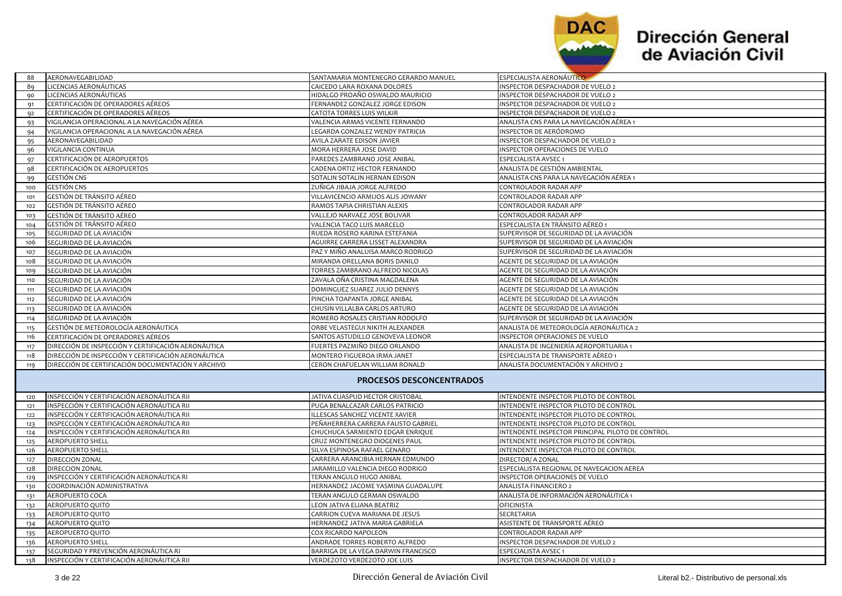

| 88             | AERONAVEGABILIDAD                                                     | SANTAMARIA MONTENEGRO GERARDO MANUEL                              | <b>ESPECIALISTA AERONÁUTICO</b>                                                            |  |  |
|----------------|-----------------------------------------------------------------------|-------------------------------------------------------------------|--------------------------------------------------------------------------------------------|--|--|
| 89             | LICENCIAS AERONÁUTICAS                                                | CAICEDO LARA ROXANA DOLORES                                       | INSPECTOR DESPACHADOR DE VUELO 2                                                           |  |  |
| 90             | LICENCIAS AERONÁUTICAS                                                | HIDALGO PROAÑO OSWALDO MAURICIO                                   | INSPECTOR DESPACHADOR DE VUELO 2                                                           |  |  |
| 91             | CERTIFICACIÓN DE OPERADORES AÉREOS                                    | FERNANDEZ GONZALEZ JORGE EDISON                                   | INSPECTOR DESPACHADOR DE VUELO 2                                                           |  |  |
| q <sub>2</sub> | CERTIFICACIÓN DE OPERADORES AÉREOS                                    | CATOTA TORRES LUIS WILKIR                                         | INSPECTOR DESPACHADOR DE VUELO 2                                                           |  |  |
| 93             | VIGILANCIA OPERACIONAL A LA NAVEGACIÓN AÉREA                          | VALENCIA ARMAS VICENTE FERNANDO                                   | ANALISTA CNS PARA LA NAVEGACIÓN AÉREA 1                                                    |  |  |
| 94             | VIGILANCIA OPERACIONAL A LA NAVEGACIÓN AÉREA                          | LEGARDA GONZALEZ WENDY PATRICIA                                   | INSPECTOR DE AERÓDROMO                                                                     |  |  |
| 95             | AERONAVEGABILIDAD                                                     | AVILA ZARATE EDISON JAVIER                                        | INSPECTOR DESPACHADOR DE VUELO 2                                                           |  |  |
| 96             | VIGILANCIA CONTINUA                                                   | MORA HERRERA JOSE DAVID                                           | INSPECTOR OPERACIONES DE VUELO                                                             |  |  |
| 97             | CERTIFICACIÓN DE AEROPUERTOS                                          | PAREDES ZAMBRANO JOSE ANIBAL                                      | ESPECIALISTA AVSEC 1                                                                       |  |  |
| -98            | CERTIFICACIÓN DE AEROPUERTOS                                          | CADENA ORTIZ HECTOR FERNANDO                                      | ANALISTA DE GESTIÓN AMBIENTAL                                                              |  |  |
| 99             | <b>GESTIÓN CNS</b>                                                    | SOTALIN SOTALIN HERNAN EDISON                                     | ANALISTA CNS PARA LA NAVEGACIÓN AÉREA 1                                                    |  |  |
| 100            | GESTIÓN CNS                                                           | ZUÑIGA JIBAJA JORGE ALFREDO                                       | CONTROLADOR RADAR APP                                                                      |  |  |
| 101            | GESTIÓN DE TRÁNSITO AÉREO                                             | VILLAVICENCIO ARMIJOS ALIS JOWANY                                 | CONTROLADOR RADAR APP                                                                      |  |  |
| 102            | GESTIÓN DE TRÁNSITO AÉREO                                             | RAMOS TAPIA CHRISTIAN ALEXIS                                      | CONTROLADOR RADAR APP                                                                      |  |  |
| 103            | GESTIÓN DE TRÁNSITO AÉREO                                             | VALLEJO NARVAEZ JOSE BOLIVAR                                      | CONTROLADOR RADAR APP                                                                      |  |  |
| 104            | GESTIÓN DE TRÁNSITO AÉREO                                             | VALENCIA TACO LUIS MARCELO                                        | ESPECIALISTA EN TRÁNSITO AÉREO 1                                                           |  |  |
| 105            | SEGURIDAD DE LA AVIACIÓN                                              | RUEDA ROSERO KARINA ESTEFANIA                                     | SUPERVISOR DE SEGURIDAD DE LA AVIACIÓN                                                     |  |  |
| 106            | SEGURIDAD DE LA AVIACIÓN                                              | AGUIRRE CARRERA LISSET ALEXANDRA                                  | SUPERVISOR DE SEGURIDAD DE LA AVIACIÓN                                                     |  |  |
| 107            | SEGURIDAD DE LA AVIACIÓN                                              | PAZ Y MIÑO ANALUISA MARCO RODRIGO                                 | SUPERVISOR DE SEGURIDAD DE LA AVIACIÓN                                                     |  |  |
| 108            | SEGURIDAD DE LA AVIACIÓN                                              | MIRANDA ORELLANA BORIS DANILO                                     | AGENTE DE SEGURIDAD DE LA AVIACIÓN                                                         |  |  |
| 109            | SEGURIDAD DE LA AVIACIÓN                                              | TORRES ZAMBRANO ALFREDO NICOLAS                                   | AGENTE DE SEGURIDAD DE LA AVIACIÓN                                                         |  |  |
| 110            | SEGURIDAD DE LA AVIACIÓN                                              | ZAVALA OÑA CRISTINA MAGDALENA                                     | AGENTE DE SEGURIDAD DE LA AVIACIÓN                                                         |  |  |
| 111            | SEGURIDAD DE LA AVIACIÓN                                              | DOMINGUEZ SUAREZ JULIO DENNYS                                     | AGENTE DE SEGURIDAD DE LA AVIACIÓN                                                         |  |  |
| 112            | SEGURIDAD DE LA AVIACIÓN                                              | PINCHA TOAPANTA JORGE ANIBAL                                      | AGENTE DE SEGURIDAD DE LA AVIACIÓN                                                         |  |  |
| 113            | SEGURIDAD DE LA AVIACIÓN                                              | CHUSIN VILLALBA CARLOS ARTURO                                     | AGENTE DE SEGURIDAD DE LA AVIACIÓN                                                         |  |  |
| 114            | SEGURIDAD DE LA AVIACIÓN                                              | ROMERO ROSALES CRISTIAN RODOLFO                                   | SUPERVISOR DE SEGURIDAD DE LA AVIACIÓN                                                     |  |  |
| 115            | GESTIÓN DE METEOROLOGÍA AERONÁUTICA                                   | ORBE VELASTEGUI NIKITH ALEXANDER                                  | ANALISTA DE METEOROLOGÍA AERONÁUTICA 2                                                     |  |  |
| 116            | CERTIFICACIÓN DE OPERADORES AÉREOS                                    | SANTOS ASTUDILLO GENOVEVA LEONOR                                  | INSPECTOR OPERACIONES DE VUELO                                                             |  |  |
| 117            | DIRECCIÓN DE INSPECCIÓN Y CERTIFICACIÓN AERONÁUTICA                   | FUERTES PAZMIÑO DIEGO ORLANDO                                     | ANALISTA DE INGENIERÍA AEROPORTUARIA 1                                                     |  |  |
| 118            | DIRECCIÓN DE INSPECCIÓN Y CERTIFICACIÓN AERONÁUTICA                   | MONTERO FIGUEROA IRMA JANET                                       | ESPECIALISTA DE TRANSPORTE AÉREO 1                                                         |  |  |
| 119            | DIRECCIÓN DE CERTIFICACIÓN DOCUMENTACIÓN Y ARCHIVO                    | CERON CHAFUELAN WILLIAM RONALD                                    | ANALISTA DOCUMENTACIÓN Y ARCHIVO 2                                                         |  |  |
|                |                                                                       |                                                                   |                                                                                            |  |  |
|                | <b>PROCESOS DESCONCENTRADOS</b>                                       |                                                                   |                                                                                            |  |  |
|                |                                                                       |                                                                   |                                                                                            |  |  |
| 120            | INSPECCIÓN Y CERTIFICACIÓN AERONÁUTICA RII                            | JATIVA CUASPUD HECTOR CRISTOBAL                                   | INTENDENTE INSPECTOR PILOTO DE CONTROL                                                     |  |  |
| 121            | INSPECCIÓN Y CERTIFICACIÓN AERONÁUTICA RII                            | PUGA BENALCAZAR CARLOS PATRICIO                                   | INTENDENTE INSPECTOR PILOTO DE CONTROL                                                     |  |  |
| 122            | INSPECCIÓN Y CERTIFICACIÓN AERONÁUTICA RII                            | ILLESCAS SANCHEZ VICENTE XAVIER                                   | INTENDENTE INSPECTOR PILOTO DE CONTROL                                                     |  |  |
| 123            | INSPECCIÓN Y CERTIFICACIÓN AERONÁUTICA RII                            | PEÑAHERRERA CARRERA FAUSTO GABRIEL                                | INTENDENTE INSPECTOR PILOTO DE CONTROL                                                     |  |  |
| 124            | INSPECCIÓN Y CERTIFICACIÓN AERONÁUTICA RII<br><b>AEROPUERTO SHELL</b> | CHUCHUCA SARMIENTO EDGAR ENRIQUE<br>CRUZ MONTENEGRO DIOGENES PAUL | INTENDENTE INSPECTOR PRINCIPAL PILOTO DE CONTROL<br>INTENDENTE INSPECTOR PILOTO DE CONTROL |  |  |
| 125<br>126     | <b>AEROPUERTO SHELL</b>                                               | SILVA ESPINOSA RAFAEL GENARO                                      | INTENDENTE INSPECTOR PILOTO DE CONTROL                                                     |  |  |
| 127            | DIRECCION ZONAL                                                       | CARRERA ARANCIBIA HERNAN EDMUNDO                                  | DIRECTOR/ A ZONAL                                                                          |  |  |
| 128            | DIRECCION ZONAL                                                       | JARAMILLO VALENCIA DIEGO RODRIGO                                  | ESPECIALISTA REGIONAL DE NAVEGACION AEREA                                                  |  |  |
| 129            | INSPECCIÓN Y CERTIFICACIÓN AERONÁUTICA RI                             | TERAN ANGULO HUGO ANIBAL                                          | INSPECTOR OPERACIONES DE VUELO                                                             |  |  |
| 130            | COORDINACIÓN ADMINISTRATIVA                                           | HERNANDEZ JACOME YASMINA GUADALUPE                                | ANALISTA FINANCIERO 2                                                                      |  |  |
| 131            | AEROPUERTO COCA                                                       | TERAN ANGULO GERMAN OSWALDO                                       | ANALISTA DE INFORMACIÓN AERONÁUTICA 1                                                      |  |  |
| 132            | AEROPUERTO QUITO                                                      | LEON JATIVA ELIANA BEATRIZ                                        | OFICINISTA                                                                                 |  |  |
| 133            | AEROPUERTO QUITO                                                      | CARRION CUEVA MARIANA DE JESUS                                    | SECRETARIA                                                                                 |  |  |
| 134            | AEROPUERTO QUITO                                                      | HERNANDEZ JATIVA MARIA GABRIELA                                   | ASISTENTE DE TRANSPORTE AÉREO                                                              |  |  |
| 135            | AEROPUERTO QUITO                                                      | COX RICARDO NAPOLEON                                              | CONTROLADOR RADAR APP                                                                      |  |  |
| 136            | <b>AEROPUERTO SHELL</b>                                               | ANDRADE TORRES ROBERTO ALFREDO                                    | INSPECTOR DESPACHADOR DE VUELO 2                                                           |  |  |
| 137            | SEGURIDAD Y PREVENCIÓN AERONÁUTICA RI                                 | BARRIGA DE LA VEGA DARWIN FRANCISCO                               | ESPECIALISTA AVSEC 1                                                                       |  |  |
| 138            | INSPECCIÓN Y CERTIFICACIÓN AERONÁUTICA RII                            | VERDEZOTO VERDEZOTO JOE LUIS                                      | <b>INSPECTOR DESPACHADOR DE VUELO 2</b>                                                    |  |  |
|                |                                                                       |                                                                   |                                                                                            |  |  |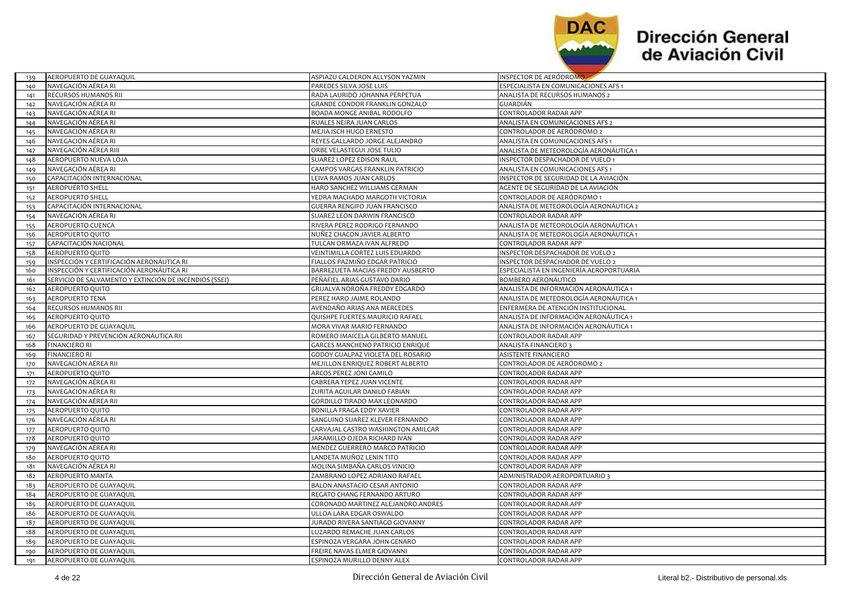

| 139 | AEROPUERTO DE GUAYAQUIL                                | ASPIAZU CALDERON ALLYSON YAZMIN      | INSPECTOR DE AERODROMO                   |
|-----|--------------------------------------------------------|--------------------------------------|------------------------------------------|
| 140 | NAVEGACIÓN AÉREA RI                                    | PAREDES SILVA JOSE LUIS              | ESPECIALISTA EN COMUNICACIONES AFS 1     |
| 141 | RECURSOS HUMANOS RII                                   | RADA LAURIDO JOHANNA PERPETUA        | ANALISTA DE RECURSOS HUMANOS 2           |
| 142 | NAVEGACIÓN AÉREA RI                                    | GRANDE CONDOR FRANKLIN GONZALO       | GUARDIÁN                                 |
| 143 | NAVEGACIÓN AÉREA RI                                    | BOADA MONGE ANIBAL RODOLFO           | CONTROLADOR RADAR APP                    |
| 144 | NAVEGACIÓN AÉREA RI                                    | RUALES NEIRA JUAN CARLOS             | ANALISTA EN COMUNICACIONES AFS 2         |
| 145 | NAVEGACIÓN AÉREA RI                                    | MEJIA ISCH HUGO ERNESTO              | CONTROLADOR DE AERÓDROMO 2               |
| 146 | NAVEGACIÓN AÉREA RI                                    | REYES GALLARDO JORGE ALEJANDRO       | ANALISTA EN COMUNICACIONES AFS 1         |
| 147 | NAVEGACIÓN AÉREA RIII                                  | ORBE VELASTEGUI JOSE TULIO           | ANALISTA DE METEOROLOGÍA AERONÁUTICA 1   |
| 148 | AEROPUERTO NUEVA LOJA                                  | SUAREZ LOPEZ EDISON RAUL             | <b>INSPECTOR DESPACHADOR DE VUELO 1</b>  |
| 149 | NAVEGACIÓN AÉREA RI                                    | CAMPOS VARGAS FRANKLIN PATRICIO      | ANALISTA EN COMUNICACIONES AFS 1         |
| 150 | CAPACITACIÓN INTERNACIONAL                             | LEIVA RAMOS JUAN CARLOS              | INSPECTOR DE SEGURIDAD DE LA AVIACIÓN    |
| 151 | <b>AEROPUERTO SHELL</b>                                | HARO SANCHEZ WILLIAMS GERMAN         | AGENTE DE SEGURIDAD DE LA AVIACIÓN       |
| 152 | <b>AEROPUERTO SHELL</b>                                | YEDRA MACHADO MARGOTH VICTORIA       | CONTROLADOR DE AERÓDROMO 1               |
| 153 | CAPACITACIÓN INTERNACIONAL                             | <b>GUERRA RENGIFO JUAN FRANCISCO</b> | ANALISTA DE METEOROLOGÍA AERONÁUTICA 2   |
| 154 | NAVEGACIÓN AÉREA RI                                    | SUAREZ LEON DARWIN FRANCISCO         | CONTROLADOR RADAR APP                    |
| 155 | AEROPUERTO CUENCA                                      | RIVERA PEREZ RODRIGO FERNANDO        | ANALISTA DE METEOROLOGÍA AERONÁUTICA 1   |
| 156 | AEROPUERTO QUITO                                       | NUÑEZ CHACON JAVIER ALBERTO          | ANALISTA DE METEOROLOGÍA AERONÁUTICA 1   |
| 157 | CAPACITACIÓN NACIONAL                                  | TULCAN ORMAZA IVAN ALFREDO           | CONTROLADOR RADAR APP                    |
| 158 | AEROPUERTO QUITO                                       | VEINTIMILLA CORTEZ LUIS EDUARDO      | INSPECTOR DESPACHADOR DE VUELO 2         |
| 159 | INSPECCIÓN Y CERTIFICACIÓN AERONÁUTICA RI              | FIALLOS PAZMIÑO EDGAR PATRICIO       | INSPECTOR DESPACHADOR DE VUELO 2         |
| 160 | INSPECCIÓN Y CERTIFICACIÓN AERONÁUTICA RI              | BARREZUETA MACIAS FREDDY AUSBERTO    | ESPECIALISTA EN INGENIERÍA AEROPORTUARIA |
| 161 | SERVICIO DE SALVAMENTO Y EXTINCIÓN DE INCENDIOS (SSEI) | PEÑAFIEL ARIAS GUSTAVO DARIO         | BOMBERO AERONÁUTICO                      |
| 162 | AEROPUERTO QUITO                                       | GRIJALVA NOROÑA FREDDY EDGARDO       | ANALISTA DE INFORMACIÓN AERONÁUTICA 1    |
| 163 | <b>AEROPUERTO TENA</b>                                 | PEREZ HARO JAIME ROLANDO             | ANALISTA DE METEOROLOGÍA AERONÁUTICA 1   |
| 164 | RECURSOS HUMANOS RII                                   | AVENDAÑO ARIAS ANA MERCEDES          | ENFERMERA DE ATENCIÓN INSTITUCIONAL      |
| 165 | AEROPUERTO QUITO                                       | QUISHPE FUERTES MAURICIO RAFAEL      | ANALISTA DE INFORMACIÓN AERONÁUTICA 1    |
| 166 | AEROPUERTO DE GUAYAQUIL                                | MORA VIVAR MARIO FERNANDO            | ANALISTA DE INFORMACIÓN AERONÁUTICA 1    |
| 167 | SEGURIDAD Y PREVENCIÓN AERONÁUTICA RII                 | ROMERO IMAICELA GILBERTO MANUEL      | CONTROLADOR RADAR APP                    |
| 168 | <b>FINANCIERO RI</b>                                   | GARCES MANCHENO PATRICIO ENRIQUE     | <b>ANALISTA FINANCIERO</b>               |
| 169 | <b>FINANCIERO RI</b>                                   | GODOY GUALPAZ VIOLETA DEL ROSARIO    | ASISTENTE FINANCIERO                     |
| 170 | NAVEGACIÓN AÉREA RII                                   | MEJILLON ENRIQUEZ ROBERT ALBERTO     | CONTROLADOR DE AERÓDROMO 2               |
| 171 | AEROPUERTO QUITO                                       | ARCOS PEREZ JONI CAMILO              | CONTROLADOR RADAR APP                    |
| 172 | NAVEGACIÓN AÉREA RI                                    | CABRERA YEPEZ JUAN VICENTE           | CONTROLADOR RADAR APP                    |
| 173 | NAVEGACIÓN AÉREA RI                                    | ZURITA AGUILAR DANILO FABIAN         | CONTROLADOR RADAR APP                    |
| 174 | NAVEGACIÓN AÉREA RII                                   | GORDILLO TIRADO MAX LEONARDO         | CONTROLADOR RADAR APP                    |
| 175 | AEROPUERTO QUITO                                       | BONILLA FRAGA EDDY XAVIER            | CONTROLADOR RADAR APP                    |
| 176 | NAVEGACIÓN AÉREA RI                                    | SANGUINO SUAREZ KLEVER FERNANDO      | CONTROLADOR RADAR APP                    |
| 177 | AEROPUERTO QUITO                                       | CARVAJAL CASTRO WASHINGTON AMILCAR   | CONTROLADOR RADAR APP                    |
| 178 | AEROPUERTO QUITO                                       | JARAMILLO OJEDA RICHARD IVAN         | CONTROLADOR RADAR APP                    |
| 179 | NAVEGACIÓN AÉREA RI                                    | MENDEZ GUERRERO MARCO PATRICIO       | CONTROLADOR RADAR APP                    |
| 180 | AEROPUERTO QUITO                                       | LANDETA MUÑOZ LENIN TITO             | CONTROLADOR RADAR APP                    |
| 181 | NAVEGACIÓN AÉREA RI                                    | MOLINA SIMBAÑA CARLOS VINICIO        | CONTROLADOR RADAR APP                    |
| 182 | AEROPUERTO MANTA                                       | ZAMBRANO LOPEZ ADRIANO RAFAEL        | ADMINISTRADOR AEROPORTUARIO 3            |
| 183 | AEROPUERTO DE GUAYAQUIL                                | BALON ANASTACIO CESAR ANTONIO        | CONTROLADOR RADAR APP                    |
| 184 | AEROPUERTO DE GUAYAQUIL                                | REGATO CHANG FERNANDO ARTURO         | CONTROLADOR RADAR APP                    |
| 185 | AEROPUERTO DE GUAYAQUIL                                | CORONADO MARTINEZ ALEJANDRO ANDRES   | CONTROLADOR RADAR APP                    |
| 186 | AEROPUERTO DE GUAYAQUIL                                | ULLOA LARA EDGAR OSWALDO             | CONTROLADOR RADAR APP                    |
| 187 | AEROPUERTO DE GUAYAQUIL                                | JURADO RIVERA SANTIAGO GIOVANNY      | CONTROLADOR RADAR APP                    |
| 188 | AEROPUERTO DE GUAYAQUIL                                | LUZARDO REMACHE JUAN CARLOS          | CONTROLADOR RADAR APP                    |
| 189 | AEROPUERTO DE GUAYAQUIL                                | ESPINOZA VERGARA JOHN GENARO         | CONTROLADOR RADAR APP                    |
| 190 | AEROPUERTO DE GUAYAQUIL                                | FREIRE NAVAS ELMER GIOVANNI          | CONTROLADOR RADAR APP                    |
| 191 | AEROPUERTO DE GUAYAQUIL                                | ESPINOZA MURILLO DENNY ALEX          | CONTROLADOR RADAR APP                    |
|     |                                                        |                                      |                                          |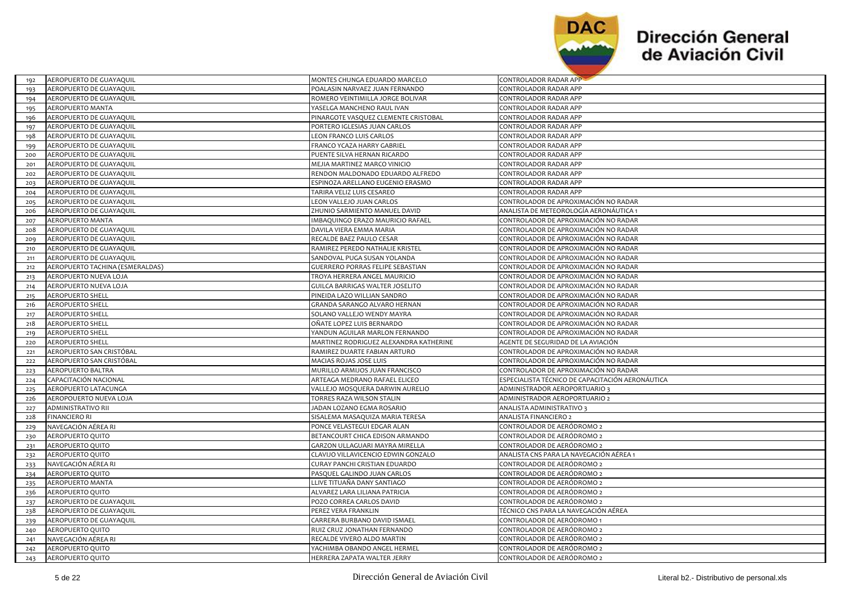

| 192 | AEROPUERTO DE GUAYAQUIL         | MONTES CHUNGA EDUARDO MARCELO           | CONTROLADOR RADAR APP                            |
|-----|---------------------------------|-----------------------------------------|--------------------------------------------------|
| 193 | AEROPUERTO DE GUAYAQUIL         | POALASIN NARVAEZ JUAN FERNANDO          | CONTROLADOR RADAR APP                            |
| 194 | AEROPUERTO DE GUAYAQUIL         | ROMERO VEINTIMILLA JORGE BOLIVAR        | CONTROLADOR RADAR APP                            |
| 195 | AEROPUERTO MANTA                | YASELGA MANCHENO RAUL IVAN              | CONTROLADOR RADAR APP                            |
| 196 | AEROPUERTO DE GUAYAQUIL         | PINARGOTE VASQUEZ CLEMENTE CRISTOBAL    | CONTROLADOR RADAR APP                            |
| 197 | AEROPUERTO DE GUAYAQUIL         | PORTERO IGLESIAS JUAN CARLOS            | CONTROLADOR RADAR APP                            |
| 198 | AEROPUERTO DE GUAYAQUIL         | LEON FRANCO LUIS CARLOS                 | <b>CONTROLADOR RADAR APP</b>                     |
| 199 | AEROPUERTO DE GUAYAQUIL         | FRANCO YCAZA HARRY GABRIEL              | CONTROLADOR RADAR APP                            |
| 200 | AEROPUERTO DE GUAYAQUIL         | PUENTE SILVA HERNAN RICARDO             | CONTROLADOR RADAR APP                            |
| 201 | AEROPUERTO DE GUAYAQUIL         | MEJIA MARTINEZ MARCO VINICIO            | CONTROLADOR RADAR APP                            |
| 202 | AEROPUERTO DE GUAYAQUIL         | RENDON MALDONADO EDUARDO ALFREDO        | CONTROLADOR RADAR APP                            |
| 203 | AEROPUERTO DE GUAYAQUIL         | ESPINOZA ARELLANO EUGENIO ERASMO        | CONTROLADOR RADAR APP                            |
| 204 | AEROPUERTO DE GUAYAQUIL         | TARIRA VELIZ LUIS CESAREO               | CONTROLADOR RADAR APP                            |
| 205 | AEROPUERTO DE GUAYAQUIL         | LEON VALLEJO JUAN CARLOS                | CONTROLADOR DE APROXIMACIÓN NO RADAR             |
| 206 | AEROPUERTO DE GUAYAQUIL         | ZHUNIO SARMIENTO MANUEL DAVID           | ANALISTA DE METEOROLOGÍA AERONÁUTICA 1           |
| 207 | AEROPUERTO MANTA                | IMBAQUINGO ERAZO MAURICIO RAFAEL        | CONTROLADOR DE APROXIMACIÓN NO RADAR             |
| 208 | AEROPUERTO DE GUAYAQUIL         | DAVILA VIERA EMMA MARIA                 | CONTROLADOR DE APROXIMACIÓN NO RADAR             |
| 209 | AEROPUERTO DE GUAYAQUIL         | RECALDE BAEZ PAULO CESAR                | <b>CONTROLADOR DE APROXIMACIÓN NO RADAR</b>      |
| 210 | AEROPUERTO DE GUAYAQUIL         | RAMIREZ PEREDO NATHALIE KRISTEL         | CONTROLADOR DE APROXIMACIÓN NO RADAR             |
| 211 | AEROPUERTO DE GUAYAQUIL         | SANDOVAL PUGA SUSAN YOLANDA             | CONTROLADOR DE APROXIMACIÓN NO RADAR             |
| 212 | AEROPUERTO TACHINA (ESMERALDAS) | <b>GUERRERO PORRAS FELIPE SEBASTIAN</b> | CONTROLADOR DE APROXIMACIÓN NO RADAR             |
| 213 | AEROPUERTO NUEVA LOJA           | TROYA HERRERA ANGEL MAURICIO            | CONTROLADOR DE APROXIMACIÓN NO RADAR             |
| 214 | AEROPUERTO NUEVA LOJA           | <b>GUILCA BARRIGAS WALTER JOSELITO</b>  | CONTROLADOR DE APROXIMACIÓN NO RADAR             |
| 215 | <b>AEROPUERTO SHELL</b>         | PINEIDA LAZO WILLIAN SANDRO             | CONTROLADOR DE APROXIMACIÓN NO RADAR             |
| 216 | <b>AEROPUERTO SHELL</b>         | GRANDA SARANGO ALVARO HERNAN            | CONTROLADOR DE APROXIMACIÓN NO RADAR             |
| 217 | <b>AEROPUERTO SHELL</b>         | SOLANO VALLEJO WENDY MAYRA              | CONTROLADOR DE APROXIMACIÓN NO RADAR             |
| 218 | <b>AEROPUERTO SHELL</b>         | OÑATE LOPEZ LUIS BERNARDO               | CONTROLADOR DE APROXIMACIÓN NO RADAR             |
| 219 | <b>AEROPUERTO SHELL</b>         | YANDUN AGUILAR MARLON FERNANDO          | CONTROLADOR DE APROXIMACIÓN NO RADAR             |
| 220 | <b>AEROPUERTO SHELL</b>         | MARTINEZ RODRIGUEZ ALEXANDRA KATHERINE  | AGENTE DE SEGURIDAD DE LA AVIACIÓN               |
| 221 | AEROPUERTO SAN CRISTÓBAL        | RAMIREZ DUARTE FABIAN ARTURO            | CONTROLADOR DE APROXIMACIÓN NO RADAR             |
| 222 | AEROPUERTO SAN CRISTÓBAL        | MACIAS ROJAS JOSE LUIS                  | CONTROLADOR DE APROXIMACIÓN NO RADAR             |
| 223 | AEROPUERTO BALTRA               | MURILLO ARMIJOS JUAN FRANCISCO          | CONTROLADOR DE APROXIMACIÓN NO RADAR             |
| 224 | CAPACITACIÓN NACIONAL           | ARTEAGA MEDRANO RAFAEL ELICEO           | ESPECIALISTA TÉCNICO DE CAPACITACIÓN AERONÁUTICA |
| 225 | AEROPUERTO LATACUNGA            | VALLEJO MOSQUERA DARWIN AURELIO         | ADMINISTRADOR AEROPORTUARIO 3                    |
| 226 | AEROPOUERTO NUEVA LOJA          | TORRES RAZA WILSON STALIN               | ADMINISTRADOR AEROPORTUARIO 2                    |
| 227 | <b>ADMINISTRATIVO RII</b>       | JADAN LOZANO EGMA ROSARIO               | ANALISTA ADMINISTRATIVO 3                        |
| 228 | <b>FINANCIERO RI</b>            | SISALEMA MASAQUIZA MARIA TERESA         | ANALISTA FINANCIERO 2                            |
| 229 | NAVEGACIÓN AÉREA RI             | PONCE VELASTEGUI EDGAR ALAN             | CONTROLADOR DE AERÓDROMO 2                       |
| 230 | AEROPUERTO QUITO                | BETANCOURT CHICA EDISON ARMANDO         | CONTROLADOR DE AERÓDROMO 2                       |
| 231 | AEROPUERTO QUITO                | GARZON ULLAGUARI MAYRA MIRELLA          | CONTROLADOR DE AERÓDROMO 2                       |
| 232 | AEROPUERTO QUITO                | CLAVIJO VILLAVICENCIO EDWIN GONZALO     | ANALISTA CNS PARA LA NAVEGACIÓN AÉREA 1          |
| 233 | NAVEGACIÓN AÉREA RI             | <b>CURAY PANCHI CRISTIAN EDUARDO</b>    | CONTROLADOR DE AERÓDROMO 2                       |
| 234 | AEROPUERTO QUITO                | PASQUEL GALINDO JUAN CARLOS             | CONTROLADOR DE AERÓDROMO 2                       |
| 235 | <b>AEROPUERTO MANTA</b>         | LLIVE TITUAÑA DANY SANTIAGO             | CONTROLADOR DE AERÓDROMO 2                       |
| 236 | AEROPUERTO QUITO                | ALVAREZ LARA LILIANA PATRICIA           | CONTROLADOR DE AERÓDROMO 2                       |
| 237 | AEROPUERTO DE GUAYAQUIL         | POZO CORREA CARLOS DAVID                | CONTROLADOR DE AERÓDROMO 2                       |
| 238 | AEROPUERTO DE GUAYAQUIL         | PEREZ VERA FRANKLIN                     | TÉCNICO CNS PARA LA NAVEGACIÓN AÉREA             |
| 239 | AEROPUERTO DE GUAYAQUIL         | CARRERA BURBANO DAVID ISMAEL            | CONTROLADOR DE AERÓDROMO 1                       |
| 240 | AEROPUERTO QUITO                | RUIZ CRUZ JONATHAN FERNANDO             | CONTROLADOR DE AERÓDROMO 2                       |
| 241 | NAVEGACIÓN AÉREA RI             | RECALDE VIVERO ALDO MARTIN              | CONTROLADOR DE AERÓDROMO 2                       |
| 242 | <b>AEROPUERTO QUITO</b>         | YACHIMBA OBANDO ANGEL HERMEL            | CONTROLADOR DE AERÓDROMO 2                       |
| 243 | <b>AEROPUERTO QUITO</b>         | HERRERA ZAPATA WALTER JERRY             | CONTROLADOR DE AERÓDROMO 2                       |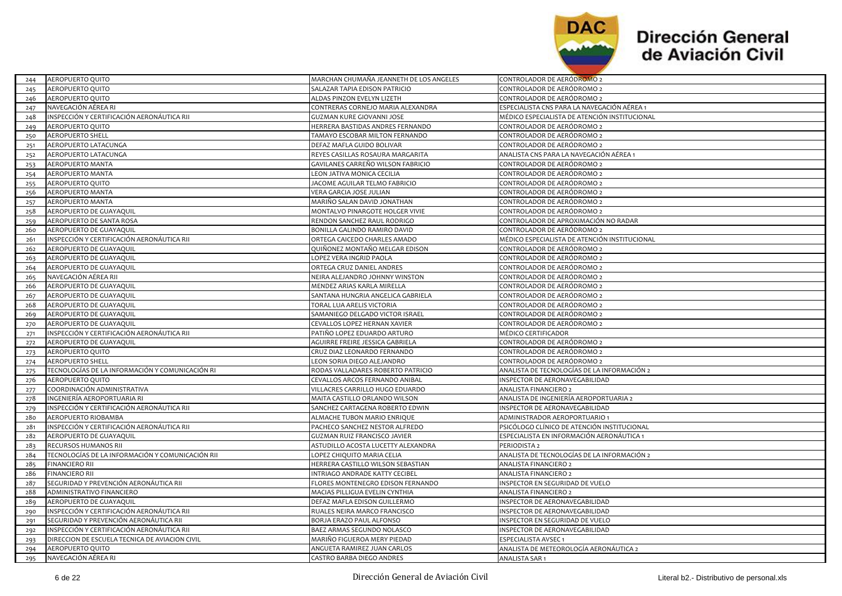

| 244 | AEROPUERTO QUITO                                 | MARCHAN CHUMANA JEANNETH DE LOS ANGELES | CONTROLADOR DE AERODROMO 2                    |
|-----|--------------------------------------------------|-----------------------------------------|-----------------------------------------------|
| 245 | AEROPUERTO QUITO                                 | SALAZAR TAPIA EDISON PATRICIO           | CONTROLADOR DE AERÓDROMO 2                    |
| 246 | AEROPUERTO QUITO                                 | ALDAS PINZON EVELYN LIZETH              | CONTROLADOR DE AERÓDROMO 2                    |
| 247 | NAVEGACIÓN AÉREA RI                              | CONTRERAS CORNEJO MARIA ALEXANDRA       | ESPECIALISTA CNS PARA LA NAVEGACIÓN AÉREA 1   |
| 248 | INSPECCIÓN Y CERTIFICACIÓN AERONÁUTICA RII       | <b>GUZMAN KURE GIOVANNI JOSE</b>        | MÉDICO ESPECIALISTA DE ATENCIÓN INSTITUCIONAL |
| 249 | AEROPUERTO QUITO                                 | HERRERA BASTIDAS ANDRES FERNANDO        | CONTROLADOR DE AERÓDROMO 2                    |
| 250 | <b>AEROPUERTO SHELL</b>                          | TAMAYO ESCOBAR MILTON FERNANDO          | CONTROLADOR DE AERÓDROMO 2                    |
| 251 | AEROPUERTO LATACUNGA                             | DEFAZ MAFLA GUIDO BOLIVAR               | CONTROLADOR DE AERÓDROMO 2                    |
| 252 | AEROPUERTO LATACUNGA                             | REYES CASILLAS ROSAURA MARGARITA        | ANALISTA CNS PARA LA NAVEGACIÓN AÉREA 1       |
| 253 | <b>AEROPUERTO MANTA</b>                          | GAVILANES CARREÑO WILSON FABRICIO       | CONTROLADOR DE AERÓDROMO 2                    |
| 254 | AEROPUERTO MANTA                                 | LEON JATIVA MONICA CECILIA              | CONTROLADOR DE AERÓDROMO 2                    |
| 255 | AEROPUERTO QUITO                                 | JACOME AGUILAR TELMO FABRICIO           | CONTROLADOR DE AERÓDROMO 2                    |
| 256 | AEROPUERTO MANTA                                 | VERA GARCIA JOSE JULIAN                 | CONTROLADOR DE AERÓDROMO 2                    |
| 257 | AEROPUERTO MANTA                                 | MARIÑO SALAN DAVID JONATHAN             | CONTROLADOR DE AERÓDROMO 2                    |
| 258 | AEROPUERTO DE GUAYAQUIL                          | MONTALVO PINARGOTE HOLGER VIVIE         | CONTROLADOR DE AERÓDROMO 2                    |
| 259 | AEROPUERTO DE SANTA ROSA                         | RENDON SANCHEZ RAUL RODRIGO             | CONTROLADOR DE APROXIMACIÓN NO RADAR          |
| 260 | AEROPUERTO DE GUAYAQUIL                          | BONILLA GALINDO RAMIRO DAVID            | CONTROLADOR DE AERÓDROMO 2                    |
| 261 | INSPECCIÓN Y CERTIFICACIÓN AERONÁUTICA RII       | ORTEGA CAICEDO CHARLES AMADO            | MÉDICO ESPECIALISTA DE ATENCIÓN INSTITUCIONAL |
| 262 | AEROPUERTO DE GUAYAQUIL                          | QUIÑONEZ MONTAÑO MELGAR EDISON          | CONTROLADOR DE AERÓDROMO 2                    |
| 263 | AEROPUERTO DE GUAYAQUIL                          | LOPEZ VERA INGRID PAOLA                 | CONTROLADOR DE AERÓDROMO 2                    |
| 264 | AEROPUERTO DE GUAYAQUIL                          | ORTEGA CRUZ DANIEL ANDRES               | CONTROLADOR DE AERÓDROMO 2                    |
| 265 | NAVEGACIÓN AÉREA RII                             | NEIRA ALEJANDRO JOHNNY WINSTON          | CONTROLADOR DE AERÓDROMO 2                    |
| 266 | AEROPUERTO DE GUAYAQUIL                          | MENDEZ ARIAS KARLA MIRELLA              | CONTROLADOR DE AERÓDROMO 2                    |
| 267 | AEROPUERTO DE GUAYAQUIL                          | SANTANA HUNGRIA ANGELICA GABRIELA       | CONTROLADOR DE AERÓDROMO 2                    |
| 268 | AEROPUERTO DE GUAYAQUIL                          | TORAL LUA ARELIS VICTORIA               | CONTROLADOR DE AERÓDROMO 2                    |
| 269 | AEROPUERTO DE GUAYAQUIL                          | SAMANIEGO DELGADO VICTOR ISRAEL         | CONTROLADOR DE AERÓDROMO 2                    |
| 270 | AEROPUERTO DE GUAYAQUIL                          | CEVALLOS LOPEZ HERNAN XAVIER            | CONTROLADOR DE AERÓDROMO 2                    |
| 271 | INSPECCIÓN Y CERTIFICACIÓN AERONÁUTICA RII       | PATIÑO LOPEZ EDUARDO ARTURO             | MÉDICO CERTIFICADOR                           |
| 272 | AEROPUERTO DE GUAYAQUIL                          | AGUIRRE FREIRE JESSICA GABRIELA         | CONTROLADOR DE AERÓDROMO 2                    |
| 273 | AEROPUERTO QUITO                                 | CRUZ DIAZ LEONARDO FERNANDO             | CONTROLADOR DE AERÓDROMO 2                    |
| 274 | <b>AEROPUERTO SHELL</b>                          | LEON SORIA DIEGO ALEJANDRO              | CONTROLADOR DE AERÓDROMO 2                    |
| 275 | TECNOLOGÍAS DE LA INFORMACIÓN Y COMUNICACIÓN RI  | RODAS VALLADARES ROBERTO PATRICIO       | ANALISTA DE TECNOLOGÍAS DE LA INFORMACIÓN 2   |
| 276 | AEROPUERTO QUITO                                 | CEVALLOS ARCOS FERNANDO ANIBAL          | INSPECTOR DE AERONAVEGABILIDAD                |
| 277 | COORDINACIÓN ADMINISTRATIVA                      | VILLACRES CARRILLO HUGO EDUARDO         | ANALISTA FINANCIERO 2                         |
| 278 | INGENIERÍA AEROPORTUARIA RI                      | MAITA CASTILLO ORLANDO WILSON           | ANALISTA DE INGENIERÍA AEROPORTUARIA 2        |
| 279 | INSPECCIÓN Y CERTIFICACIÓN AERONÁUTICA RII       | SANCHEZ CARTAGENA ROBERTO EDWIN         | INSPECTOR DE AERONAVEGABILIDAD                |
| 280 | AEROPUERTO RIOBAMBA                              | ALMACHE TUBON MARIO ENRIQUE             | ADMINISTRADOR AEROPORTUARIO 1                 |
| 281 | INSPECCIÓN Y CERTIFICACIÓN AERONÁUTICA RII       | PACHECO SANCHEZ NESTOR ALFREDO          | PSICÓLOGO CLÍNICO DE ATENCIÓN INSTITUCIONAL   |
| 282 | AEROPUERTO DE GUAYAQUIL                          | <b>GUZMAN RUIZ FRANCISCO JAVIER</b>     | ESPECIALISTA EN INFORMACIÓN AERONÁUTICA 1     |
| 283 | RECURSOS HUMANOS RII                             | ASTUDILLO ACOSTA LUCETTY ALEXANDRA      | PERIODISTA <sub>2</sub>                       |
| 284 | TECNOLOGÍAS DE LA INFORMACIÓN Y COMUNICACIÓN RII | LOPEZ CHIQUITO MARIA CELIA              | ANALISTA DE TECNOLOGÍAS DE LA INFORMACIÓN 2   |
| 285 | FINANCIERO RII                                   | HERRERA CASTILLO WILSON SEBASTIAN       | ANALISTA FINANCIERO 2                         |
| 286 | <b>FINANCIERO RII</b>                            | INTRIAGO ANDRADE KATTY CECIBEL          | <b>ANALISTA FINANCIERO 2</b>                  |
| 287 | SEGURIDAD Y PREVENCIÓN AERONÁUTICA RII           | FLORES MONTENEGRO EDISON FERNANDO       | INSPECTOR EN SEGURIDAD DE VUELO               |
| 288 | ADMINISTRATIVO FINANCIERO                        | MACIAS PILLIGUA EVELIN CYNTHIA          | ANALISTA FINANCIERO 2                         |
| 289 | AEROPUERTO DE GUAYAQUIL                          | DEFAZ MAFLA EDISON GUILLERMO            | INSPECTOR DE AERONAVEGABILIDAD                |
| 290 | INSPECCIÓN Y CERTIFICACIÓN AERONÁUTICA RII       | RUALES NEIRA MARCO FRANCISCO            | INSPECTOR DE AERONAVEGABILIDAD                |
| 291 | SEGURIDAD Y PREVENCIÓN AERONÁUTICA RII           | BORJA ERAZO PAUL ALFONSO                | INSPECTOR EN SEGURIDAD DE VUELO               |
| 292 | INSPECCIÓN Y CERTIFICACIÓN AERONÁUTICA RII       | BAEZ ARMAS SEGUNDO NOLASCO              | INSPECTOR DE AERONAVEGABILIDAD                |
| 293 | DIRECCION DE ESCUELA TECNICA DE AVIACION CIVIL   | MARIÑO FIGUEROA MERY PIEDAD             | ESPECIALISTA AVSEC 1                          |
| 294 | AEROPUERTO QUITO                                 | ANGUETA RAMIREZ JUAN CARLOS             | ANALISTA DE METEOROLOGÍA AERONÁUTICA 2        |
| 295 | NAVEGACIÓN AÉREA RI                              | CASTRO BARBA DIEGO ANDRES               | ANALISTA SAR 1                                |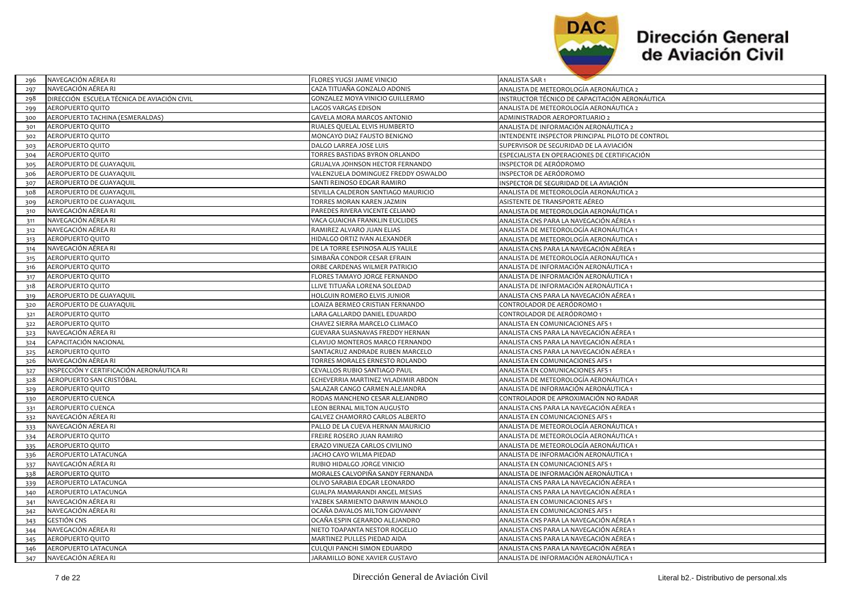

| 296 | NAVEGACION AEREA RI                         | FLORES YUGSI JAIME VINICIO          | ANALISTA SAR 1                                   |
|-----|---------------------------------------------|-------------------------------------|--------------------------------------------------|
| 297 | NAVEGACIÓN AÉREA RI                         | CAZA TITUAÑA GONZALO ADONIS         | ANALISTA DE METEOROLOGÍA AERONÁUTICA 2           |
| 298 | DIRECCIÓN ESCUELA TÉCNICA DE AVIACIÓN CIVIL | GONZALEZ MOYA VINICIO GUILLERMO     | INSTRUCTOR TÉCNICO DE CAPACITACIÓN AERONÁUTICA   |
| 299 | AEROPUERTO QUITO                            | LAGOS VARGAS EDISON                 | ANALISTA DE METEOROLOGÍA AERONÁUTICA 2           |
| 300 | AEROPUERTO TACHINA (ESMERALDAS)             | GAVELA MORA MARCOS ANTONIO          | ADMINISTRADOR AEROPORTUARIO 2                    |
| 301 | AEROPUERTO QUITO                            | RUALES QUELAL ELVIS HUMBERTO        | ANALISTA DE INFORMACIÓN AERONÁUTICA 2            |
| 302 | AEROPUERTO QUITO                            | MONCAYO DIAZ FAUSTO BENIGNO         | INTENDENTE INSPECTOR PRINCIPAL PILOTO DE CONTROL |
| 303 | AEROPUERTO QUITO                            | DALGO LARREA JOSE LUIS              | SUPERVISOR DE SEGURIDAD DE LA AVIACIÓN           |
| 304 | AEROPUERTO QUITO                            | TORRES BASTIDAS BYRON ORLANDO       | ESPECIALISTA EN OPERACIONES DE CERTIFICACIÓN     |
| 305 | AEROPUERTO DE GUAYAQUIL                     | GRIJALVA JOHNSON HECTOR FERNANDO    | INSPECTOR DE AERÓDROMO                           |
| 306 | AEROPUERTO DE GUAYAQUIL                     | VALENZUELA DOMINGUEZ FREDDY OSWALDO | INSPECTOR DE AERÓDROMO                           |
| 307 | AEROPUERTO DE GUAYAQUIL                     | SANTI REINOSO EDGAR RAMIRO          | INSPECTOR DE SEGURIDAD DE LA AVIACIÓN            |
| 308 | AEROPUERTO DE GUAYAQUIL                     | SEVILLA CALDERON SANTIAGO MAURICIO  | ANALISTA DE METEOROLOGÍA AERONÁUTICA 2           |
| 309 | AEROPUERTO DE GUAYAQUIL                     | TORRES MORAN KAREN JAZMIN           | ASISTENTE DE TRANSPORTE AÉREO                    |
| 310 | NAVEGACIÓN AÉREA RI                         | PAREDES RIVERA VICENTE CELIANO      | ANALISTA DE METEOROLOGÍA AERONÁUTICA 1           |
| 311 | NAVEGACIÓN AÉREA RI                         | VACA GUAICHA FRANKLIN EUCLIDES      | ANALISTA CNS PARA LA NAVEGACIÓN AÉREA 1          |
| 312 | NAVEGACIÓN AÉREA RI                         | RAMIREZ ALVARO JUAN ELIAS           | ANALISTA DE METEOROLOGÍA AERONÁUTICA 1           |
| 313 | AEROPUERTO QUITO                            | HIDALGO ORTIZ IVAN ALEXANDER        | ANALISTA DE METEOROLOGÍA AERONÁUTICA 1           |
| 314 | NAVEGACIÓN AÉREA RI                         | DE LA TORRE ESPINOSA ALIS YALILE    | ANALISTA CNS PARA LA NAVEGACIÓN AÉREA 1          |
| 315 | AEROPUERTO QUITO                            | SIMBAÑA CONDOR CESAR EFRAIN         | ANALISTA DE METEOROLOGÍA AERONÁUTICA 1           |
| 316 | AEROPUERTO QUITO                            | ORBE CARDENAS WILMER PATRICIO       | ANALISTA DE INFORMACIÓN AERONÁUTICA 1            |
| 317 | AEROPUERTO QUITO                            | FLORES TAMAYO JORGE FERNANDO        | ANALISTA DE INFORMACIÓN AERONÁUTICA 1            |
| 318 | AEROPUERTO QUITO                            | LLIVE TITUAÑA LORENA SOLEDAD        | ANALISTA DE INFORMACIÓN AERONÁUTICA 1            |
| 319 | AEROPUERTO DE GUAYAQUIL                     | HOLGUIN ROMERO ELVIS JUNIOR         | ANALISTA CNS PARA LA NAVEGACIÓN AÉREA 1          |
| 320 | AEROPUERTO DE GUAYAQUIL                     | LOAIZA BERMEO CRISTIAN FERNANDO     | CONTROLADOR DE AERÓDROMO 1                       |
| 321 | AEROPUERTO QUITO                            | LARA GALLARDO DANIEL EDUARDO        | CONTROLADOR DE AERÓDROMO 1                       |
| 322 | AEROPUERTO QUITO                            | CHAVEZ SIERRA MARCELO CLIMACO       | ANALISTA EN COMUNICACIONES AFS 1                 |
| 323 | NAVEGACIÓN AÉREA RI                         | GUEVARA SUASNAVAS FREDDY HERNAN     | ANALISTA CNS PARA LA NAVEGACIÓN AÉREA 1          |
| 324 | CAPACITACIÓN NACIONAL                       | CLAVIJO MONTEROS MARCO FERNANDO     | ANALISTA CNS PARA LA NAVEGACIÓN AÉREA 1          |
| 325 | AEROPUERTO QUITO                            | SANTACRUZ ANDRADE RUBEN MARCELO     | ANALISTA CNS PARA LA NAVEGACIÓN AÉREA 1          |
| 326 | NAVEGACIÓN AÉREA RI                         | TORRES MORALES ERNESTO ROLANDO      | ANALISTA EN COMUNICACIONES AFS 1                 |
| 327 | INSPECCIÓN Y CERTIFICACIÓN AERONÁUTICA RI   | CEVALLOS RUBIO SANTIAGO PAUL        | ANALISTA EN COMUNICACIONES AFS 1                 |
| 328 | AEROPUERTO SAN CRISTÓBAL                    | ECHEVERRIA MARTINEZ WLADIMIR ABDON  | ANALISTA DE METEOROLOGÍA AERONÁUTICA 1           |
| 329 | AEROPUERTO QUITO                            | SALAZAR CANGO CARMEN ALEJANDRA      | ANALISTA DE INFORMACIÓN AERONÁUTICA 1            |
| 330 | AEROPUERTO CUENCA                           | RODAS MANCHENO CESAR ALEJANDRO      | CONTROLADOR DE APROXIMACIÓN NO RADAR             |
| 331 | AEROPUERTO CUENCA                           | LEON BERNAL MILTON AUGUSTO          | ANALISTA CNS PARA LA NAVEGACIÓN AÉREA 1          |
| 332 | NAVEGACIÓN AÉREA RI                         | GALVEZ CHAMORRO CARLOS ALBERTO      | ANALISTA EN COMUNICACIONES AFS 1                 |
| 333 | NAVEGACIÓN AÉREA RI                         | PALLO DE LA CUEVA HERNAN MAURICIO   | ANALISTA DE METEOROLOGÍA AERONÁUTICA 1           |
| 334 | AEROPUERTO QUITO                            | FREIRE ROSERO JUAN RAMIRO           | ANALISTA DE METEOROLOGÍA AERONÁUTICA 1           |
| 335 | AEROPUERTO QUITO                            | ERAZO VINUEZA CARLOS CIVILINO       | ANALISTA DE METEOROLOGÍA AERONÁUTICA 1           |
| 336 | AEROPUERTO LATACUNGA                        | JACHO CAYO WILMA PIEDAD             | ANALISTA DE INFORMACIÓN AERONÁUTICA 1            |
| 337 | NAVEGACIÓN AÉREA RI                         | RUBIO HIDALGO JORGE VINICIO         | ANALISTA EN COMUNICACIONES AFS 1                 |
| 338 | AEROPUERTO QUITO                            | MORALES CALVOPIÑA SANDY FERNANDA    | ANALISTA DE INFORMACIÓN AERONÁUTICA 1            |
| 339 | AEROPUERTO LATACUNGA                        | OLIVO SARABIA EDGAR LEONARDO        | ANALISTA CNS PARA LA NAVEGACIÓN AÉREA 1          |
| 340 | AEROPUERTO LATACUNGA                        | GUALPA MAMARANDI ANGEL MESIAS       | ANALISTA CNS PARA LA NAVEGACIÓN AÉREA 1          |
| 341 | NAVEGACIÓN AÉREA RI                         | YAZBEK SARMIENTO DARWIN MANOLO      | ANALISTA EN COMUNICACIONES AFS 1                 |
| 342 | NAVEGACIÓN AÉREA RI                         | OCAÑA DAVALOS MILTON GIOVANNY       | ANALISTA EN COMUNICACIONES AFS 1                 |
| 343 | <b>GESTIÓN CNS</b>                          | OCAÑA ESPIN GERARDO ALEJANDRO       | ANALISTA CNS PARA LA NAVEGACIÓN AÉREA 1          |
| 344 | NAVEGACIÓN AÉREA RI                         | NIETO TOAPANTA NESTOR ROGELIO       | ANALISTA CNS PARA LA NAVEGACIÓN AÉREA 1          |
| 345 | AEROPUERTO QUITO                            | MARTINEZ PULLES PIEDAD AIDA         | ANALISTA CNS PARA LA NAVEGACIÓN AÉREA 1          |
| 346 | AEROPUERTO LATACUNGA                        | CULQUI PANCHI SIMON EDUARDO         | ANALISTA CNS PARA LA NAVEGACIÓN AÉREA 1          |
| 347 | NAVEGACIÓN AÉREA RI                         | JARAMILLO BONE XAVIER GUSTAVO       | ANALISTA DE INFORMACIÓN AERONÁUTICA 1            |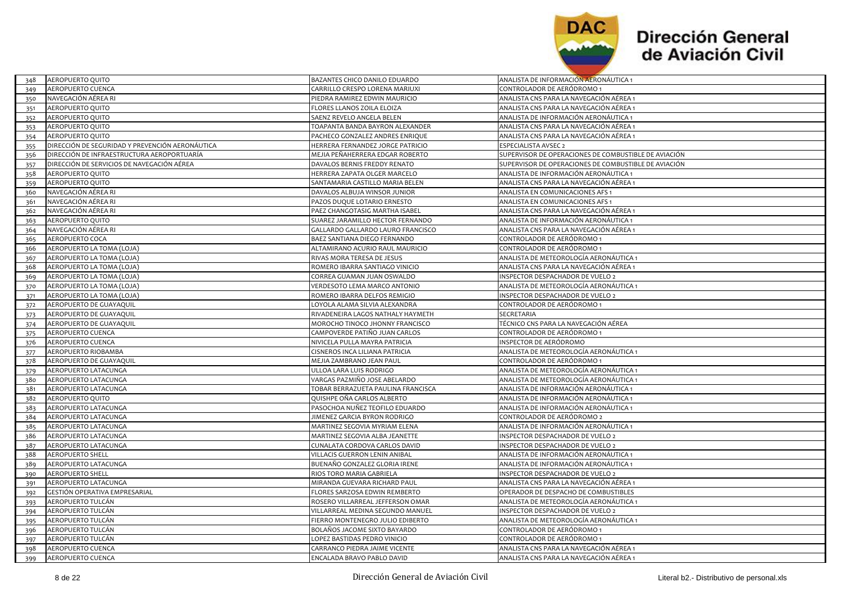

| 348 | AEROPUERTO QUITO                                | BAZANTES CHICO DANILO EDUARDO      | ANALISTA DE INFORMACION AERONAUTICA 1                |
|-----|-------------------------------------------------|------------------------------------|------------------------------------------------------|
| 349 | AEROPUERTO CUENCA                               | CARRILLO CRESPO LORENA MARIUXI     | CONTROLADOR DE AERÓDROMO 1                           |
| 350 | NAVEGACIÓN AÉREA RI                             | PIEDRA RAMIREZ EDWIN MAURICIO      | ANALISTA CNS PARA LA NAVEGACIÓN AÉREA 1              |
| 351 | AEROPUERTO QUITO                                | FLORES LLANOS ZOILA ELOIZA         | ANALISTA CNS PARA LA NAVEGACIÓN AÉREA 1              |
| 352 | AEROPUERTO QUITO                                | SAENZ REVELO ANGELA BELEN          | ANALISTA DE INFORMACIÓN AERONÁUTICA 1                |
| 353 | AEROPUERTO QUITO                                | TOAPANTA BANDA BAYRON ALEXANDER    | ANALISTA CNS PARA LA NAVEGACIÓN AÉREA 1              |
| 354 | AEROPUERTO QUITO                                | PACHECO GONZALEZ ANDRES ENRIQUE    | ANALISTA CNS PARA LA NAVEGACIÓN AÉREA 1              |
| 355 | DIRECCIÓN DE SEGURIDAD Y PREVENCIÓN AERONÁUTICA | HERRERA FERNANDEZ JORGE PATRICIO   | ESPECIALISTA AVSEC 2                                 |
| 356 | DIRECCIÓN DE INFRAESTRUCTURA AEROPORTUARÍA      | MEJIA PEÑAHERRERA EDGAR ROBERTO    | SUPERVISOR DE OPERACIONES DE COMBUSTIBLE DE AVIACIÓN |
| 357 | DIRECCIÓN DE SERVICIOS DE NAVEGACIÓN AÉREA      | DAVALOS BERNIS FREDDY RENATO       | SUPERVISOR DE OPERACIONES DE COMBUSTIBLE DE AVIACIÓN |
| 358 | AEROPUERTO QUITO                                | HERRERA ZAPATA OLGER MARCELO       | ANALISTA DE INFORMACIÓN AERONÁUTICA 1                |
| 359 | AEROPUERTO QUITO                                | SANTAMARIA CASTILLO MARIA BELEN    | ANALISTA CNS PARA LA NAVEGACIÓN AÉREA 1              |
| 360 | NAVEGACIÓN AÉREA RI                             | DAVALOS ALBUJA WINSOR JUNIOR       | ANALISTA EN COMUNICACIONES AFS 1                     |
| 361 | NAVEGACIÓN AÉREA RI                             | PAZOS DUQUE LOTARIO ERNESTO        | ANALISTA EN COMUNICACIONES AFS 1                     |
| 362 | NAVEGACIÓN AÉREA RI                             | PAEZ CHANGOTASIG MARTHA ISABEL     | ANALISTA CNS PARA LA NAVEGACIÓN AÉREA 1              |
| 363 | AEROPUERTO QUITO                                | SUAREZ JARAMILLO HECTOR FERNANDO   | ANALISTA DE INFORMACIÓN AERONÁUTICA 1                |
| 364 | NAVEGACIÓN AÉREA RI                             | GALLARDO GALLARDO LAURO FRANCISCO  | ANALISTA CNS PARA LA NAVEGACIÓN AÉREA 1              |
| 365 | AEROPUERTO COCA                                 | BAEZ SANTIANA DIEGO FERNANDO       | CONTROLADOR DE AERÓDROMO 1                           |
| 366 | AEROPUERTO LA TOMA (LOJA)                       | ALTAMIRANO ACURIO RAUL MAURICIO    | CONTROLADOR DE AERÓDROMO 1                           |
| 367 | AEROPUERTO LA TOMA (LOJA)                       | RIVAS MORA TERESA DE JESUS         | ANALISTA DE METEOROLOGÍA AERONÁUTICA 1               |
| 368 | AEROPUERTO LA TOMA (LOJA)                       | ROMERO IBARRA SANTIAGO VINICIO     | ANALISTA CNS PARA LA NAVEGACIÓN AÉREA 1              |
| 369 | AEROPUERTO LA TOMA (LOJA)                       | CORREA GUAMAN JUAN OSWALDO         | INSPECTOR DESPACHADOR DE VUELO 2                     |
| 370 | AEROPUERTO LA TOMA (LOJA)                       | VERDESOTO LEMA MARCO ANTONIO       | ANALISTA DE METEOROLOGÍA AERONÁUTICA 1               |
| 371 | AEROPUERTO LA TOMA (LOJA)                       | ROMERO IBARRA DELFOS REMIGIO       | INSPECTOR DESPACHADOR DE VUELO 2                     |
| 372 | AEROPUERTO DE GUAYAQUIL                         | LOYOLA ALAMA SILVIA ALEXANDRA      | CONTROLADOR DE AERÓDROMO 1                           |
| 373 | AEROPUERTO DE GUAYAQUIL                         | RIVADENEIRA LAGOS NATHALY HAYMETH  | <b>SECRETARIA</b>                                    |
| 374 | AEROPUERTO DE GUAYAQUIL                         | MOROCHO TINOCO JHONNY FRANCISCO    | TÉCNICO CNS PARA LA NAVEGACIÓN AÉREA                 |
| 375 | AEROPUERTO CUENCA                               | CAMPOVERDE PATIÑO JUAN CARLOS      | CONTROLADOR DE AERÓDROMO 1                           |
| 376 | AEROPUERTO CUENCA                               | NIVICELA PULLA MAYRA PATRICIA      | INSPECTOR DE AERÓDROMO                               |
| 377 | AEROPUERTO RIOBAMBA                             | CISNEROS INCA LILIANA PATRICIA     | ANALISTA DE METEOROLOGÍA AERONÁUTICA 1               |
| 378 | AEROPUERTO DE GUAYAQUIL                         | MEJIA ZAMBRANO JEAN PAUL           | CONTROLADOR DE AERÓDROMO 1                           |
| 379 | AEROPUERTO LATACUNGA                            | ULLOA LARA LUIS RODRIGO            | ANALISTA DE METEOROLOGÍA AERONÁUTICA 1               |
| 380 | AEROPUERTO LATACUNGA                            | VARGAS PAZMIÑO JOSE ABELARDO       | ANALISTA DE METEOROLOGÍA AERONÁUTICA 1               |
| 381 | AEROPUERTO LATACUNGA                            | TOBAR BERRAZUETA PAULINA FRANCISCA | ANALISTA DE INFORMACIÓN AERONÁUTICA 1                |
| 382 | AEROPUERTO QUITO                                | QUISHPE OÑA CARLOS ALBERTO         | ANALISTA DE INFORMACIÓN AERONÁUTICA 1                |
| 383 | AEROPUERTO LATACUNGA                            | PASOCHOA NUÑEZ TEOFILO EDUARDO     | ANALISTA DE INFORMACIÓN AERONÁUTICA 1                |
| 384 | AEROPUERTO LATACUNGA                            | JIMENEZ GARCIA BYRON RODRIGO       | CONTROLADOR DE AERÓDROMO 2                           |
| 385 | AEROPUERTO LATACUNGA                            | MARTINEZ SEGOVIA MYRIAM ELENA      | ANALISTA DE INFORMACIÓN AERONÁUTICA 1                |
| 386 | AEROPUERTO LATACUNGA                            | MARTINEZ SEGOVIA ALBA JEANETTE     | INSPECTOR DESPACHADOR DE VUELO 2                     |
| 387 | AEROPUERTO LATACUNGA                            | CUNALATA CORDOVA CARLOS DAVID      | INSPECTOR DESPACHADOR DE VUELO 2                     |
| 388 | <b>AEROPUERTO SHELL</b>                         | VILLACIS GUERRON LENIN ANIBAL      | ANALISTA DE INFORMACIÓN AERONÁUTICA 1                |
| 389 | AEROPUERTO LATACUNGA                            | BUENAÑO GONZALEZ GLORIA IRENE      | ANALISTA DE INFORMACIÓN AERONÁUTICA 1                |
| 390 | <b>AEROPUERTO SHELL</b>                         | RIOS TORO MARIA GABRIELA           | INSPECTOR DESPACHADOR DE VUELO 2                     |
| 391 | AEROPUERTO LATACUNGA                            | MIRANDA GUEVARA RICHARD PAUL       | ANALISTA CNS PARA LA NAVEGACIÓN AÉREA 1              |
| 392 | GESTIÓN OPERATIVA EMPRESARIAL                   | FLORES SARZOSA EDWIN REMBERTO      | OPERADOR DE DESPACHO DE COMBUSTIBLES                 |
| 393 | AEROPUERTO TULCÁN                               | ROSERO VILLARREAL JEFFERSON OMAR   | ANALISTA DE METEOROLOGÍA AERONÁUTICA 1               |
| 394 | AEROPUERTO TULCÁN                               | VILLARREAL MEDINA SEGUNDO MANUEL   | INSPECTOR DESPACHADOR DE VUELO 2                     |
| 395 | AEROPUERTO TULCÁN                               | FIERRO MONTENEGRO JULIO EDIBERTO   | ANALISTA DE METEOROLOGÍA AERONÁUTICA 1               |
| 396 | AEROPUERTO TULCÁN                               | BOLAÑOS JACOME SIXTO BAYARDO       | CONTROLADOR DE AERÓDROMO 1                           |
| 397 | AEROPUERTO TULCÁN                               | LOPEZ BASTIDAS PEDRO VINICIO       | CONTROLADOR DE AERÓDROMO 1                           |
| 398 | <b>AEROPUERTO CUENCA</b>                        | CARRANCO PIEDRA JAIME VICENTE      | ANALISTA CNS PARA LA NAVEGACIÓN AÉREA 1              |
| 399 | AEROPUERTO CUENCA                               | ENCALADA BRAVO PABLO DAVID         | ANALISTA CNS PARA LA NAVEGACIÓN AÉREA 1              |
|     |                                                 |                                    |                                                      |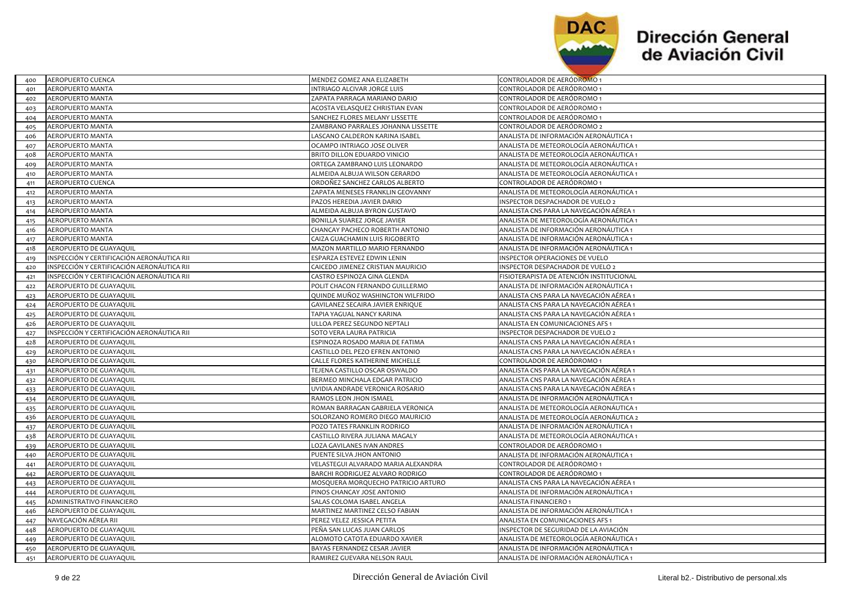

 $\overline{\phantom{a}}$ 

| 400 | AEROPUERTO CUENCA                          | MENDEZ GOMEZ ANA ELIZABETH          | CONTROLADOR DE AERODROMO 1               |
|-----|--------------------------------------------|-------------------------------------|------------------------------------------|
| 401 | <b>AEROPUERTO MANTA</b>                    | INTRIAGO ALCIVAR JORGE LUIS         | CONTROLADOR DE AERÓDROMO 1               |
| 402 | AEROPUERTO MANTA                           | ZAPATA PARRAGA MARIANO DARIO        | CONTROLADOR DE AERÓDROMO 1               |
| 403 | AEROPUERTO MANTA                           | ACOSTA VELASQUEZ CHRISTIAN EVAN     | CONTROLADOR DE AERÓDROMO 1               |
| 404 | AEROPUERTO MANTA                           | SANCHEZ FLORES MELANY LISSETTE      | CONTROLADOR DE AERÓDROMO 1               |
| 405 | <b>AEROPUERTO MANTA</b>                    | ZAMBRANO PARRALES JOHANNA LISSETTE  | CONTROLADOR DE AERÓDROMO 2               |
| 406 | <b>AEROPUERTO MANTA</b>                    | LASCANO CALDERON KARINA ISABEL      | ANALISTA DE INFORMACIÓN AERONÁUTICA 1    |
| 407 | <b>AEROPUERTO MANTA</b>                    | OCAMPO INTRIAGO JOSE OLIVER         | ANALISTA DE METEOROLOGÍA AERONÁUTICA 1   |
| 408 | AEROPUERTO MANTA                           | BRITO DILLON EDUARDO VINICIO        | ANALISTA DE METEOROLOGÍA AERONÁUTICA 1   |
| 409 | AEROPUERTO MANTA                           | ORTEGA ZAMBRANO LUIS LEONARDO       | ANALISTA DE METEOROLOGÍA AERONÁUTICA 1   |
| 410 | AEROPUERTO MANTA                           | ALMEIDA ALBUJA WILSON GERARDO       | ANALISTA DE METEOROLOGÍA AERONÁUTICA 1   |
| 411 | AEROPUERTO CUENCA                          | ORDOÑEZ SANCHEZ CARLOS ALBERTO      | CONTROLADOR DE AERÓDROMO 1               |
| 412 | AEROPUERTO MANTA                           | ZAPATA MENESES FRANKLIN GEOVANNY    | ANALISTA DE METEOROLOGÍA AERONÁUTICA 1   |
| 413 | AEROPUERTO MANTA                           | PAZOS HEREDIA JAVIER DARIO          | INSPECTOR DESPACHADOR DE VUELO 2         |
| 414 | AEROPUERTO MANTA                           | ALMEIDA ALBUJA BYRON GUSTAVO        | ANALISTA CNS PARA LA NAVEGACIÓN AÉREA 1  |
| 415 | AEROPUERTO MANTA                           | BONILLA SUAREZ JORGE JAVIER         | ANALISTA DE METEOROLOGÍA AERONÁUTICA 1   |
| 416 | <b>AEROPUERTO MANTA</b>                    | CHANCAY PACHECO ROBERTH ANTONIO     | ANALISTA DE INFORMACIÓN AERONÁUTICA 1    |
| 417 | <b>AEROPUERTO MANTA</b>                    | CAIZA GUACHAMIN LUIS RIGOBERTO      | ANALISTA DE INFORMACIÓN AERONÁUTICA 1    |
| 418 | AEROPUERTO DE GUAYAQUIL                    | MAZON MARTILLO MARIO FERNANDO       | ANALISTA DE INFORMACIÓN AERONÁUTICA 1    |
| 419 | INSPECCIÓN Y CERTIFICACIÓN AERONÁUTICA RII | ESPARZA ESTEVEZ EDWIN LENIN         | INSPECTOR OPERACIONES DE VUELO           |
| 420 | INSPECCIÓN Y CERTIFICACIÓN AERONÁUTICA RII | CAICEDO JIMENEZ CRISTIAN MAURICIO   | INSPECTOR DESPACHADOR DE VUELO 2         |
| 421 | INSPECCIÓN Y CERTIFICACIÓN AERONÁUTICA RII | CASTRO ESPINOZA GINA GLENDA         | FISIOTERAPISTA DE ATENCIÓN INSTITUCIONAL |
| 422 | AEROPUERTO DE GUAYAQUIL                    | POLIT CHACON FERNANDO GUILLERMO     | ANALISTA DE INFORMACIÓN AERONÁUTICA 1    |
| 423 | AEROPUERTO DE GUAYAQUIL                    | QUINDE MUÑOZ WASHINGTON WILFRIDO    | ANALISTA CNS PARA LA NAVEGACIÓN AÉREA 1  |
| 424 | AEROPUERTO DE GUAYAQUIL                    | GAVILANEZ SECAIRA JAVIER ENRIQUE    | ANALISTA CNS PARA LA NAVEGACIÓN AÉREA 1  |
| 425 | AEROPUERTO DE GUAYAQUIL                    | TAPIA YAGUAL NANCY KARINA           | ANALISTA CNS PARA LA NAVEGACIÓN AÉREA 1  |
| 426 | AEROPUERTO DE GUAYAQUIL                    | ULLOA PEREZ SEGUNDO NEPTALI         | ANALISTA EN COMUNICACIONES AFS 1         |
| 427 | INSPECCIÓN Y CERTIFICACIÓN AERONÁUTICA RII | SOTO VERA LAURA PATRICIA            | INSPECTOR DESPACHADOR DE VUELO 2         |
| 428 | AEROPUERTO DE GUAYAQUIL                    | ESPINOZA ROSADO MARIA DE FATIMA     | ANALISTA CNS PARA LA NAVEGACIÓN AÉREA 1  |
| 429 | AEROPUERTO DE GUAYAQUIL                    | CASTILLO DEL PEZO EFREN ANTONIO     | ANALISTA CNS PARA LA NAVEGACIÓN AÉREA 1  |
| 430 | AEROPUERTO DE GUAYAQUIL                    | CALLE FLORES KATHERINE MICHELLE     | CONTROLADOR DE AERÓDROMO 1               |
| 431 | AEROPUERTO DE GUAYAQUIL                    | TEJENA CASTILLO OSCAR OSWALDO       | ANALISTA CNS PARA LA NAVEGACIÓN AÉREA 1  |
| 432 | AEROPUERTO DE GUAYAQUIL                    | BERMEO MINCHALA EDGAR PATRICIO      | ANALISTA CNS PARA LA NAVEGACIÓN AÉREA 1  |
| 433 | AEROPUERTO DE GUAYAQUIL                    | UVIDIA ANDRADE VERONICA ROSARIO     | ANALISTA CNS PARA LA NAVEGACIÓN AÉREA 1  |
| 434 | AEROPUERTO DE GUAYAQUIL                    | RAMOS LEON JHON ISMAEL              | ANALISTA DE INFORMACIÓN AERONÁUTICA 1    |
| 435 | AEROPUERTO DE GUAYAQUIL                    | ROMAN BARRAGAN GABRIELA VERONICA    | ANALISTA DE METEOROLOGÍA AERONÁUTICA 1   |
| 436 | AEROPUERTO DE GUAYAQUIL                    | SOLORZANO ROMERO DIEGO MAURICIO     | ANALISTA DE METEOROLOGÍA AERONÁUTICA 2   |
| 437 | AEROPUERTO DE GUAYAQUIL                    | POZO TATES FRANKLIN RODRIGO         | ANALISTA DE INFORMACIÓN AERONÁUTICA 1    |
| 438 | AEROPUERTO DE GUAYAQUIL                    | CASTILLO RIVERA JULIANA MAGALY      | ANALISTA DE METEOROLOGÍA AERONÁUTICA 1   |
| 439 | AEROPUERTO DE GUAYAQUIL                    | LOZA GAVILANES IVAN ANDRES          | CONTROLADOR DE AERÓDROMO 1               |
| 440 | AEROPUERTO DE GUAYAQUIL                    | PUENTE SILVA JHON ANTONIO           | ANALISTA DE INFORMACIÓN AERONÁUTICA 1    |
| 441 | AEROPUERTO DE GUAYAQUIL                    | VELASTEGUI ALVARADO MARIA ALEXANDRA | CONTROLADOR DE AERÓDROMO 1               |
| 442 | AEROPUERTO DE GUAYAQUIL                    | BARCHI RODRIGUEZ ALVARO RODRIGO     | CONTROLADOR DE AERÓDROMO 1               |
| 443 | AEROPUERTO DE GUAYAQUIL                    | MOSQUERA MORQUECHO PATRICIO ARTURO  | ANALISTA CNS PARA LA NAVEGACIÓN AÉREA 1  |
| 444 | AEROPUERTO DE GUAYAQUIL                    | PINOS CHANCAY JOSE ANTONIO          | ANALISTA DE INFORMACIÓN AERONÁUTICA 1    |
| 445 | ADMINISTRATIVO FINANCIERO                  | SALAS COLOMA ISABEL ANGELA          | ANALISTA FINANCIERO 1                    |
| 446 | AEROPUERTO DE GUAYAQUIL                    | MARTINEZ MARTINEZ CELSO FABIAN      | ANALISTA DE INFORMACIÓN AERONÁUTICA 1    |
| 447 | NAVEGACIÓN AÉREA RII                       | PEREZ VELEZ JESSICA PETITA          | ANALISTA EN COMUNICACIONES AFS 1         |
| 448 | AEROPUERTO DE GUAYAQUIL                    | PEÑA SAN LUCAS JUAN CARLOS          | INSPECTOR DE SEGURIDAD DE LA AVIACIÓN    |
| 449 | AEROPUERTO DE GUAYAQUIL                    | ALOMOTO CATOTA EDUARDO XAVIER       | ANALISTA DE METEOROLOGÍA AERONÁUTICA 1   |
| 450 | AEROPUERTO DE GUAYAQUIL                    | BAYAS FERNANDEZ CESAR JAVIER        | ANALISTA DE INFORMACIÓN AERONÁUTICA 1    |
| 451 | AEROPUERTO DE GUAYAQUIL                    | RAMIREZ GUEVARA NELSON RAUL         | ANALISTA DE INFORMACIÓN AERONÁUTICA 1    |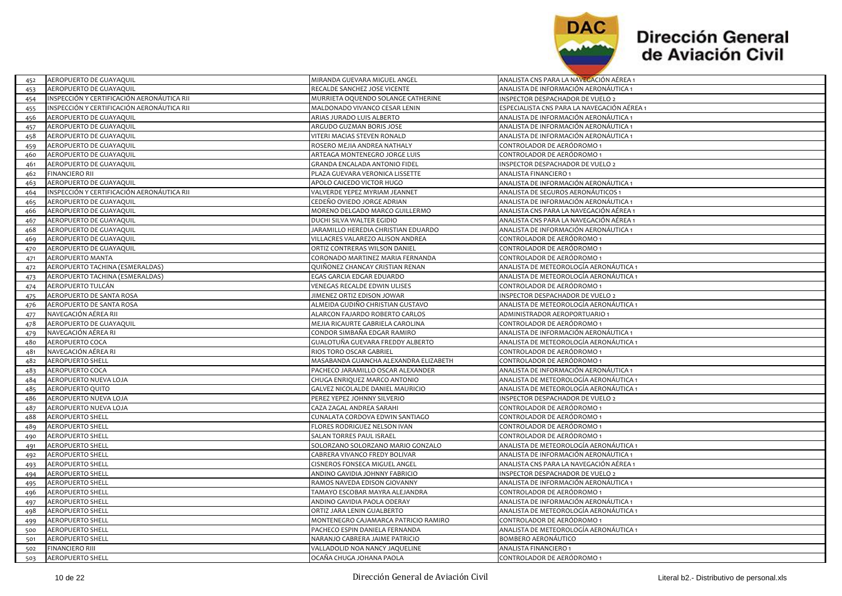

| 452 | AEROPUERTO DE GUAYAQUIL                    | MIRANDA GUEVARA MIGUEL ANGEL          | ANALISTA CNS PARA LA NAVEGACION AEREA 1     |
|-----|--------------------------------------------|---------------------------------------|---------------------------------------------|
| 453 | AEROPUERTO DE GUAYAQUIL                    | RECALDE SANCHEZ JOSE VICENTE          | ANALISTA DE INFORMACIÓN AERONÁUTICA 1       |
| 454 | INSPECCIÓN Y CERTIFICACIÓN AERONÁUTICA RII | MURRIETA OQUENDO SOLANGE CATHERINE    | NSPECTOR DESPACHADOR DE VUELO 2             |
| 455 | INSPECCIÓN Y CERTIFICACIÓN AERONÁUTICA RII | MALDONADO VIVANCO CESAR LENIN         | ESPECIALISTA CNS PARA LA NAVEGACIÓN AÉREA 1 |
| 456 | AEROPUERTO DE GUAYAQUIL                    | ARIAS JURADO LUIS ALBERTO             | ANALISTA DE INFORMACIÓN AERONÁUTICA 1       |
| 457 | AEROPUERTO DE GUAYAQUIL                    | ARGUDO GUZMAN BORIS JOSE              | ANALISTA DE INFORMACIÓN AERONÁUTICA 1       |
| 458 | AEROPUERTO DE GUAYAQUIL                    | VITERI MACIAS STEVEN RONALD           | ANALISTA DE INFORMACIÓN AERONÁUTICA 1       |
| 459 | AEROPUERTO DE GUAYAQUIL                    | ROSERO MEJIA ANDREA NATHALY           | CONTROLADOR DE AERÓDROMO 1                  |
| 460 | AEROPUERTO DE GUAYAQUIL                    | ARTEAGA MONTENEGRO JORGE LUIS         | CONTROLADOR DE AERÓDROMO 1                  |
| 461 | AEROPUERTO DE GUAYAQUIL                    | GRANDA ENCALADA ANTONIO FIDEL         | NSPECTOR DESPACHADOR DE VUELO 2             |
| 462 | <b>FINANCIERO RII</b>                      | PLAZA GUEVARA VERONICA LISSETTE       | ANALISTA FINANCIERO 1                       |
| 463 | AEROPUERTO DE GUAYAQUIL                    | APOLO CAICEDO VICTOR HUGO             | ANALISTA DE INFORMACIÓN AERONÁUTICA 1       |
| 464 | INSPECCIÓN Y CERTIFICACIÓN AERONÁUTICA RII | VALVERDE YEPEZ MYRIAM JEANNET         | ANALISTA DE SEGUROS AERONÁUTICOS 1          |
| 465 | AEROPUERTO DE GUAYAQUIL                    | CEDEÑO OVIEDO JORGE ADRIAN            | ANALISTA DE INFORMACIÓN AERONÁUTICA 1       |
| 466 | AEROPUERTO DE GUAYAQUIL                    | MORENO DELGADO MARCO GUILLERMO        | ANALISTA CNS PARA LA NAVEGACIÓN AÉREA 1     |
| 467 | AEROPUERTO DE GUAYAQUIL                    | DUCHI SILVA WALTER EGIDIO             | ANALISTA CNS PARA LA NAVEGACIÓN AÉREA 1     |
| 468 | AEROPUERTO DE GUAYAQUIL                    | JARAMILLO HEREDIA CHRISTIAN EDUARDO   | ANALISTA DE INFORMACIÓN AERONÁUTICA 1       |
| 469 | AEROPUERTO DE GUAYAQUIL                    | VILLACRES VALAREZO ALISON ANDREA      | CONTROLADOR DE AERÓDROMO 1                  |
| 470 | AEROPUERTO DE GUAYAQUIL                    | ORTIZ CONTRERAS WILSON DANIEL         | CONTROLADOR DE AERÓDROMO 1                  |
| 471 | AEROPUERTO MANTA                           | CORONADO MARTINEZ MARIA FERNANDA      | CONTROLADOR DE AERÓDROMO 1                  |
| 472 | AEROPUERTO TACHINA (ESMERALDAS)            | QUIÑONEZ CHANCAY CRISTIAN RENAN       | ANALISTA DE METEOROLOGÍA AERONÁUTICA 1      |
| 473 | AEROPUERTO TACHINA (ESMERALDAS)            | EGAS GARCIA EDGAR EDUARDO             | ANALISTA DE METEOROLOGÍA AERONÁUTICA 1      |
| 474 | AEROPUERTO TULCÁN                          | VENEGAS RECALDE EDWIN ULISES          | CONTROLADOR DE AERÓDROMO 1                  |
| 475 | AEROPUERTO DE SANTA ROSA                   | JIMENEZ ORTIZ EDISON JOWAR            | <b>INSPECTOR DESPACHADOR DE VUELO 2</b>     |
| 476 | AEROPUERTO DE SANTA ROSA                   | ALMEIDA GUDIÑO CHRISTIAN GUSTAVO      | ANALISTA DE METEOROLOGÍA AERONÁUTICA 1      |
| 477 | NAVEGACIÓN AÉREA RII                       | ALARCON FAJARDO ROBERTO CARLOS        | ADMINISTRADOR AEROPORTUARIO 1               |
| 478 | AEROPUERTO DE GUAYAQUIL                    | MEJIA RICAURTE GABRIELA CAROLINA      | CONTROLADOR DE AERÓDROMO 1                  |
| 479 | NAVEGACIÓN AÉREA RI                        | CONDOR SIMBAÑA EDGAR RAMIRO           | ANALISTA DE INFORMACIÓN AERONÁUTICA 1       |
| 480 | AEROPUERTO COCA                            | GUALOTUÑA GUEVARA FREDDY ALBERTO      | ANALISTA DE METEOROLOGÍA AERONÁUTICA 1      |
| 481 | NAVEGACIÓN AÉREA RI                        | RIOS TORO OSCAR GABRIEL               | CONTROLADOR DE AERÓDROMO 1                  |
| 482 | <b>AEROPUERTO SHELL</b>                    | MASABANDA GUANCHA ALEXANDRA ELIZABETH | CONTROLADOR DE AERÓDROMO 1                  |
| 483 | AEROPUERTO COCA                            | PACHECO JARAMILLO OSCAR ALEXANDER     | ANALISTA DE INFORMACIÓN AERONÁUTICA 1       |
| 484 | AEROPUERTO NUEVA LOJA                      | CHUGA ENRIQUEZ MARCO ANTONIO          | ANALISTA DE METEOROLOGÍA AERONÁUTICA 1      |
| 485 | AEROPUERTO QUITO                           | GALVEZ NICOLALDE DANIEL MAURICIO      | ANALISTA DE METEOROLOGÍA AERONÁUTICA 1      |
| 486 | AEROPUERTO NUEVA LOJA                      | PEREZ YEPEZ JOHNNY SILVERIO           | <b>INSPECTOR DESPACHADOR DE VUELO 2</b>     |
| 487 | AEROPUERTO NUEVA LOJA                      | CAZA ZAGAL ANDREA SARAHI              | CONTROLADOR DE AERÓDROMO 1                  |
| 488 | <b>AEROPUERTO SHELL</b>                    | CUNALATA CORDOVA EDWIN SANTIAGO       | CONTROLADOR DE AERÓDROMO 1                  |
| 489 | <b>AEROPUERTO SHELL</b>                    | FLORES RODRIGUEZ NELSON IVAN          | CONTROLADOR DE AERÓDROMO 1                  |
| 490 | <b>AEROPUERTO SHELL</b>                    | SALAN TORRES PAUL ISRAEL              | CONTROLADOR DE AERÓDROMO 1                  |
| 491 | <b>AEROPUERTO SHELL</b>                    | SOLORZANO SOLORZANO MARIO GONZALO     | ANALISTA DE METEOROLOGÍA AERONÁUTICA 1      |
| 492 | <b>AEROPUERTO SHELL</b>                    | CABRERA VIVANCO FREDY BOLIVAR         | ANALISTA DE INFORMACIÓN AERONÁUTICA 1       |
| 493 | <b>AEROPUERTO SHELL</b>                    | CISNEROS FONSECA MIGUEL ANGEL         | ANALISTA CNS PARA LA NAVEGACIÓN AÉREA 1     |
| 494 | AEROPUERTO SHELL                           | ANDINO GAVIDIA JOHNNY FABRICIO        | <b>INSPECTOR DESPACHADOR DE VUELO 2</b>     |
| 495 | <b>AEROPUERTO SHELL</b>                    | RAMOS NAVEDA EDISON GIOVANNY          | ANALISTA DE INFORMACIÓN AERONÁUTICA 1       |
| 496 | <b>AEROPUERTO SHELL</b>                    | TAMAYO ESCOBAR MAYRA ALEJANDRA        | CONTROLADOR DE AERÓDROMO 1                  |
| 497 | <b>AEROPUERTO SHELL</b>                    | ANDINO GAVIDIA PAOLA ODERAY           | ANALISTA DE INFORMACIÓN AERONÁUTICA 1       |
| 498 | <b>AEROPUERTO SHELL</b>                    | ORTIZ JARA LENIN GUALBERTO            | ANALISTA DE METEOROLOGÍA AERONÁUTICA 1      |
| 499 | <b>AEROPUERTO SHELL</b>                    | MONTENEGRO CAJAMARCA PATRICIO RAMIRO  | CONTROLADOR DE AERÓDROMO 1                  |
| 500 | <b>AEROPUERTO SHELL</b>                    | PACHECO ESPIN DANIELA FERNANDA        | ANALISTA DE METEOROLOGÍA AERONÁUTICA 1      |
| 501 | <b>AEROPUERTO SHELL</b>                    | NARANJO CABRERA JAIME PATRICIO        | BOMBERO AERONÁUTICO                         |
| 502 | <b>FINANCIERO RIII</b>                     | VALLADOLID NOA NANCY JAQUELINE        | ANALISTA FINANCIERO 1                       |
| 503 | <b>AEROPUERTO SHELL</b>                    | OCAÑA CHUGA JOHANA PAOLA              | CONTROLADOR DE AERÓDROMO 1                  |
|     |                                            |                                       |                                             |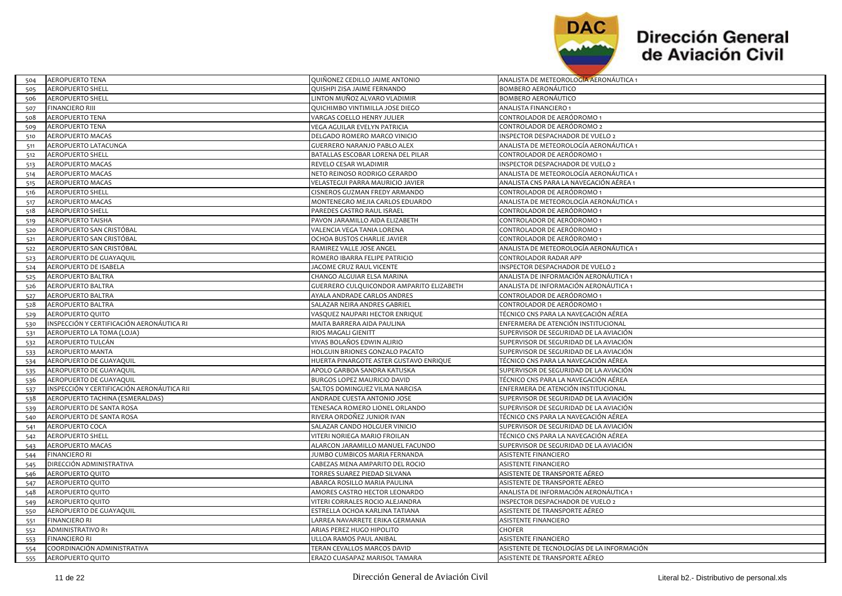

 $\overline{\phantom{a}}$ 

| 504 | AEROPUERTO TENA                            | QUINONEZ CEDILLO JAIME ANTONIO           | ANALISTA DE METEOROLOGIA AERONAUTICA 1     |
|-----|--------------------------------------------|------------------------------------------|--------------------------------------------|
| 505 | <b>AEROPUERTO SHELL</b>                    | QUISHPI ZISA JAIME FERNANDO              | BOMBERO AERONÁUTICO                        |
| 506 | <b>AEROPUERTO SHELL</b>                    | LINTON MUÑOZ ALVARO VLADIMIR             | BOMBERO AERONÁUTICO                        |
| 507 | <b>FINANCIERO RIII</b>                     | QUICHIMBO VINTIMILLA JOSE DIEGO          | ANALISTA FINANCIERO 1                      |
| 508 | AEROPUERTO TENA                            | VARGAS COELLO HENRY JULIER               | CONTROLADOR DE AERÓDROMO 1                 |
| 509 | <b>AEROPUERTO TENA</b>                     | VEGA AGUILAR EVELYN PATRICIA             | CONTROLADOR DE AERÓDROMO 2                 |
| 510 | <b>AEROPUERTO MACAS</b>                    | DELGADO ROMERO MARCO VINICIO             | INSPECTOR DESPACHADOR DE VUELO 2           |
| 511 | AEROPUERTO LATACUNGA                       | <b>GUERRERO NARANJO PABLO ALEX</b>       | ANALISTA DE METEOROLOGÍA AERONÁUTICA 1     |
| 512 | <b>AEROPUERTO SHELL</b>                    | BATALLAS ESCOBAR LORENA DEL PILAR        | CONTROLADOR DE AERÓDROMO 1                 |
| 513 | AEROPUERTO MACAS                           | REVELO CESAR WLADIMIR                    | INSPECTOR DESPACHADOR DE VUELO 2           |
| 514 | AEROPUERTO MACAS                           | NETO REINOSO RODRIGO GERARDO             | ANALISTA DE METEOROLOGÍA AERONÁUTICA 1     |
| 515 | AEROPUERTO MACAS                           | VELASTEGUI PARRA MAURICIO JAVIER         | ANALISTA CNS PARA LA NAVEGACIÓN AÉREA 1    |
| 516 | <b>AEROPUERTO SHELL</b>                    | <b>CISNEROS GUZMAN FREDY ARMANDO</b>     | CONTROLADOR DE AERÓDROMO 1                 |
| 517 | AEROPUERTO MACAS                           | MONTENEGRO MEJIA CARLOS EDUARDO          | ANALISTA DE METEOROLOGÍA AERONÁUTICA 1     |
| 518 | <b>AEROPUERTO SHELL</b>                    | PAREDES CASTRO RAUL ISRAEL               | CONTROLADOR DE AERÓDROMO 1                 |
| 519 | AEROPUERTO TAISHA                          | PAVON JARAMILLO AIDA ELIZABETH           | CONTROLADOR DE AERÓDROMO 1                 |
| 520 | AEROPUERTO SAN CRISTÓBAL                   | VALENCIA VEGA TANIA LORENA               | CONTROLADOR DE AERÓDROMO 1                 |
| 521 | AEROPUERTO SAN CRISTÓBAL                   | OCHOA BUSTOS CHARLIE JAVIER              | CONTROLADOR DE AERÓDROMO 1                 |
| 522 | AEROPUERTO SAN CRISTÓBAL                   | RAMIREZ VALLE JOSE ANGEL                 | ANALISTA DE METEOROLOGÍA AERONÁUTICA 1     |
| 523 | AEROPUERTO DE GUAYAQUIL                    | ROMERO IBARRA FELIPE PATRICIO            | CONTROLADOR RADAR APP                      |
| 524 | AEROPUERTO DE ISABELA                      | JACOME CRUZ RAUL VICENTE                 | INSPECTOR DESPACHADOR DE VUELO 2           |
| 525 | AEROPUERTO BALTRA                          | CHANGO ALGUIAR ELSA MARINA               | ANALISTA DE INFORMACIÓN AERONÁUTICA 1      |
| 526 | AEROPUERTO BALTRA                          | GUERRERO CULQUICONDOR AMPARITO ELIZABETH | ANALISTA DE INFORMACIÓN AERONÁUTICA 1      |
| 527 | AEROPUERTO BALTRA                          | AYALA ANDRADE CARLOS ANDRES              | CONTROLADOR DE AERÓDROMO 1                 |
| 528 | AEROPUERTO BALTRA                          | SALAZAR NEIRA ANDRES GABRIEL             | CONTROLADOR DE AERÓDROMO 1                 |
| 529 | AEROPUERTO QUITO                           | VASQUEZ NAUPARI HECTOR ENRIQUE           | TÉCNICO CNS PARA LA NAVEGACIÓN AÉREA       |
| 530 | INSPECCIÓN Y CERTIFICACIÓN AERONÁUTICA RI  | MAITA BARRERA AIDA PAULINA               | ENFERMERA DE ATENCIÓN INSTITUCIONAL        |
| 531 | AEROPUERTO LA TOMA (LOJA)                  | RIOS MAGALI GIENITT                      | SUPERVISOR DE SEGURIDAD DE LA AVIACIÓN     |
| 532 | AEROPUERTO TULCÁN                          | VIVAS BOLAÑOS EDWIN ALIRIO               | SUPERVISOR DE SEGURIDAD DE LA AVIACIÓN     |
| 533 | AEROPUERTO MANTA                           | HOLGUIN BRIONES GONZALO PACATO           | SUPERVISOR DE SEGURIDAD DE LA AVIACIÓN     |
| 534 | AEROPUERTO DE GUAYAQUIL                    | HUERTA PINARGOTE ASTER GUSTAVO ENRIQUE   | TÉCNICO CNS PARA LA NAVEGACIÓN AÉREA       |
| 535 | AEROPUERTO DE GUAYAQUIL                    | APOLO GARBOA SANDRA KATUSKA              | SUPERVISOR DE SEGURIDAD DE LA AVIACIÓN     |
| 536 | AEROPUERTO DE GUAYAQUIL                    | BURGOS LOPEZ MAURICIO DAVID              | TÉCNICO CNS PARA LA NAVEGACIÓN AÉREA       |
| 537 | INSPECCIÓN Y CERTIFICACIÓN AERONÁUTICA RII | SALTOS DOMINGUEZ VILMA NARCISA           | ENFERMERA DE ATENCIÓN INSTITUCIONAL        |
| 538 | AEROPUERTO TACHINA (ESMERALDAS)            | ANDRADE CUESTA ANTONIO JOSE              | SUPERVISOR DE SEGURIDAD DE LA AVIACIÓN     |
| 539 | AEROPUERTO DE SANTA ROSA                   | TENESACA ROMERO LIONEL ORLANDO           | SUPERVISOR DE SEGURIDAD DE LA AVIACIÓN     |
| 540 | AEROPUERTO DE SANTA ROSA                   | RIVERA ORDOÑEZ JUNIOR IVAN               | TÉCNICO CNS PARA LA NAVEGACIÓN AÉREA       |
| 541 | AEROPUERTO COCA                            | SALAZAR CANDO HOLGUER VINICIO            | SUPERVISOR DE SEGURIDAD DE LA AVIACIÓN     |
| 542 | <b>AEROPUERTO SHELL</b>                    | VITERI NORIEGA MARIO FROILAN             | TÉCNICO CNS PARA LA NAVEGACIÓN AÉREA       |
| 543 | AEROPUERTO MACAS                           | ALARCON JARAMILLO MANUEL FACUNDO         | SUPERVISOR DE SEGURIDAD DE LA AVIACIÓN     |
| 544 | <b>FINANCIERO RI</b>                       | JUMBO CUMBICOS MARIA FERNANDA            | ASISTENTE FINANCIERO                       |
| 545 | DIRECCIÓN ADMINISTRATIVA                   | CABEZAS MENA AMPARITO DEL ROCIO          | ASISTENTE FINANCIERO                       |
| 546 | AEROPUERTO QUITO                           | TORRES SUAREZ PIEDAD SILVANA             | ASISTENTE DE TRANSPORTE AÉREO              |
| 547 | AEROPUERTO QUITO                           | ABARCA ROSILLO MARIA PAULINA             | ASISTENTE DE TRANSPORTE AÉREO              |
| 548 | AEROPUERTO QUITO                           | AMORES CASTRO HECTOR LEONARDO            | ANALISTA DE INFORMACIÓN AERONÁUTICA 1      |
| 549 | AEROPUERTO QUITO                           | VITERI CORRALES ROCIO ALEJANDRA          | INSPECTOR DESPACHADOR DE VUELO 2           |
| 550 | AEROPUERTO DE GUAYAQUIL                    | ESTRELLA OCHOA KARLINA TATIANA           | ASISTENTE DE TRANSPORTE AÉREO              |
| 551 | <b>FINANCIERO RI</b>                       | LARREA NAVARRETE ERIKA GERMANIA          | ASISTENTE FINANCIERO                       |
| 552 | ADMINISTRATIVO R1                          | ARIAS PEREZ HUGO HIPOLITO                | CHOFER                                     |
| 553 | <b>FINANCIERO RI</b>                       | ULLOA RAMOS PAUL ANIBAL                  | ASISTENTE FINANCIERO                       |
| 554 | COORDINACIÓN ADMINISTRATIVA                | TERAN CEVALLOS MARCOS DAVID              | ASISTENTE DE TECNOLOGÍAS DE LA INFORMACIÓN |
| 555 | AEROPUERTO QUITO                           | ERAZO CUASAPAZ MARISOL TAMARA            | ASISTENTE DE TRANSPORTE AÉREO              |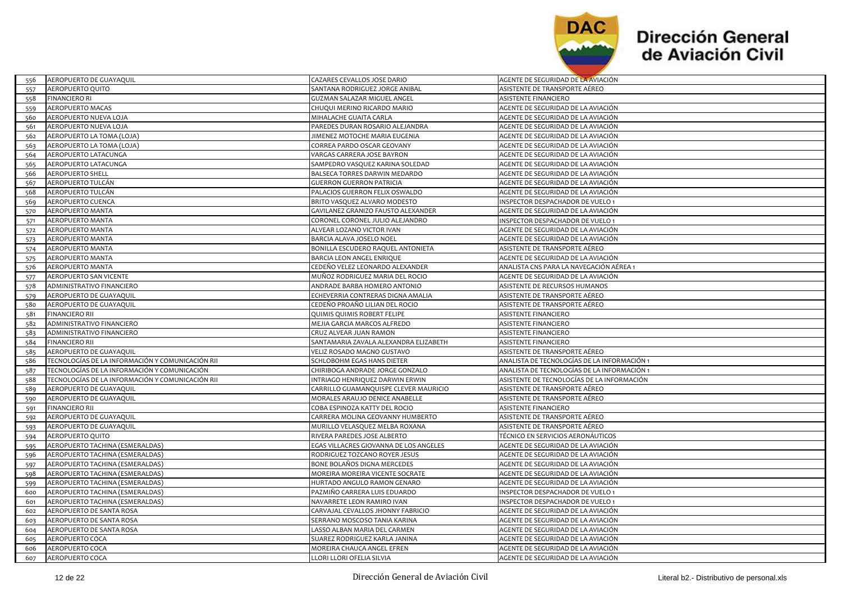

| AEROPUERTO DE GUAYAQUIL                                 | CAZARES CEVALLOS JOSE DARIO            | AGENTE DE SEGURIDAD DE LA AVIACIÓN          |
|---------------------------------------------------------|----------------------------------------|---------------------------------------------|
| <b>AEROPUERTO QUITO</b><br>557                          | SANTANA RODRIGUEZ JORGE ANIBAL         | ASISTENTE DE TRANSPORTE AÉREO               |
| <b>FINANCIERO RI</b><br>558                             | GUZMAN SALAZAR MIGUEL ANGEL            | <b>ASISTENTE FINANCIERO</b>                 |
| AEROPUERTO MACAS<br>559                                 | CHUQUI MERINO RICARDO MARIO            | AGENTE DE SEGURIDAD DE LA AVIACIÓN          |
| AEROPUERTO NUEVA LOJA<br>560                            | MIHALACHE GUAITA CARLA                 | AGENTE DE SEGURIDAD DE LA AVIACIÓN          |
| AEROPUERTO NUEVA LOJA<br>561                            | PAREDES DURAN ROSARIO ALEJANDRA        | AGENTE DE SEGURIDAD DE LA AVIACIÓN          |
| AEROPUERTO LA TOMA (LOJA)<br>562                        | JIMENEZ MOTOCHE MARIA EUGENIA          | AGENTE DE SEGURIDAD DE LA AVIACIÓN          |
| AEROPUERTO LA TOMA (LOJA)<br>563                        | CORREA PARDO OSCAR GEOVANY             | AGENTE DE SEGURIDAD DE LA AVIACIÓN          |
| AEROPUERTO LATACUNGA<br>564                             | VARGAS CARRERA JOSE BAYRON             | AGENTE DE SEGURIDAD DE LA AVIACIÓN          |
| AEROPUERTO LATACUNGA<br>565                             | SAMPEDRO VASQUEZ KARINA SOLEDAD        | AGENTE DE SEGURIDAD DE LA AVIACIÓN          |
| 566<br><b>AEROPUERTO SHELL</b>                          | BALSECA TORRES DARWIN MEDARDO          | AGENTE DE SEGURIDAD DE LA AVIACIÓN          |
| AEROPUERTO TULCÁN<br>567                                | <b>GUERRON GUERRON PATRICIA</b>        | AGENTE DE SEGURIDAD DE LA AVIACIÓN          |
| AEROPUERTO TULCÁN<br>568                                | PALACIOS GUERRON FELIX OSWALDO         | AGENTE DE SEGURIDAD DE LA AVIACIÓN          |
| AEROPUERTO CUENCA<br>569                                | BRITO VASQUEZ ALVARO MODESTO           | INSPECTOR DESPACHADOR DE VUELO 1            |
| AEROPUERTO MANTA<br>570                                 | GAVILANEZ GRANIZO FAUSTO ALEXANDER     | AGENTE DE SEGURIDAD DE LA AVIACIÓN          |
| AEROPUERTO MANTA<br>571                                 | CORONEL CORONEL JULIO ALEJANDRO        | NSPECTOR DESPACHADOR DE VUELO 1             |
| AEROPUERTO MANTA<br>572                                 | ALVEAR LOZANO VICTOR IVAN              | AGENTE DE SEGURIDAD DE LA AVIACIÓN          |
| AEROPUERTO MANTA<br>573                                 | BARCIA ALAVA JOSELO NOEL               | AGENTE DE SEGURIDAD DE LA AVIACIÓN          |
| <b>AEROPUERTO MANTA</b><br>574                          | BONILLA ESCUDERO RAQUEL ANTONIETA      | ASISTENTE DE TRANSPORTE AÉREO               |
| AEROPUERTO MANTA<br>575                                 | BARCIA LEON ANGEL ENRIQUE              | AGENTE DE SEGURIDAD DE LA AVIACIÓN          |
| AEROPUERTO MANTA<br>576                                 | CEDEÑO VELEZ LEONARDO ALEXANDER        | ANALISTA CNS PARA LA NAVEGACIÓN AÉREA 1     |
| AEROPUERTO SAN VICENTE<br>577                           | MUÑOZ RODRIGUEZ MARIA DEL ROCIO        | AGENTE DE SEGURIDAD DE LA AVIACIÓN          |
| ADMINISTRATIVO FINANCIERO<br>578                        | ANDRADE BARBA HOMERO ANTONIO           | ASISTENTE DE RECURSOS HUMANOS               |
| AEROPUERTO DE GUAYAQUIL<br>579                          | ECHEVERRIA CONTRERAS DIGNA AMALIA      | ASISTENTE DE TRANSPORTE AÉREO               |
| AEROPUERTO DE GUAYAQUIL<br>580                          | CEDEÑO PROAÑO LILIAN DEL ROCIO         | ASISTENTE DE TRANSPORTE AÉREO               |
| <b>FINANCIERO RII</b><br>581                            | QUIMIS QUIMIS ROBERT FELIPE            | <b>ASISTENTE FINANCIERO</b>                 |
| ADMINISTRATIVO FINANCIERO<br>582                        | MEJIA GARCIA MARCOS ALFREDO            | <b>ASISTENTE FINANCIERO</b>                 |
| ADMINISTRATIVO FINANCIERO<br>583                        | CRUZ ALVEAR JUAN RAMON                 | <b>ASISTENTE FINANCIERO</b>                 |
| <b>FINANCIERO RII</b><br>584                            | SANTAMARIA ZAVALA ALEXANDRA ELIZABETH  | <b>ASISTENTE FINANCIERO</b>                 |
| AEROPUERTO DE GUAYAQUIL<br>585                          | VELIZ ROSADO MAGNO GUSTAVO             | ASISTENTE DE TRANSPORTE AÉREO               |
| TECNOLOGÍAS DE LA INFORMACIÓN Y COMUNICACIÓN RII<br>586 | SCHLOBOHM EGAS HANS DIETER             | ANALISTA DE TECNOLOGÍAS DE LA INFORMACIÓN 1 |
| TECNOLOGÍAS DE LA INFORMACIÓN Y COMUNICACIÓN<br>587     | CHIRIBOGA ANDRADE JORGE GONZALO        | ANALISTA DE TECNOLOGÍAS DE LA INFORMACIÓN 1 |
| TECNOLOGÍAS DE LA INFORMACIÓN Y COMUNICACIÓN RII<br>588 | INTRIAGO HENRIQUEZ DARWIN ERWIN        | ASISTENTE DE TECNOLOGÍAS DE LA INFORMACIÓN  |
| AEROPUERTO DE GUAYAQUIL<br>589                          | CARRILLO GUAMANQUISPE CLEVER MAURICIO  | ASISTENTE DE TRANSPORTE AÉREO               |
| AEROPUERTO DE GUAYAQUIL<br>590                          | MORALES ARAUJO DENICE ANABELLE         | ASISTENTE DE TRANSPORTE AÉREO               |
| <b>FINANCIERO RII</b><br>591                            | COBA ESPINOZA KATTY DEL ROCIO          | <b>ASISTENTE FINANCIERO</b>                 |
| AEROPUERTO DE GUAYAQUIL<br>592                          | CARRERA MOLINA GEOVANNY HUMBERTO       | ASISTENTE DE TRANSPORTE AÉREO               |
| AEROPUERTO DE GUAYAQUIL<br>593                          | MURILLO VELASQUEZ MELBA ROXANA         | ASISTENTE DE TRANSPORTE AÉREO               |
| AEROPUERTO QUITO<br>594                                 | RIVERA PAREDES JOSE ALBERTO            | TÉCNICO EN SERVICIOS AERONÁUTICOS           |
| AEROPUERTO TACHINA (ESMERALDAS)<br>595                  | EGAS VILLACRES GIOVANNA DE LOS ANGELES | AGENTE DE SEGURIDAD DE LA AVIACIÓN          |
| AEROPUERTO TACHINA (ESMERALDAS)<br>596                  | RODRIGUEZ TOZCANO ROYER JESUS          | AGENTE DE SEGURIDAD DE LA AVIACIÓN          |
| AEROPUERTO TACHINA (ESMERALDAS)<br>597                  | BONE BOLAÑOS DIGNA MERCEDES            | AGENTE DE SEGURIDAD DE LA AVIACIÓN          |
| AEROPUERTO TACHINA (ESMERALDAS)<br>598                  | MOREIRA MOREIRA VICENTE SOCRATE        | AGENTE DE SEGURIDAD DE LA AVIACIÓN          |
| AEROPUERTO TACHINA (ESMERALDAS)<br>599                  | HURTADO ANGULO RAMON GENARO            | AGENTE DE SEGURIDAD DE LA AVIACIÓN          |
| AEROPUERTO TACHINA (ESMERALDAS)<br>600                  | PAZMIÑO CARRERA LUIS EDUARDO           | NSPECTOR DESPACHADOR DE VUELO 1             |
| AEROPUERTO TACHINA (ESMERALDAS)<br>601                  | NAVARRETE LEON RAMIRO IVAN             | NSPECTOR DESPACHADOR DE VUELO 1             |
| AEROPUERTO DE SANTA ROSA<br>602                         | CARVAJAL CEVALLOS JHONNY FABRICIO      | AGENTE DE SEGURIDAD DE LA AVIACIÓN          |
| AEROPUERTO DE SANTA ROSA<br>603                         | SERRANO MOSCOSO TANIA KARINA           | AGENTE DE SEGURIDAD DE LA AVIACIÓN          |
| AEROPUERTO DE SANTA ROSA<br>604                         | LASSO ALBAN MARIA DEL CARMEN           | AGENTE DE SEGURIDAD DE LA AVIACIÓN          |
| AEROPUERTO COCA<br>605                                  | SUAREZ RODRIGUEZ KARLA JANINA          | AGENTE DE SEGURIDAD DE LA AVIACIÓN          |
| AEROPUERTO COCA<br>606                                  | MOREIRA CHAUCA ANGEL EFREN             | AGENTE DE SEGURIDAD DE LA AVIACIÓN          |
| AEROPUERTO COCA<br>607                                  | LLORI LLORI OFELIA SILVIA              | AGENTE DE SEGURIDAD DE LA AVIACIÓN          |
|                                                         |                                        |                                             |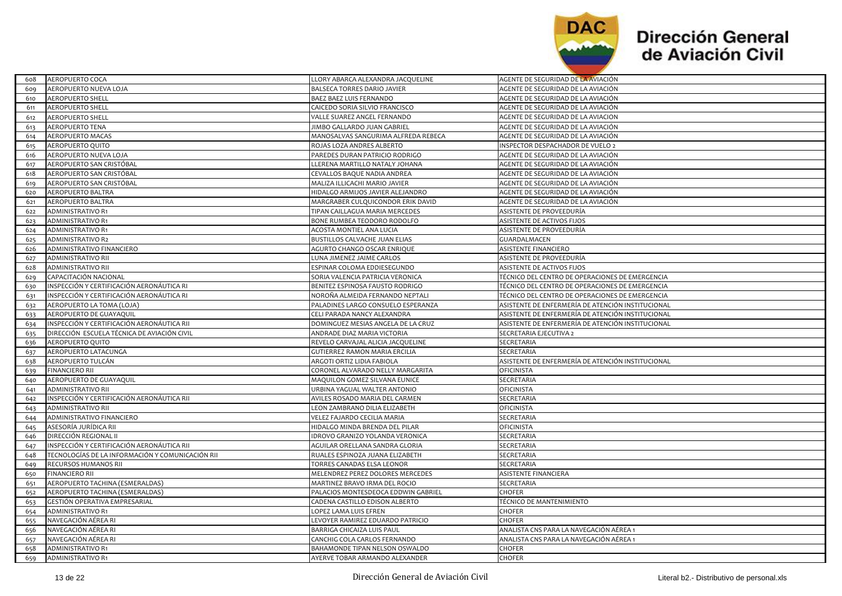

| 608 | AEROPUERTO COCA                                  | LLORY ABARCA ALEXANDRA JACQUELINE    | AGENTE DE SEGURIDAD DE LA AVIACIÓN                |
|-----|--------------------------------------------------|--------------------------------------|---------------------------------------------------|
| 609 | AEROPUERTO NUEVA LOJA                            | BALSECA TORRES DARIO JAVIER          | AGENTE DE SEGURIDAD DE LA AVIACIÓN                |
| 610 | <b>AEROPUERTO SHELL</b>                          | BAEZ BAEZ LUIS FERNANDO              | AGENTE DE SEGURIDAD DE LA AVIACIÓN                |
| 611 | <b>AEROPUERTO SHELL</b>                          | CAICEDO SORIA SILVIO FRANCISCO       | AGENTE DE SEGURIDAD DE LA AVIACIÓN                |
| 612 | <b>AEROPUERTO SHELL</b>                          | VALLE SUAREZ ANGEL FERNANDO          | AGENTE DE SEGURIDAD DE LA AVIACION                |
| 613 | <b>AEROPUERTO TENA</b>                           | JIMBO GALLARDO JUAN GABRIEL          | AGENTE DE SEGURIDAD DE LA AVIACIÓN                |
| 614 | <b>AEROPUERTO MACAS</b>                          | MANOSALVAS SANGURIMA ALFREDA REBECA  | AGENTE DE SEGURIDAD DE LA AVIACIÓN                |
| 615 | AEROPUERTO QUITO                                 | ROJAS LOZA ANDRES ALBERTO            | INSPECTOR DESPACHADOR DE VUELO 2                  |
| 616 | AEROPUERTO NUEVA LOJA                            | PAREDES DURAN PATRICIO RODRIGO       | AGENTE DE SEGURIDAD DE LA AVIACIÓN                |
| 617 | AEROPUERTO SAN CRISTÓBAL                         | LLERENA MARTILLO NATALY JOHANA       | AGENTE DE SEGURIDAD DE LA AVIACIÓN                |
| 618 | AEROPUERTO SAN CRISTÓBAL                         | CEVALLOS BAQUE NADIA ANDREA          | AGENTE DE SEGURIDAD DE LA AVIACIÓN                |
| 619 | AEROPUERTO SAN CRISTÓBAL                         | MALIZA ILLICACHI MARIO JAVIER        | AGENTE DE SEGURIDAD DE LA AVIACIÓN                |
| 620 | AEROPUERTO BALTRA                                | HIDALGO ARMIJOS JAVIER ALEJANDRO     | AGENTE DE SEGURIDAD DE LA AVIACIÓN                |
| 621 | AEROPUERTO BALTRA                                | MARGRABER CULQUICONDOR ERIK DAVID    | AGENTE DE SEGURIDAD DE LA AVIACIÓN                |
| 622 | <b>ADMINISTRATIVO R1</b>                         | TIPAN CAILLAGUA MARIA MERCEDES       | ASISTENTE DE PROVEEDURÍA                          |
| 623 | ADMINISTRATIVO R1                                | BONE RUMBEA TEODORO RODOLFO          | ASISTENTE DE ACTIVOS FIJOS                        |
| 624 | <b>ADMINISTRATIVO R1</b>                         | ACOSTA MONTIEL ANA LUCIA             | ASISTENTE DE PROVEEDURÍA                          |
| 625 | ADMINISTRATIVO R2                                | BUSTILLOS CALVACHE JUAN ELIAS        | GUARDALMACEN                                      |
| 626 | ADMINISTRATIVO FINANCIERO                        | AGURTO CHANGO OSCAR ENRIQUE          | ASISTENTE FINANCIERO                              |
| 627 | ADMINISTRATIVO RII                               | LUNA JIMENEZ JAIME CARLOS            | ASISTENTE DE PROVEEDURÍA                          |
| 628 | ADMINISTRATIVO RII                               | ESPINAR COLOMA EDDIESEGUNDO          | ASISTENTE DE ACTIVOS FIJOS                        |
| 629 | CAPACITACIÓN NACIONAL                            | SORIA VALENCIA PATRICIA VERONICA     | TÉCNICO DEL CENTRO DE OPERACIONES DE EMERGENCIA   |
| 630 | INSPECCIÓN Y CERTIFICACIÓN AERONÁUTICA RI        | BENITEZ ESPINOSA FAUSTO RODRIGO      | TÉCNICO DEL CENTRO DE OPERACIONES DE EMERGENCIA   |
| 631 | INSPECCIÓN Y CERTIFICACIÓN AERONÁUTICA RI        | NOROÑA ALMEIDA FERNANDO NEPTALI      | TÉCNICO DEL CENTRO DE OPERACIONES DE EMERGENCIA   |
| 632 | AEROPUERTO LA TOMA (LOJA)                        | PALADINES LARGO CONSUELO ESPERANZA   | ASISTENTE DE ENFERMERÍA DE ATENCIÓN INSTITUCIONAL |
| 633 | AEROPUERTO DE GUAYAQUIL                          | CELI PARADA NANCY ALEXANDRA          | ASISTENTE DE ENFERMERÍA DE ATENCIÓN INSTITUCIONAL |
| 634 | INSPECCIÓN Y CERTIFICACIÓN AERONÁUTICA RII       | DOMINGUEZ MESIAS ANGELA DE LA CRUZ   | ASISTENTE DE ENFERMERÍA DE ATENCIÓN INSTITUCIONAL |
| 635 | DIRECCIÓN ESCUELA TÉCNICA DE AVIACIÓN CIVIL      | ANDRADE DIAZ MARIA VICTORIA          | SECRETARIA EJECUTIVA 2                            |
| 636 | AEROPUERTO QUITO                                 | REVELO CARVAJAL ALICIA JACQUELINE    | SECRETARIA                                        |
| 637 | AEROPUERTO LATACUNGA                             | <b>GUTIERREZ RAMON MARIA ERCILIA</b> | SECRETARIA                                        |
| 638 | AEROPUERTO TULCÁN                                | ARGOTI ORTIZ LIDIA FABIOLA           | ASISTENTE DE ENFERMERÍA DE ATENCIÓN INSTITUCIONAL |
| 639 | <b>FINANCIERO RII</b>                            | CORONEL ALVARADO NELLY MARGARITA     | OFICINISTA                                        |
| 640 | AEROPUERTO DE GUAYAQUIL                          | MAQUILON GOMEZ SILVANA EUNICE        | SECRETARIA                                        |
| 641 | ADMINISTRATIVO RII                               | URBINA YAGUAL WALTER ANTONIO         | <b>OFICINISTA</b>                                 |
| 642 | INSPECCIÓN Y CERTIFICACIÓN AERONÁUTICA RII       | AVILES ROSADO MARIA DEL CARMEN       | SECRETARIA                                        |
| 643 | ADMINISTRATIVO RII                               | LEON ZAMBRANO DILIA ELIZABETH        | OFICINISTA                                        |
| 644 | ADMINISTRATIVO FINANCIERO                        | VELEZ FAJARDO CECILIA MARIA          | SECRETARIA                                        |
| 645 | ASESORÍA JURÍDICA RII                            | HIDALGO MINDA BRENDA DEL PILAR       | <b>OFICINISTA</b>                                 |
| 646 | DIRECCIÓN REGIONAL II                            | IDROVO GRANIZO YOLANDA VERONICA      | SECRETARIA                                        |
| 647 | INSPECCIÓN Y CERTIFICACIÓN AERONÁUTICA RII       | AGUILAR ORELLANA SANDRA GLORIA       | SECRETARIA                                        |
| 648 | TECNOLOGÍAS DE LA INFORMACIÓN Y COMUNICACIÓN RII | RUALES ESPINOZA JUANA ELIZABETH      | SECRETARIA                                        |
| 649 | RECURSOS HUMANOS RII                             | TORRES CANADAS ELSA LEONOR           | SECRETARIA                                        |
| 650 | <b>FINANCIERO RII</b>                            | MELENDREZ PEREZ DOLORES MERCEDES     | <b>ASISTENTE FINANCIERA</b>                       |
| 651 | AEROPUERTO TACHINA (ESMERALDAS)                  | MARTINEZ BRAVO IRMA DEL ROCIO        | SECRETARIA                                        |
| 652 | AEROPUERTO TACHINA (ESMERALDAS)                  | PALACIOS MONTESDEOCA EDDWIN GABRIEL  | CHOFER                                            |
| 653 | GESTIÓN OPERATIVA EMPRESARIAL                    | CADENA CASTILLO EDISON ALBERTO       | TÉCNICO DE MANTENIMIENTO                          |
| 654 | <b>ADMINISTRATIVO R1</b>                         | LOPEZ LAMA LUIS EFREN                | <b>CHOFER</b>                                     |
| 655 | NAVEGACIÓN AÉREA RI                              | LEVOYER RAMIREZ EDUARDO PATRICIO     | CHOFER                                            |
| 656 | NAVEGACIÓN AÉREA RI                              | BARRIGA CHICAIZA LUIS PAUL           | ANALISTA CNS PARA LA NAVEGACIÓN AÉREA 1           |
| 657 | NAVEGACIÓN AÉREA RI                              | CANCHIG COLA CARLOS FERNANDO         | ANALISTA CNS PARA LA NAVEGACIÓN AÉREA 1           |
| 658 | <b>ADMINISTRATIVO R1</b>                         | BAHAMONDE TIPAN NELSON OSWALDO       | CHOFER                                            |
| 659 | <b>ADMINISTRATIVO R1</b>                         | AYERVE TOBAR ARMANDO ALEXANDER       | <b>CHOFER</b>                                     |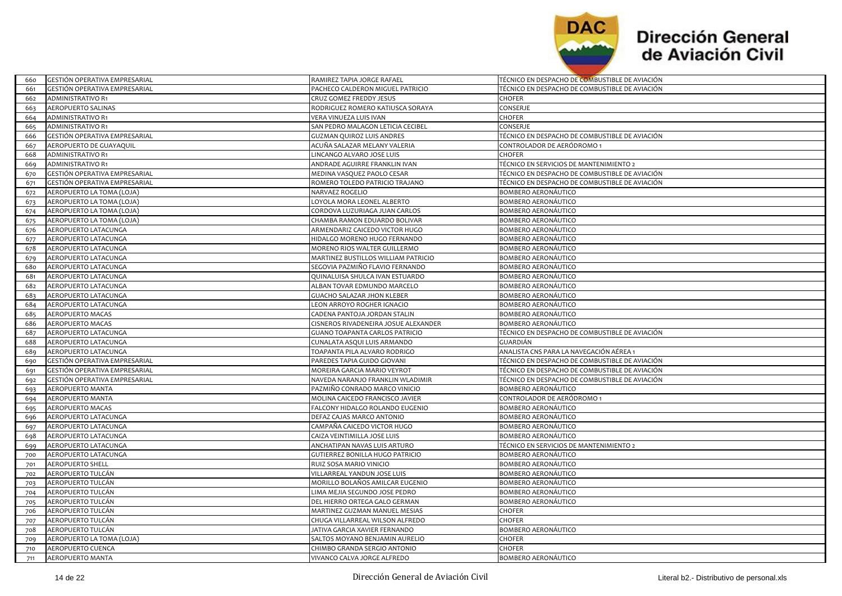

| 660 | <b>GESTION OPERATIVA EMPRESARIAL</b> | RAMIREZ TAPIA JORGE RAFAEL                  | TÉCNICO EN DESPACHO DE COMBUSTIBLE DE AVIACIÓN |
|-----|--------------------------------------|---------------------------------------------|------------------------------------------------|
| 661 | GESTIÓN OPERATIVA EMPRESARIAL        | PACHECO CALDERON MIGUEL PATRICIO            | TÉCNICO EN DESPACHO DE COMBUSTIBLE DE AVIACIÓN |
| 662 | <b>ADMINISTRATIVO R1</b>             | CRUZ GOMEZ FREDDY JESUS                     | CHOFER                                         |
| 663 | <b>AEROPUERTO SALINAS</b>            | RODRIGUEZ ROMERO KATIUSCA SORAYA            | CONSERJE                                       |
| 664 | ADMINISTRATIVO R1                    | VERA VINUEZA LUIS IVAN                      | CHOFER                                         |
| 665 | ADMINISTRATIVO R1                    | SAN PEDRO MALAGON LETICIA CECIBEL           | CONSERJE                                       |
| 666 | GESTIÓN OPERATIVA EMPRESARIAL        | <b>GUZMAN QUIROZ LUIS ANDRES</b>            | TÉCNICO EN DESPACHO DE COMBUSTIBLE DE AVIACIÓN |
| 667 | AEROPUERTO DE GUAYAQUIL              | ACUÑA SALAZAR MELANY VALERIA                | CONTROLADOR DE AERÓDROMO 1                     |
| 668 | <b>ADMINISTRATIVO R1</b>             | LINCANGO ALVARO JOSE LUIS                   | <b>CHOFER</b>                                  |
| 669 | <b>ADMINISTRATIVO R1</b>             | ANDRADE AGUIRRE FRANKLIN IVAN               | TÉCNICO EN SERVICIOS DE MANTENIMIENTO 2        |
| 670 | GESTIÓN OPERATIVA EMPRESARIAL        | MEDINA VASQUEZ PAOLO CESAR                  | TÉCNICO EN DESPACHO DE COMBUSTIBLE DE AVIACIÓN |
| 671 | GESTIÓN OPERATIVA EMPRESARIAL        | ROMERO TOLEDO PATRICIO TRAJANO              | TÉCNICO EN DESPACHO DE COMBUSTIBLE DE AVIACIÓN |
| 672 | AEROPUERTO LA TOMA (LOJA)            | NARVAEZ ROGELIO                             | BOMBERO AERONÁUTICO                            |
| 673 | AEROPUERTO LA TOMA (LOJA)            | LOYOLA MORA LEONEL ALBERTO                  | BOMBERO AERONÁUTICO                            |
| 674 | AEROPUERTO LA TOMA (LOJA)            | CORDOVA LUZURIAGA JUAN CARLOS               | BOMBERO AERONÁUTICO                            |
| 675 | AEROPUERTO LA TOMA (LOJA)            | CHAMBA RAMON EDUARDO BOLIVAR                | BOMBERO AERONÁUTICO                            |
| 676 | AEROPUERTO LATACUNGA                 | ARMENDARIZ CAICEDO VICTOR HUGO              | BOMBERO AERONÁUTICO                            |
| 677 | AEROPUERTO LATACUNGA                 | HIDALGO MORENO HUGO FERNANDO                | BOMBERO AERONÁUTICO                            |
| 678 | AEROPUERTO LATACUNGA                 | MORENO RIOS WALTER GUILLERMO                | BOMBERO AERONÁUTICO                            |
| 679 | AEROPUERTO LATACUNGA                 | MARTINEZ BUSTILLOS WILLIAM PATRICIO         | BOMBERO AERONÁUTICO                            |
| 680 | AEROPUERTO LATACUNGA                 | SEGOVIA PAZMIÑO FLAVIO FERNANDO             | BOMBERO AERONÁUTICO                            |
| 681 | AEROPUERTO LATACUNGA                 | QUINALUISA SHULCA IVAN ESTUARDO             | BOMBERO AERONÁUTICO                            |
| 682 | AEROPUERTO LATACUNGA                 | ALBAN TOVAR EDMUNDO MARCELO                 | BOMBERO AERONÁUTICO                            |
| 683 | AEROPUERTO LATACUNGA                 | <b>GUACHO SALAZAR JHON KLEBER</b>           | BOMBERO AERONÁUTICO                            |
| 684 | AEROPUERTO LATACUNGA                 | LEON ARROYO ROGHER IGNACIO                  | BOMBERO AERONÁUTICO                            |
| 685 | <b>AEROPUERTO MACAS</b>              | CADENA PANTOJA JORDAN STALIN                | BOMBERO AERONÁUTICO                            |
| 686 | AEROPUERTO MACAS                     | <b>CISNEROS RIVADENEIRA JOSUE ALEXANDER</b> | BOMBERO AERONÁUTICO                            |
| 687 | AEROPUERTO LATACUNGA                 | <b>GUANO TOAPANTA CARLOS PATRICIO</b>       | TÉCNICO EN DESPACHO DE COMBUSTIBLE DE AVIACIÓN |
| 688 | AEROPUERTO LATACUNGA                 | CUNALATA ASQUI LUIS ARMANDO                 | GUARDIÁN                                       |
| 689 | AEROPUERTO LATACUNGA                 | TOAPANTA PILA ALVARO RODRIGO                | ANALISTA CNS PARA LA NAVEGACIÓN AÉREA 1        |
| 690 | GESTIÓN OPERATIVA EMPRESARIAL        | PAREDES TAPIA GUIDO GIOVANI                 | TÉCNICO EN DESPACHO DE COMBUSTIBLE DE AVIACIÓN |
| 691 | GESTIÓN OPERATIVA EMPRESARIAL        | MOREIRA GARCIA MARIO VEYROT                 | TÉCNICO EN DESPACHO DE COMBUSTIBLE DE AVIACIÓN |
| 692 | GESTIÓN OPERATIVA EMPRESARIAL        | NAVEDA NARANJO FRANKLIN WLADIMIR            | TÉCNICO EN DESPACHO DE COMBUSTIBLE DE AVIACIÓN |
| 693 | AEROPUERTO MANTA                     | PAZMIÑO CONRADO MARCO VINICIO               | BOMBERO AERONÁUTICO                            |
| 694 | AEROPUERTO MANTA                     | MOLINA CAICEDO FRANCISCO JAVIER             | CONTROLADOR DE AERÓDROMO 1                     |
| 695 | AEROPUERTO MACAS                     | FALCONY HIDALGO ROLANDO EUGENIO             | BOMBERO AERONÁUTICO                            |
| 696 | AEROPUERTO LATACUNGA                 | DEFAZ CAJAS MARCO ANTONIO                   | BOMBERO AERONÁUTICO                            |
| 697 | AEROPUERTO LATACUNGA                 | CAMPAÑA CAICEDO VICTOR HUGO                 | BOMBERO AERONÁUTICO                            |
| 698 | AEROPUERTO LATACUNGA                 | CAIZA VEINTIMILLA JOSE LUIS                 | BOMBERO AERONÁUTICO                            |
| 699 | AEROPUERTO LATACUNGA                 | ANCHATIPAN NAVAS LUIS ARTURO                | TÉCNICO EN SERVICIOS DE MANTENIMIENTO 2        |
| 700 | AEROPUERTO LATACUNGA                 | GUTIERREZ BONILLA HUGO PATRICIO             | BOMBERO AERONÁUTICO                            |
| 701 | <b>AEROPUERTO SHELL</b>              | RUIZ SOSA MARIO VINICIO                     | <b>BOMBERO AERONÁUTICO</b>                     |
| 702 | AEROPUERTO TULCÁN                    | VILLARREAL YANDUN JOSE LUIS                 | BOMBERO AERONÁUTICO                            |
| 703 | AEROPUERTO TULCÁN                    | MORILLO BOLAÑOS AMILCAR EUGENIO             | BOMBERO AERONÁUTICO                            |
| 704 | AEROPUERTO TULCÁN                    | LIMA MEJIA SEGUNDO JOSE PEDRO               | BOMBERO AERONÁUTICO                            |
| 705 | AEROPUERTO TULCÁN                    | DEL HIERRO ORTEGA GALO GERMAN               | BOMBERO AERONÁUTICO                            |
| 706 | AEROPUERTO TULCÁN                    | MARTINEZ GUZMAN MANUEL MESIAS               | CHOFER                                         |
| 707 | AEROPUERTO TULCÁN                    | CHUGA VILLARREAL WILSON ALFREDO             | CHOFER                                         |
| 708 | AEROPUERTO TULCÁN                    | JATIVA GARCIA XAVIER FERNANDO               | BOMBERO AERONÁUTICO                            |
| 709 | AEROPUERTO LA TOMA (LOJA)            | SALTOS MOYANO BENJAMIN AURELIO              | <b>CHOFER</b>                                  |
| 710 | AEROPUERTO CUENCA                    | CHIMBO GRANDA SERGIO ANTONIO                | <b>CHOFER</b>                                  |
| 711 | <b>AEROPUERTO MANTA</b>              | VIVANCO CALVA JORGE ALFREDO                 | BOMBERO AERONÁUTICO                            |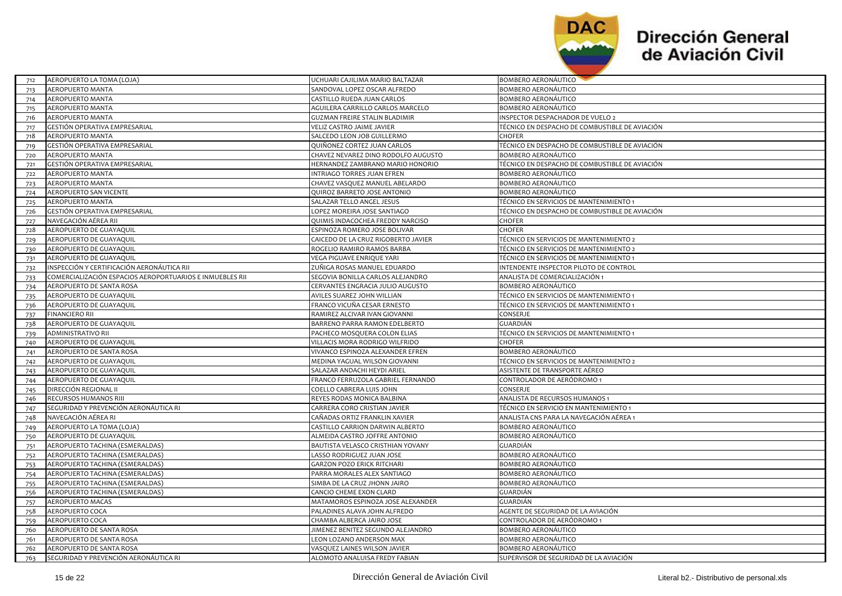

| 712 | AEROPUERTO LA TOMA (LOJA)                                | UCHUARI CAJILIMA MARIO BALTAZAR      | BOMBERO AERONAUTICO                            |
|-----|----------------------------------------------------------|--------------------------------------|------------------------------------------------|
| 713 | AEROPUERTO MANTA                                         | SANDOVAL LOPEZ OSCAR ALFREDO         | BOMBERO AERONÁUTICO                            |
| 714 | AEROPUERTO MANTA                                         | CASTILLO RUEDA JUAN CARLOS           | BOMBERO AERONÁUTICO                            |
| 715 | AEROPUERTO MANTA                                         | AGUILERA CARRILLO CARLOS MARCELO     | <b>BOMBERO AERONÁUTICO</b>                     |
| 716 | AEROPUERTO MANTA                                         | <b>GUZMAN FREIRE STALIN BLADIMIR</b> | INSPECTOR DESPACHADOR DE VUELO 2               |
| 717 | GESTIÓN OPERATIVA EMPRESARIAL                            | VELIZ CASTRO JAIME JAVIER            | TÉCNICO EN DESPACHO DE COMBUSTIBLE DE AVIACIÓN |
| 718 | AEROPUERTO MANTA                                         | SALCEDO LEON JOB GUILLERMO           | <b>CHOFER</b>                                  |
| 719 | GESTIÓN OPERATIVA EMPRESARIAL                            | QUIÑONEZ CORTEZ JUAN CARLOS          | TÉCNICO EN DESPACHO DE COMBUSTIBLE DE AVIACIÓN |
| 720 | <b>AEROPUERTO MANTA</b>                                  | CHAVEZ NEVAREZ DINO RODOLFO AUGUSTO  | BOMBERO AERONÁUTICO                            |
| 721 | GESTIÓN OPERATIVA EMPRESARIAL                            | HERNANDEZ ZAMBRANO MARIO HONORIO     | TÉCNICO EN DESPACHO DE COMBUSTIBLE DE AVIACIÓN |
| 722 | <b>AEROPUERTO MANTA</b>                                  | INTRIAGO TORRES JUAN EFREN           | <b>BOMBERO AERONÁUTICO</b>                     |
| 723 | <b>AEROPUERTO MANTA</b>                                  | CHAVEZ VASQUEZ MANUEL ABELARDO       | BOMBERO AERONÁUTICO                            |
| 724 | AEROPUERTO SAN VICENTE                                   | QUIROZ BARRETO JOSE ANTONIO          | <b>BOMBERO AERONÁUTICO</b>                     |
| 725 | AEROPUERTO MANTA                                         | SALAZAR TELLO ANGEL JESUS            | TÉCNICO EN SERVICIOS DE MANTENIMIENTO 1        |
| 726 | GESTIÓN OPERATIVA EMPRESARIAL                            | LOPEZ MOREIRA JOSE SANTIAGO          | TÉCNICO EN DESPACHO DE COMBUSTIBLE DE AVIACIÓN |
| 727 | NAVEGACIÓN AÉREA RII                                     | QUIMIS INDACOCHEA FREDDY NARCISO     | CHOFER                                         |
| 728 | AEROPUERTO DE GUAYAQUIL                                  | ESPINOZA ROMERO JOSE BOLIVAR         | <b>CHOFER</b>                                  |
| 729 | AEROPUERTO DE GUAYAQUIL                                  | CAICEDO DE LA CRUZ RIGOBERTO JAVIER  | TÉCNICO EN SERVICIOS DE MANTENIMIENTO 2        |
| 730 | AEROPUERTO DE GUAYAQUIL                                  | ROGELIO RAMIRO RAMOS BARBA           | TÉCNICO EN SERVICIOS DE MANTENIMIENTO 2        |
| 731 | AEROPUERTO DE GUAYAQUIL                                  | VEGA PIGUAVE ENRIQUE YARI            | TÉCNICO EN SERVICIOS DE MANTENIMIENTO 1        |
| 732 | INSPECCIÓN Y CERTIFICACIÓN AERONÁUTICA RII               | ZUÑIGA ROSAS MANUEL EDUARDO          | INTENDENTE INSPECTOR PILOTO DE CONTROL         |
| 733 | COMERCIALIZACIÓN ESPACIOS AEROPORTUARIOS E INMUEBLES RII | SEGOVIA BONILLA CARLOS ALEJANDRO     | ANALISTA DE COMERCIALIZACIÓN 1                 |
| 734 | AEROPUERTO DE SANTA ROSA                                 | CERVANTES ENGRACIA JULIO AUGUSTO     | <b>BOMBERO AERONÁUTICO</b>                     |
| 735 | AEROPUERTO DE GUAYAQUIL                                  | AVILES SUAREZ JOHN WILLIAN           | TÉCNICO EN SERVICIOS DE MANTENIMIENTO 1        |
| 736 | AEROPUERTO DE GUAYAQUIL                                  | FRANCO VICUÑA CESAR ERNESTO          | TÉCNICO EN SERVICIOS DE MANTENIMIENTO 1        |
| 737 | <b>FINANCIERO RII</b>                                    | RAMIREZ ALCIVAR IVAN GIOVANNI        | CONSERJE                                       |
| 738 | AEROPUERTO DE GUAYAQUIL                                  | BARRENO PARRA RAMON EDELBERTO        | GUARDIÁN                                       |
| 739 | ADMINISTRATIVO RII                                       | PACHECO MOSQUERA COLON ELIAS         | TÉCNICO EN SERVICIOS DE MANTENIMIENTO 1        |
| 740 | AEROPUERTO DE GUAYAQUIL                                  | VILLACIS MORA RODRIGO WILFRIDO       | CHOFER                                         |
| 741 | AEROPUERTO DE SANTA ROSA                                 | VIVANCO ESPINOZA ALEXANDER EFREN     | BOMBERO AERONÁUTICO                            |
| 742 | AEROPUERTO DE GUAYAQUIL                                  | MEDINA YAGUAL WILSON GIOVANNI        | TÉCNICO EN SERVICIOS DE MANTENIMIENTO 2        |
| 743 | AEROPUERTO DE GUAYAQUIL                                  | SALAZAR ANDACHI HEYDI ARIEL          | ASISTENTE DE TRANSPORTE AÉREO                  |
| 744 | AEROPUERTO DE GUAYAQUIL                                  | FRANCO FERRUZOLA GABRIEL FERNANDO    | CONTROLADOR DE AERÓDROMO 1                     |
| 745 | DIRECCIÓN REGIONAL II                                    | COELLO CABRERA LUIS JOHN             | CONSERJE                                       |
| 746 | RECURSOS HUMANOS RIII                                    | REYES RODAS MONICA BALBINA           | ANALISTA DE RECURSOS HUMANOS 1                 |
| 747 | SEGURIDAD Y PREVENCIÓN AERONÁUTICA RI                    | CARRERA CORO CRISTIAN JAVIER         | TÉCNICO EN SERVICIO EN MANTENIMIENTO 1         |
| 748 | NAVEGACIÓN AÉREA RI                                      | CAÑADAS ORTIZ FRANKLIN XAVIER        | ANALISTA CNS PARA LA NAVEGACIÓN AÉREA 1        |
| 749 | AEROPUERTO LA TOMA (LOJA)                                | CASTILLO CARRION DARWIN ALBERTO      | BOMBERO AERONÁUTICO                            |
| 750 | AEROPUERTO DE GUAYAQUIL                                  | ALMEIDA CASTRO JOFFRE ANTONIO        | BOMBERO AERONÁUTICO                            |
| 751 | AEROPUERTO TACHINA (ESMERALDAS)                          | BAUTISTA VELASCO CRISTHIAN YOVANY    | GUARDIÁN                                       |
| 752 | AEROPUERTO TACHINA (ESMERALDAS)                          | LASSO RODRIGUEZ JUAN JOSE            | BOMBERO AERONÁUTICO                            |
| 753 | AEROPUERTO TACHINA (ESMERALDAS)                          | <b>GARZON POZO ERICK RITCHARI</b>    | <b>BOMBERO AERONÁUTICO</b>                     |
| 754 | AEROPUERTO TACHINA (ESMERALDAS)                          | PARRA MORALES ALEX SANTIAGO          | <b>BOMBERO AERONÁUTICO</b>                     |
| 755 | AEROPUERTO TACHINA (ESMERALDAS)                          | SIMBA DE LA CRUZ JHONN JAIRO         | BOMBERO AERONÁUTICO                            |
| 756 | AEROPUERTO TACHINA (ESMERALDAS)                          | CANCIO CHEME EXON CLARD              | GUARDIÁN                                       |
| 757 | <b>AEROPUERTO MACAS</b>                                  | MATAMOROS ESPINOZA JOSE ALEXANDER    | GUARDIÁN                                       |
| 758 | AEROPUERTO COCA                                          | PALADINES ALAVA JOHN ALFREDO         | AGENTE DE SEGURIDAD DE LA AVIACIÓN             |
| 759 | AEROPUERTO COCA                                          | CHAMBA ALBERCA JAIRO JOSE            | CONTROLADOR DE AERÓDROMO 1                     |
| 760 | AEROPUERTO DE SANTA ROSA                                 | JIMENEZ BENITEZ SEGUNDO ALEJANDRO    | BOMBERO AERONÁUTICO                            |
| 761 | AEROPUERTO DE SANTA ROSA                                 | LEON LOZANO ANDERSON MAX             | BOMBERO AERONÁUTICO                            |
| 762 | AEROPUERTO DE SANTA ROSA                                 | VASQUEZ LAINES WILSON JAVIER         | BOMBERO AERONÁUTICO                            |
| 763 | SEGURIDAD Y PREVENCIÓN AERONÁUTICA RI                    | ALOMOTO ANALUISA FREDY FABIAN        | SUPERVISOR DE SEGURIDAD DE LA AVIACIÓN         |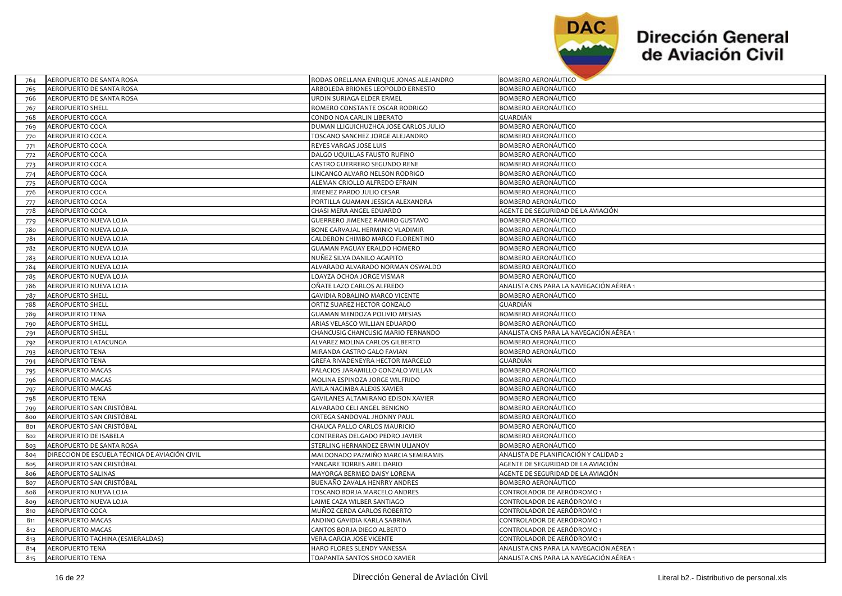

 $\overline{\phantom{a}}$ 

| AEROPUERTO DE SANTA ROSA                       | RODAS ORELLANA ENRIQUE JONAS ALEJANDRO | BOMBERO AERONAUTICO                     |
|------------------------------------------------|----------------------------------------|-----------------------------------------|
| AEROPUERTO DE SANTA ROSA                       | ARBOLEDA BRIONES LEOPOLDO ERNESTO      | BOMBERO AERONÁUTICO                     |
| AEROPUERTO DE SANTA ROSA                       | URDIN SURIAGA ELDER ERMEL              | BOMBERO AERONÁUTICO                     |
| <b>AEROPUERTO SHELL</b>                        | ROMERO CONSTANTE OSCAR RODRIGO         | BOMBERO AERONÁUTICO                     |
| AEROPUERTO COCA                                | CONDO NOA CARLIN LIBERATO              | GUARDIÁN                                |
| AEROPUERTO COCA                                | DUMAN LLIGUICHUZHCA JOSE CARLOS JULIO  | BOMBERO AERONÁUTICO                     |
| <b>AEROPUERTO COCA</b>                         | TOSCANO SANCHEZ JORGE ALEJANDRO        | BOMBERO AERONÁUTICO                     |
| AEROPUERTO COCA                                | REYES VARGAS JOSE LUIS                 | BOMBERO AERONÁUTICO                     |
| <b>AEROPUERTO COCA</b>                         | DALGO UQUILLAS FAUSTO RUFINO           | BOMBERO AERONÁUTICO                     |
| AEROPUERTO COCA                                | CASTRO GUERRERO SEGUNDO RENE           | BOMBERO AERONÁUTICO                     |
| AEROPUERTO COCA                                | LINCANGO ALVARO NELSON RODRIGO         | BOMBERO AERONÁUTICO                     |
| AEROPUERTO COCA                                | ALEMAN CRIOLLO ALFREDO EFRAIN          | BOMBERO AERONÁUTICO                     |
| AEROPUERTO COCA                                | JIMENEZ PARDO JULIO CESAR              | BOMBERO AERONÁUTICO                     |
| AEROPUERTO COCA                                | PORTILLA GUAMAN JESSICA ALEXANDRA      | BOMBERO AERONÁUTICO                     |
| AEROPUERTO COCA                                | CHASI MERA ANGEL EDUARDO               | AGENTE DE SEGURIDAD DE LA AVIACIÓN      |
| AEROPUERTO NUEVA LOJA                          | GUERRERO JIMENEZ RAMIRO GUSTAVO        | BOMBERO AERONÁUTICO                     |
| AEROPUERTO NUEVA LOJA                          | BONE CARVAJAL HERMINIO VLADIMIR        | BOMBERO AERONÁUTICO                     |
| AEROPUERTO NUEVA LOJA                          | CALDERON CHIMBO MARCO FLORENTINO       | BOMBERO AERONÁUTICO                     |
| AEROPUERTO NUEVA LOJA                          | <b>GUAMAN PAGUAY ERALDO HOMERO</b>     | BOMBERO AERONÁUTICO                     |
| AEROPUERTO NUEVA LOJA                          | NUÑEZ SILVA DANILO AGAPITO             | BOMBERO AERONÁUTICO                     |
| AEROPUERTO NUEVA LOJA                          | ALVARADO ALVARADO NORMAN OSWALDO       | BOMBERO AERONÁUTICO                     |
| AEROPUERTO NUEVA LOJA                          | LOAYZA OCHOA JORGE VISMAR              | BOMBERO AERONÁUTICO                     |
| AEROPUERTO NUEVA LOJA                          | OÑATE LAZO CARLOS ALFREDO              | ANALISTA CNS PARA LA NAVEGACIÓN AÉREA 1 |
| <b>AEROPUERTO SHELL</b>                        | GAVIDIA ROBALINO MARCO VICENTE         | BOMBERO AERONÁUTICO                     |
| <b>AEROPUERTO SHELL</b>                        | ORTIZ SUAREZ HECTOR GONZALO            | GUARDIÁN                                |
| <b>AEROPUERTO TENA</b>                         | GUAMAN MENDOZA POLIVIO MESIAS          | BOMBERO AERONÁUTICO                     |
| <b>AEROPUERTO SHELL</b>                        | ARIAS VELASCO WILLIAN EDUARDO          | BOMBERO AERONÁUTICO                     |
| <b>AEROPUERTO SHELL</b>                        | CHANCUSIG CHANCUSIG MARIO FERNANDO     | ANALISTA CNS PARA LA NAVEGACIÓN AÉREA 1 |
| AEROPUERTO LATACUNGA                           | ALVAREZ MOLINA CARLOS GILBERTO         | BOMBERO AERONÁUTICO                     |
| AEROPUERTO TENA                                | MIRANDA CASTRO GALO FAVIAN             | BOMBERO AERONÁUTICO                     |
| <b>AEROPUERTO TENA</b>                         | GREFA RIVADENEYRA HECTOR MARCELO       | GUARDIÁN                                |
| AEROPUERTO MACAS                               | PALACIOS JARAMILLO GONZALO WILLAN      | BOMBERO AERONÁUTICO                     |
| AEROPUERTO MACAS                               | MOLINA ESPINOZA JORGE WILFRIDO         | BOMBERO AERONÁUTICO                     |
| AEROPUERTO MACAS                               | AVILA NACIMBA ALEXIS XAVIER            | BOMBERO AERONÁUTICO                     |
| AEROPUERTO TENA                                | GAVILANES ALTAMIRANO EDISON XAVIER     | BOMBERO AERONÁUTICO                     |
| AEROPUERTO SAN CRISTÓBAL                       | ALVARADO CELI ANGEL BENIGNO            | BOMBERO AERONÁUTICO                     |
| AEROPUERTO SAN CRISTÓBAL                       | ORTEGA SANDOVAL JHONNY PAUL            | BOMBERO AERONÁUTICO                     |
| AEROPUERTO SAN CRISTÓBAL                       | CHAUCA PALLO CARLOS MAURICIO           | BOMBERO AERONÁUTICO                     |
| AEROPUERTO DE ISABELA                          | CONTRERAS DELGADO PEDRO JAVIER         | BOMBERO AERONÁUTICO                     |
| AEROPUERTO DE SANTA ROSA                       | STERLING HERNANDEZ ERWIN ULIANOV       | BOMBERO AERONÁUTICO                     |
| DIRECCION DE ESCUELA TÉCNICA DE AVIACIÓN CIVIL | MALDONADO PAZMIÑO MARCIA SEMIRAMIS     | ANALISTA DE PLANIFICACIÓN Y CALIDAD 2   |
| AEROPUERTO SAN CRISTÓBAL                       | YANGARE TORRES ABEL DARIO              | AGENTE DE SEGURIDAD DE LA AVIACIÓN      |
| AEROPUERTO SALINAS                             | MAYORGA BERMEO DAISY LORENA            | AGENTE DE SEGURIDAD DE LA AVIACIÓN      |
| AEROPUERTO SAN CRISTÓBAL                       | BUENAÑO ZAVALA HENRRY ANDRES           | BOMBERO AERONÁUTICO                     |
| AEROPUERTO NUEVA LOJA                          | TOSCANO BORJA MARCELO ANDRES           | CONTROLADOR DE AERÓDROMO 1              |
| AEROPUERTO NUEVA LOJA                          | LAIME CAZA WILBER SANTIAGO             | CONTROLADOR DE AERÓDROMO 1              |
| AEROPUERTO COCA                                | MUÑOZ CERDA CARLOS ROBERTO             | CONTROLADOR DE AERÓDROMO 1              |
| AEROPUERTO MACAS                               | ANDINO GAVIDIA KARLA SABRINA           | CONTROLADOR DE AERÓDROMO 1              |
| AEROPUERTO MACAS                               | CANTOS BORJA DIEGO ALBERTO             | CONTROLADOR DE AERÓDROMO 1              |
| AEROPUERTO TACHINA (ESMERALDAS)                | VERA GARCIA JOSE VICENTE               | CONTROLADOR DE AERÓDROMO 1              |
| <b>AEROPUERTO TENA</b>                         | HARO FLORES SLENDY VANESSA             | ANALISTA CNS PARA LA NAVEGACIÓN AÉREA 1 |
| <b>AEROPUERTO TENA</b>                         | TOAPANTA SANTOS SHOGO XAVIER           | ANALISTA CNS PARA LA NAVEGACIÓN AÉREA 1 |
|                                                |                                        |                                         |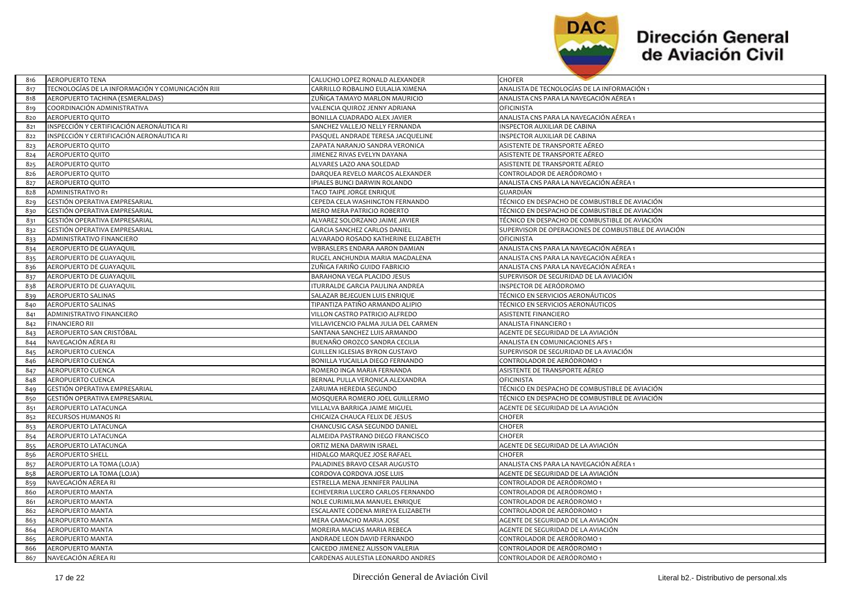

| 816 | AEROPUERTO TENA                                   | CALUCHO LOPEZ RONALD ALEXANDER       | CHOFER                                               |
|-----|---------------------------------------------------|--------------------------------------|------------------------------------------------------|
| 817 | TECNOLOGÍAS DE LA INFORMACIÓN Y COMUNICACIÓN RIII | CARRILLO ROBALINO EULALIA XIMENA     | ANALISTA DE TECNOLOGÍAS DE LA INFORMACIÓN 1          |
| 818 | AEROPUERTO TACHINA (ESMERALDAS)                   | ZUÑIGA TAMAYO MARLON MAURICIO        | ANALISTA CNS PARA LA NAVEGACIÓN AÉREA 1              |
| 819 | COORDINACIÓN ADMINISTRATIVA                       | VALENCIA QUIROZ JENNY ADRIANA        | <b>OFICINISTA</b>                                    |
| 820 | AEROPUERTO QUITO                                  | BONILLA CUADRADO ALEX JAVIER         | ANALISTA CNS PARA LA NAVEGACIÓN AÉREA 1              |
| 821 | NSPECCIÓN Y CERTIFICACIÓN AERONÁUTICA RI          | SANCHEZ VALLEJO NELLY FERNANDA       | INSPECTOR AUXILIAR DE CABINA                         |
| 822 | NSPECCIÓN Y CERTIFICACIÓN AERONÁUTICA RI          | PASQUEL ANDRADE TERESA JACQUELINE    | <b>INSPECTOR AUXILIAR DE CABINA</b>                  |
| 823 | AEROPUERTO QUITO                                  | ZAPATA NARANJO SANDRA VERONICA       | ASISTENTE DE TRANSPORTE AÉREO                        |
| 824 | AEROPUERTO QUITO                                  | JIMENEZ RIVAS EVELYN DAYANA          | ASISTENTE DE TRANSPORTE AÉREO                        |
| 825 | AEROPUERTO QUITO                                  | ALVARES LAZO ANA SOLEDAD             | ASISTENTE DE TRANSPORTE AÉREO                        |
| 826 | AEROPUERTO QUITO                                  | DARQUEA REVELO MARCOS ALEXANDER      | CONTROLADOR DE AERÓDROMO 1                           |
| 827 | <b>AEROPUERTO QUITO</b>                           | IPIALES BUNCI DARWIN ROLANDO         | ANALISTA CNS PARA LA NAVEGACIÓN AÉREA 1              |
| 828 | ADMINISTRATIVO R1                                 | TACO TAIPE JORGE ENRIQUE             | GUARDIÁN                                             |
| 829 | GESTIÓN OPERATIVA EMPRESARIAL                     | CEPEDA CELA WASHINGTON FERNANDO      | TÉCNICO EN DESPACHO DE COMBUSTIBLE DE AVIACIÓN       |
| 830 | GESTIÓN OPERATIVA EMPRESARIAL                     | MERO MERA PATRICIO ROBERTO           | TÉCNICO EN DESPACHO DE COMBUSTIBLE DE AVIACIÓN       |
| 831 | GESTIÓN OPERATIVA EMPRESARIAL                     | ALVAREZ SOLORZANO JAIME JAVIER       | TÉCNICO EN DESPACHO DE COMBUSTIBLE DE AVIACIÓN       |
| 832 | GESTIÓN OPERATIVA EMPRESARIAL                     | GARCIA SANCHEZ CARLOS DANIEL         | SUPERVISOR DE OPERACIONES DE COMBUSTIBLE DE AVIACIÓN |
| 833 | ADMINISTRATIVO FINANCIERO                         | ALVARADO ROSADO KATHERINE ELIZABETH  | OFICINISTA                                           |
| 834 | AEROPUERTO DE GUAYAQUIL                           | WBRASLERS ENDARA AARON DAMIAN        | ANALISTA CNS PARA LA NAVEGACIÓN AÉREA 1              |
| 835 | AEROPUERTO DE GUAYAQUIL                           | RUGEL ANCHUNDIA MARIA MAGDALENA      | ANALISTA CNS PARA LA NAVEGACIÓN AÉREA 1              |
| 836 | AEROPUERTO DE GUAYAQUIL                           | ZUÑIGA FARIÑO GUIDO FABRICIO         | ANALISTA CNS PARA LA NAVEGACIÓN AÉREA 1              |
| 837 | AEROPUERTO DE GUAYAQUIL                           | BARAHONA VEGA PLACIDO JESUS          | SUPERVISOR DE SEGURIDAD DE LA AVIACIÓN               |
| 838 | AEROPUERTO DE GUAYAQUIL                           | ITURRALDE GARCIA PAULINA ANDREA      | INSPECTOR DE AERÓDROMO                               |
| 839 | AEROPUERTO SALINAS                                | SALAZAR BEJEGUEN LUIS ENRIQUE        | TÉCNICO EN SERVICIOS AERONÁUTICOS                    |
| 840 | AEROPUERTO SALINAS                                | TIPANTIZA PATIÑO ARMANDO ALIPIO      | TÉCNICO EN SERVICIOS AERONÁUTICOS                    |
| 841 | ADMINISTRATIVO FINANCIERO                         | VILLON CASTRO PATRICIO ALFREDO       | <b>ASISTENTE FINANCIERO</b>                          |
| 842 | <b>FINANCIERO RII</b>                             | VILLAVICENCIO PALMA JULIA DEL CARMEN | ANALISTA FINANCIERO 1                                |
| 843 | AEROPUERTO SAN CRISTÓBAL                          | SANTANA SANCHEZ LUIS ARMANDO         | AGENTE DE SEGURIDAD DE LA AVIACIÓN                   |
| 844 | NAVEGACIÓN AÉREA RI                               | BUENAÑO OROZCO SANDRA CECILIA        | ANALISTA EN COMUNICACIONES AFS 1                     |
| 845 | AEROPUERTO CUENCA                                 | GUILLEN IGLESIAS BYRON GUSTAVO       | SUPERVISOR DE SEGURIDAD DE LA AVIACIÓN               |
| 846 | AEROPUERTO CUENCA                                 | BONILLA YUCAILLA DIEGO FERNANDO      | CONTROLADOR DE AERÓDROMO 1                           |
| 847 | AEROPUERTO CUENCA                                 | ROMERO INGA MARIA FERNANDA           | ASISTENTE DE TRANSPORTE AÉREO                        |
| 848 | AEROPUERTO CUENCA                                 | BERNAL PULLA VERONICA ALEXANDRA      | <b>OFICINISTA</b>                                    |
| 849 | GESTIÓN OPERATIVA EMPRESARIAL                     | ZARUMA HEREDIA SEGUNDO               | TÉCNICO EN DESPACHO DE COMBUSTIBLE DE AVIACIÓN       |
| 850 | GESTIÓN OPERATIVA EMPRESARIAL                     | MOSQUERA ROMERO JOEL GUILLERMO       | TÉCNICO EN DESPACHO DE COMBUSTIBLE DE AVIACIÓN       |
| 851 | AEROPUERTO LATACUNGA                              | VILLALVA BARRIGA JAIME MIGUEL        | AGENTE DE SEGURIDAD DE LA AVIACIÓN                   |
| 852 | RECURSOS HUMANOS RI                               | CHICAIZA CHAUCA FELIX DE JESUS       | CHOFER                                               |
| 853 | AEROPUERTO LATACUNGA                              | CHANCUSIG CASA SEGUNDO DANIEL        | CHOFER                                               |
| 854 | AEROPUERTO LATACUNGA                              | ALMEIDA PASTRANO DIEGO FRANCISCO     | CHOFER                                               |
| 855 | AEROPUERTO LATACUNGA                              | ORTIZ MENA DARWIN ISRAEL             | AGENTE DE SEGURIDAD DE LA AVIACIÓN                   |
| 856 | <b>AEROPUERTO SHELL</b>                           | HIDALGO MARQUEZ JOSE RAFAEL          | <b>CHOFER</b>                                        |
| 857 | AEROPUERTO LA TOMA (LOJA)                         | PALADINES BRAVO CESAR AUGUSTO        | ANALISTA CNS PARA LA NAVEGACIÓN AÉREA 1              |
| 858 | AEROPUERTO LA TOMA (LOJA)                         | CORDOVA CORDOVA JOSE LUIS            | AGENTE DE SEGURIDAD DE LA AVIACIÓN                   |
| 859 | NAVEGACIÓN AÉREA RI                               | ESTRELLA MENA JENNIFER PAULINA       | CONTROLADOR DE AERÓDROMO 1                           |
| 860 | AEROPUERTO MANTA                                  | ECHEVERRIA LUCERO CARLOS FERNANDO    | CONTROLADOR DE AERÓDROMO 1                           |
| 861 | AEROPUERTO MANTA                                  | NOLE CURIMILMA MANUEL ENRIQUE        | CONTROLADOR DE AERÓDROMO 1                           |
| 862 | <b>AEROPUERTO MANTA</b>                           | ESCALANTE CODENA MIREYA ELIZABETH    | CONTROLADOR DE AERÓDROMO 1                           |
| 863 | AEROPUERTO MANTA                                  | MERA CAMACHO MARIA JOSE              | AGENTE DE SEGURIDAD DE LA AVIACIÓN                   |
| 864 | <b>AEROPUERTO MANTA</b>                           | MOREIRA MACIAS MARIA REBECA          | AGENTE DE SEGURIDAD DE LA AVIACIÓN                   |
| 865 | AEROPUERTO MANTA                                  | ANDRADE LEON DAVID FERNANDO          | CONTROLADOR DE AERÓDROMO 1                           |
| 866 | AEROPUERTO MANTA                                  | CAICEDO JIMENEZ ALISSON VALERIA      | CONTROLADOR DE AERÓDROMO 1                           |
| 867 | NAVEGACIÓN AÉREA RI                               | CARDENAS AULESTIA LEONARDO ANDRES    | CONTROLADOR DE AERÓDROMO 1                           |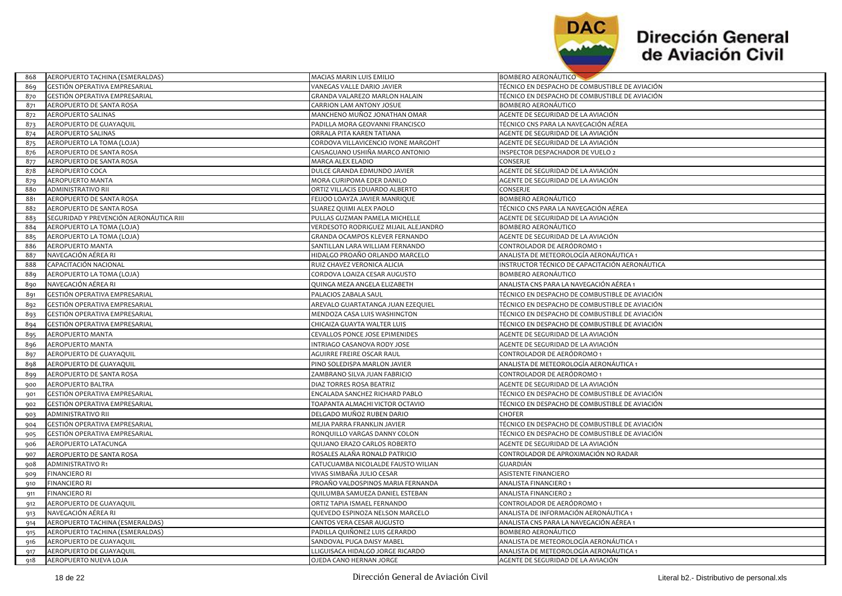

| 868 | AEROPUERTO TACHINA (ESMERALDAS)         | MACIAS MARIN LUIS EMILIO             | <b>BOMBERO AERONAUTICO</b>                     |
|-----|-----------------------------------------|--------------------------------------|------------------------------------------------|
| 869 | GESTIÓN OPERATIVA EMPRESARIAL           | VANEGAS VALLE DARIO JAVIER           | TÉCNICO EN DESPACHO DE COMBUSTIBLE DE AVIACIÓN |
| 870 | GESTIÓN OPERATIVA EMPRESARIAL           | GRANDA VALAREZO MARLON HALAIN        | TÉCNICO EN DESPACHO DE COMBUSTIBLE DE AVIACIÓN |
| 871 | AEROPUERTO DE SANTA ROSA                | CARRION LAM ANTONY JOSUE             | BOMBERO AERONÁUTICO                            |
| 872 | AEROPUERTO SALINAS                      | MANCHENO MUÑOZ JONATHAN OMAR         | AGENTE DE SEGURIDAD DE LA AVIACIÓN             |
| 873 | AEROPUERTO DE GUAYAQUIL                 | PADILLA MORA GEOVANNI FRANCISCO      | TÉCNICO CNS PARA LA NAVEGACIÓN AÉREA           |
| 874 | <b>AEROPUERTO SALINAS</b>               | ORRALA PITA KAREN TATIANA            | AGENTE DE SEGURIDAD DE LA AVIACIÓN             |
| 875 | AEROPUERTO LA TOMA (LOJA)               | CORDOVA VILLAVICENCIO IVONE MARGOHT  | AGENTE DE SEGURIDAD DE LA AVIACIÓN             |
| 876 | AEROPUERTO DE SANTA ROSA                | CAISAGUANO USHIÑA MARCO ANTONIO      | INSPECTOR DESPACHADOR DE VUELO 2               |
| 877 | AEROPUERTO DE SANTA ROSA                | MARCA ALEX ELADIO                    | CONSERJE                                       |
| 878 | AEROPUERTO COCA                         | DULCE GRANDA EDMUNDO JAVIER          | AGENTE DE SEGURIDAD DE LA AVIACIÓN             |
| 879 | <b>AEROPUERTO MANTA</b>                 | MORA CURIPOMA EDER DANILO            | AGENTE DE SEGURIDAD DE LA AVIACIÓN             |
| 880 | ADMINISTRATIVO RII                      | ORTIZ VILLACIS EDUARDO ALBERTO       | CONSERJE                                       |
| 881 | AEROPUERTO DE SANTA ROSA                | FEIJOO LOAYZA JAVIER MANRIQUE        | BOMBERO AERONÁUTICO                            |
| 882 | AEROPUERTO DE SANTA ROSA                | SUAREZ QUIMI ALEX PAOLO              | TÉCNICO CNS PARA LA NAVEGACIÓN AÉREA           |
| 883 | SEGURIDAD Y PREVENCIÓN AERONÁUTICA RIII | PULLAS GUZMAN PAMELA MICHELLE        | AGENTE DE SEGURIDAD DE LA AVIACIÓN             |
| 884 | AEROPUERTO LA TOMA (LOJA)               | VERDESOTO RODRIGUEZ MIJAIL ALEJANDRO | BOMBERO AERONÁUTICO                            |
| 885 | AEROPUERTO LA TOMA (LOJA)               | GRANDA OCAMPOS KLEVER FERNANDO       | AGENTE DE SEGURIDAD DE LA AVIACIÓN             |
| 886 | <b>AEROPUERTO MANTA</b>                 | SANTILLAN LARA WILLIAM FERNANDO      | CONTROLADOR DE AERÓDROMO 1                     |
| 887 | NAVEGACIÓN AÉREA RI                     | HIDALGO PROAÑO ORLANDO MARCELO       | ANALISTA DE METEOROLOGÍA AERONÁUTICA 1         |
| 888 | CAPACITACIÓN NACIONAL                   | RUIZ CHAVEZ VERONICA ALICIA          | INSTRUCTOR TÉCNICO DE CAPACITACIÓN AERONÁUTICA |
| 88q | AEROPUERTO LA TOMA (LOJA)               | CORDOVA LOAIZA CESAR AUGUSTO         | BOMBERO AERONÁUTICO                            |
| 890 | NAVEGACIÓN AÉREA RI                     | QUINGA MEZA ANGELA ELIZABETH         | ANALISTA CNS PARA LA NAVEGACIÓN AÉREA 1        |
| 891 | GESTIÓN OPERATIVA EMPRESARIAL           | PALACIOS ZABALA SAUL                 | TÉCNICO EN DESPACHO DE COMBUSTIBLE DE AVIACIÓN |
| 892 | GESTIÓN OPERATIVA EMPRESARIAL           | AREVALO GUARTATANGA JUAN EZEQUIEL    | TÉCNICO EN DESPACHO DE COMBUSTIBLE DE AVIACIÓN |
| 893 | GESTIÓN OPERATIVA EMPRESARIAL           | MENDOZA CASA LUIS WASHINGTON         | TÉCNICO EN DESPACHO DE COMBUSTIBLE DE AVIACIÓN |
| 894 | GESTIÓN OPERATIVA EMPRESARIAL           | CHICAIZA GUAYTA WALTER LUIS          | TÉCNICO EN DESPACHO DE COMBUSTIBLE DE AVIACIÓN |
| 895 | AEROPUERTO MANTA                        | CEVALLOS PONCE JOSE EPIMENIDES       | AGENTE DE SEGURIDAD DE LA AVIACIÓN             |
| 896 | AEROPUERTO MANTA                        | INTRIAGO CASANOVA RODY JOSE          | AGENTE DE SEGURIDAD DE LA AVIACIÓN             |
| 897 | AEROPUERTO DE GUAYAQUIL                 | AGUIRRE FREIRE OSCAR RAUL            | CONTROLADOR DE AERÓDROMO 1                     |
| 898 | AEROPUERTO DE GUAYAQUIL                 | PINO SOLEDISPA MARLON JAVIER         | ANALISTA DE METEOROLOGÍA AERONÁUTICA 1         |
| 899 | AEROPUERTO DE SANTA ROSA                | ZAMBRANO SILVA JUAN FABRICIO         | CONTROLADOR DE AERÓDROMO 1                     |
| 900 | AEROPUERTO BALTRA                       | DIAZ TORRES ROSA BEATRIZ             | AGENTE DE SEGURIDAD DE LA AVIACIÓN             |
|     | GESTIÓN OPERATIVA EMPRESARIAL           | ENCALADA SANCHEZ RICHARD PABLO       | TÉCNICO EN DESPACHO DE COMBUSTIBLE DE AVIACIÓN |
| 901 | GESTIÓN OPERATIVA EMPRESARIAL           | TOAPANTA ALMACHI VICTOR OCTAVIO      | TÉCNICO EN DESPACHO DE COMBUSTIBLE DE AVIACIÓN |
| 902 |                                         |                                      |                                                |
| 903 | ADMINISTRATIVO RII                      | DELGADO MUÑOZ RUBEN DARIO            | CHOFER                                         |
| 904 | GESTIÓN OPERATIVA EMPRESARIAL           | MEJIA PARRA FRANKLIN JAVIER          | TÉCNICO EN DESPACHO DE COMBUSTIBLE DE AVIACIÓN |
| 905 | GESTIÓN OPERATIVA EMPRESARIAL           | RONQUILLO VARGAS DANNY COLON         | TÉCNICO EN DESPACHO DE COMBUSTIBLE DE AVIACIÓN |
| 906 | AEROPUERTO LATACUNGA                    | QUIJANO ERAZO CARLOS ROBERTO         | AGENTE DE SEGURIDAD DE LA AVIACIÓN             |
| 907 | AEROPUERTO DE SANTA ROSA                | ROSALES ALAÑA RONALD PATRICIO        | CONTROLADOR DE APROXIMACIÓN NO RADAR           |
| 908 | <b>ADMINISTRATIVO R1</b>                | CATUCUAMBA NICOLALDE FAUSTO WILIAN   | GUARDIÁN                                       |
| 909 | <b>FINANCIERO RI</b>                    | VIVAS SIMBAÑA JULIO CESAR            | ASISTENTE FINANCIERO                           |
| 910 | <b>FINANCIERO RI</b>                    | PROAÑO VALDOSPINOS MARIA FERNANDA    | ANALISTA FINANCIERO 1                          |
| 911 | FINANCIERO RI                           | QUILUMBA SAMUEZA DANIEL ESTEBAN      | ANALISTA FINANCIERO 2                          |
| 912 | AEROPUERTO DE GUAYAQUIL                 | ORTIZ TAPIA ISMAEL FERNANDO          | CONTROLADOR DE AERÓDROMO 1                     |
| 913 | NAVEGACIÓN AÉREA RI                     | QUEVEDO ESPINOZA NELSON MARCELO      | ANALISTA DE INFORMACIÓN AERONÁUTICA 1          |
| 914 | AEROPUERTO TACHINA (ESMERALDAS)         | CANTOS VERA CESAR AUGUSTO            | ANALISTA CNS PARA LA NAVEGACIÓN AÉREA 1        |
| 915 | AEROPUERTO TACHINA (ESMERALDAS)         | PADILLA QUIÑONEZ LUIS GERARDO        | BOMBERO AERONÁUTICO                            |
| 916 | AEROPUERTO DE GUAYAQUIL                 | SANDOVAL PUGA DAISY MABEL            | ANALISTA DE METEOROLOGÍA AERONÁUTICA 1         |
| 917 | AEROPUERTO DE GUAYAQUIL                 | LLIGUISACA HIDALGO JORGE RICARDO     | ANALISTA DE METEOROLOGÍA AERONÁUTICA 1         |
| 918 | AEROPUERTO NUEVA LOJA                   | OJEDA CANO HERNAN JORGE              | AGENTE DE SEGURIDAD DE LA AVIACIÓN             |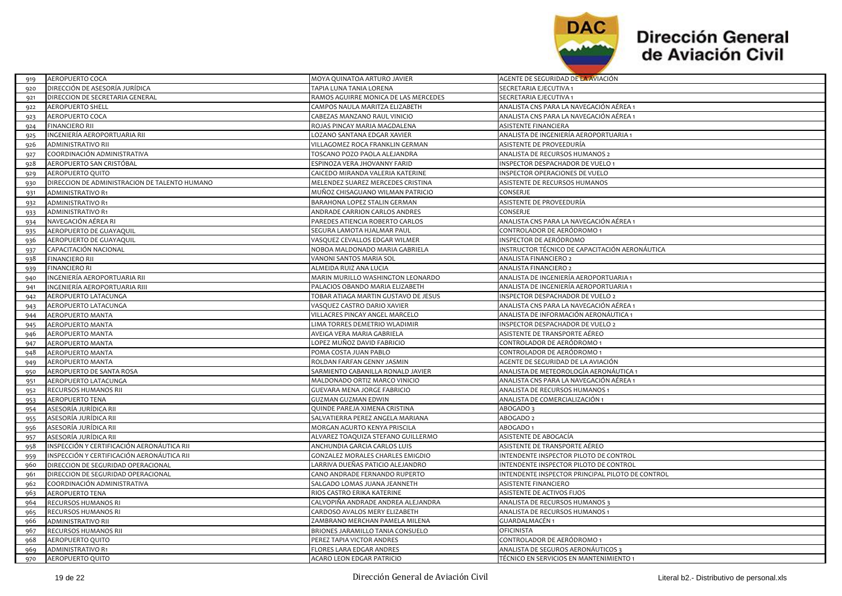

| 919 | <b>AEROPUERTO COCA</b>                        | MOYA QUINATOA ARTURO JAVIER          | AGENTE DE SEGURIDAD DE LA AVIACIÓN               |
|-----|-----------------------------------------------|--------------------------------------|--------------------------------------------------|
| 920 | DIRECCIÓN DE ASESORÍA JURÍDICA                | TAPIA LUNA TANIA LORENA              | SECRETARIA EJECUTIVA 1                           |
| 921 | DIRECCION DE SECRETARIA GENERAL               | RAMOS AGUIRRE MONICA DE LAS MERCEDES | SECRETARIA EJECUTIVA 1                           |
| 922 | <b>AEROPUERTO SHELL</b>                       | CAMPOS NAULA MARITZA ELIZABETH       | ANALISTA CNS PARA LA NAVEGACIÓN AÉREA 1          |
| 923 | <b>AEROPUERTO COCA</b>                        | CABEZAS MANZANO RAUL VINICIO         | ANALISTA CNS PARA LA NAVEGACIÓN AÉREA 1          |
| 924 | <b>FINANCIERO RII</b>                         | ROJAS PINCAY MARIA MAGDALENA         | <b>ASISTENTE FINANCIERA</b>                      |
| 925 | INGENIERÍA AEROPORTUARIA RII                  | OZANO SANTANA EDGAR XAVIER           | ANALISTA DE INGENIERÍA AEROPORTUARIA 1           |
| 926 | ADMINISTRATIVO RII                            | VILLAGOMEZ ROCA FRANKLIN GERMAN      | ASISTENTE DE PROVEEDURÍA                         |
| 927 | COORDINACIÓN ADMINISTRATIVA                   | TOSCANO POZO PAOLA ALEJANDRA         | ANALISTA DE RECURSOS HUMANOS 2                   |
| 928 | AEROPUERTO SAN CRISTÓBAL                      | ESPINOZA VERA JHOVANNY FARID         | INSPECTOR DESPACHADOR DE VUELO 1                 |
| 929 | <b>AEROPUERTO QUITO</b>                       | CAICEDO MIRANDA VALERIA KATERINE     | INSPECTOR OPERACIONES DE VUELO                   |
| 930 | DIRECCION DE ADMINISTRACION DE TALENTO HUMANO | MELENDEZ SUAREZ MERCEDES CRISTINA    | ASISTENTE DE RECURSOS HUMANOS                    |
| 931 | <b>ADMINISTRATIVO R1</b>                      | MUÑOZ CHISAGUANO WILMAN PATRICIO     | CONSERJE                                         |
| 932 | <b>ADMINISTRATIVO R1</b>                      | BARAHONA LOPEZ STALIN GERMAN         | ASISTENTE DE PROVEEDURÍA                         |
| 933 | <b>ADMINISTRATIVO R1</b>                      | ANDRADE CARRION CARLOS ANDRES        | CONSERJE                                         |
| 934 | NAVEGACIÓN AÉREA RI                           | PAREDES ATIENCIA ROBERTO CARLOS      | ANALISTA CNS PARA LA NAVEGACIÓN AÉREA 1          |
| 935 | AEROPUERTO DE GUAYAQUIL                       | SEGURA LAMOTA HJALMAR PAUI           | CONTROLADOR DE AERÓDROMO 1                       |
| 936 | AEROPUERTO DE GUAYAQUIL                       | VASQUEZ CEVALLOS EDGAR WILMER        | INSPECTOR DE AERÓDROMO                           |
| 937 | CAPACITACIÓN NACIONAL                         | NOBOA MALDONADO MARIA GABRIELA       | INSTRUCTOR TÉCNICO DE CAPACITACIÓN AERONÁUTICA   |
| 938 | <b>FINANCIERO RII</b>                         | VANONI SANTOS MARIA SOL              | ANALISTA FINANCIERO 2                            |
| 939 | <b>FINANCIERO RI</b>                          | ALMEIDA RUIZ ANA LUCIA               | ANALISTA FINANCIERO 2                            |
| 940 | INGENIERÍA AEROPORTUARIA RII                  | MARIN MURILLO WASHINGTON LEONARDO    | ANALISTA DE INGENIERÍA AEROPORTUARIA 1           |
| 941 | INGENIERÍA AEROPORTUARIA RIII                 | PALACIOS OBANDO MARIA ELIZABETH      | ANALISTA DE INGENIERÍA AEROPORTUARIA 1           |
| 942 | AEROPUERTO LATACUNGA                          | TOBAR ATIAGA MARTIN GUSTAVO DE JESUS | INSPECTOR DESPACHADOR DE VUELO 2                 |
| 943 | AEROPUERTO LATACUNGA                          | VASQUEZ CASTRO DARIO XAVIER          | ANALISTA CNS PARA LA NAVEGACIÓN AÉREA 1          |
| 944 | AEROPUERTO MANTA                              | VILLACRES PINCAY ANGEL MARCELO       | ANALISTA DE INFORMACIÓN AERONÁUTICA 1            |
| 945 | <b>AEROPUERTO MANTA</b>                       | LIMA TORRES DEMETRIO WLADIMIR        | INSPECTOR DESPACHADOR DE VUELO 2                 |
| 946 | <b>AEROPUERTO MANTA</b>                       | AVEIGA VERA MARIA GABRIELA           | ASISTENTE DE TRANSPORTE AÉREO                    |
| 947 | <b>AEROPUERTO MANTA</b>                       | LOPEZ MUÑOZ DAVID FABRICIO           | CONTROLADOR DE AERÓDROMO 1                       |
| 948 | <b>AEROPUERTO MANTA</b>                       | POMA COSTA JUAN PABLO                | CONTROLADOR DE AERÓDROMO 1                       |
| 949 | <b>AEROPUERTO MANTA</b>                       | ROLDAN FARFAN GENNY JASMIN           | AGENTE DE SEGURIDAD DE LA AVIACIÓN               |
| 950 | AEROPUERTO DE SANTA ROSA                      | SARMIENTO CABANILLA RONALD JAVIER    | ANALISTA DE METEOROLOGÍA AERONÁUTICA 1           |
| 951 | AEROPUERTO LATACUNGA                          | MALDONADO ORTIZ MARCO VINICIO        | ANALISTA CNS PARA LA NAVEGACIÓN AÉREA 1          |
| 952 | RECURSOS HUMANOS RII                          | GUEVARA MENA JORGE FABRICIO          | ANALISTA DE RECURSOS HUMANOS 1                   |
| 953 | <b>AEROPUERTO TENA</b>                        | <b>GUZMAN GUZMAN EDWIN</b>           | ANALISTA DE COMERCIALIZACIÓN 1                   |
| 954 | ASESORÍA JURÍDICA RII                         | QUINDE PAREJA XIMENA CRISTINA        | <b>ABOGADO3</b>                                  |
| 955 | ASESORÍA JURÍDICA RII                         | SALVATIERRA PEREZ ANGELA MARIANA     | ABOGADO 2                                        |
| 956 | ASESORÍA JURÍDICA RII                         | MORGAN AGURTO KENYA PRISCILA         | ABOGADO 1                                        |
| 957 | ASESORÍA JURÍDICA RII                         | ALVAREZ TOAQUIZA STEFANO GUILLERMO   | ASISTENTE DE ABOGACÍA                            |
| 958 | INSPECCIÓN Y CERTIFICACIÓN AERONÁUTICA RII    | ANCHUNDIA GARCIA CARLOS LUIS         | ASISTENTE DE TRANSPORTE AÉREO                    |
| 959 | INSPECCIÓN Y CERTIFICACIÓN AERONÁUTICA RII    | GONZALEZ MORALES CHARLES EMIGDIO     | INTENDENTE INSPECTOR PILOTO DE CONTROL           |
| 960 | DIRECCION DE SEGURIDAD OPERACIONAL            | LARRIVA DUEÑAS PATICIO ALEJANDRO     | INTENDENTE INSPECTOR PILOTO DE CONTROL           |
| 961 | DIRECCION DE SEGURIDAD OPERACIONAL            | CANO ANDRADE FERNANDO RUPERTO        | INTENDENTE INSPECTOR PRINCIPAL PILOTO DE CONTROL |
| 962 | COORDINACIÓN ADMINISTRATIVA                   | SALGADO LOMAS JUANA JEANNETH         | <b>ASISTENTE FINANCIERO</b>                      |
| 963 | <b>AEROPUERTO TENA</b>                        | RIOS CASTRO ERIKA KATERINE           | ASISTENTE DE ACTIVOS FIJOS                       |
| 964 | <b>RECURSOS HUMANOS RI</b>                    | CALVOPIÑA ANDRADE ANDREA ALEJANDRA   | ANALISTA DE RECURSOS HUMANOS 3                   |
| 965 | RECURSOS HUMANOS RI                           | CARDOSO AVALOS MERY ELIZABETH        | ANALISTA DE RECURSOS HUMANOS 1                   |
| 966 | <b>ADMINISTRATIVO RII</b>                     | ZAMBRANO MERCHAN PAMELA MILENA       | <b>GUARDALMACÉN1</b>                             |
| 967 | RECURSOS HUMANOS RII                          | BRIONES JARAMILLO TANIA CONSUELO     | <b>OFICINISTA</b>                                |
| 968 | AEROPUERTO QUITO                              | PEREZ TAPIA VICTOR ANDRES            | CONTROLADOR DE AERÓDROMO 1                       |
| 969 | <b>ADMINISTRATIVO R1</b>                      | FLORES LARA EDGAR ANDRES             | ANALISTA DE SEGUROS AERONÁUTICOS 3               |
| 970 | AEROPUERTO QUITO                              | ACARO LEON EDGAR PATRICIO            | TÉCNICO EN SERVICIOS EN MANTENIMIENTO 1          |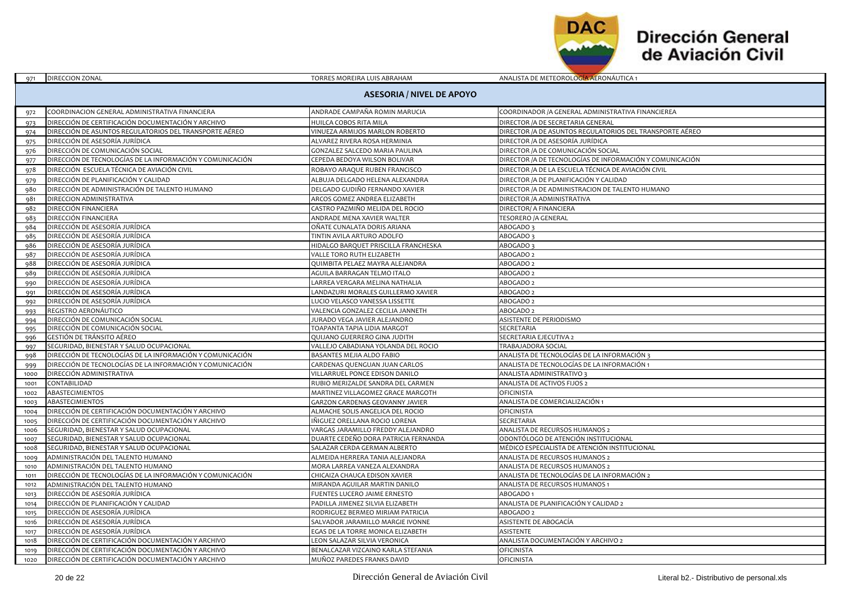

| 971          | DIRECCION ZONAL                                                  | TORRES MOREIRA LUIS ABRAHAM                                           | ANALISTA DE METEOROLOGIA AERONAUTICA 1                    |  |
|--------------|------------------------------------------------------------------|-----------------------------------------------------------------------|-----------------------------------------------------------|--|
|              | <b>ASESORIA / NIVEL DE APOYO</b>                                 |                                                                       |                                                           |  |
| 972          | COORDINACION GENERAL ADMINISTRATIVA FINANCIERA                   | ANDRADE CAMPAÑA ROMIN MARUCIA                                         | COORDINADOR / A GENERAL ADMINISTRATIVA FINANCIEREA        |  |
| 973          | DIRECCIÓN DE CERTIFICACIÓN DOCUMENTACIÓN Y ARCHIVO               | HUILCA COBOS RITA MILA                                                | DIRECTOR / A DE SECRETARIA GENERAL                        |  |
| 974          | DIRECCIÓN DE ASUNTOS REGULATORIOS DEL TRANSPORTE AÉREO           | VINUEZA ARMIJOS MARLON ROBERTO                                        | DIRECTOR /A DE ASUNTOS REGULATORIOS DEL TRANSPORTE AÉREO  |  |
| 975          | DIRECCIÓN DE ASESORÍA JURÍDICA                                   | ALVAREZ RIVERA ROSA HERMINIA                                          | DIRECTOR / A DE ASESORÍA JURÍDICA                         |  |
| 976          | DIRECCIÓN DE COMUNICACIÓN SOCIAL                                 | GONZALEZ SALCEDO MARIA PAULINA                                        | DIRECTOR / A DE COMUNICACIÓN SOCIAL                       |  |
| 977          | DIRECCIÓN DE TECNOLOGÍAS DE LA INFORMACIÓN Y COMUNICACIÓN        | CEPEDA BEDOYA WILSON BOLIVAR                                          | DIRECTOR / A DE TECNOLOGÍAS DE INFORMACIÓN Y COMUNICACIÓN |  |
| 978          | DIRECCIÓN ESCUELA TÉCNICA DE AVIACIÓN CIVIL                      | ROBAYO ARAQUE RUBEN FRANCISCO                                         | DIRECTOR / A DE LA ESCUELA TÉCNICA DE AVIACIÓN CIVIL      |  |
| 979          | DIRECCIÓN DE PLANIFICACIÓN Y CALIDAD                             | ALBUJA DELGADO HELENA ALEXANDRA                                       | DIRECTOR / A DE PLANIFICACIÓN Y CALIDAD                   |  |
| 980          | DIRECCIÓN DE ADMINISTRACIÓN DE TALENTO HUMANO                    | DELGADO GUDIÑO FERNANDO XAVIER                                        | DIRECTOR / A DE ADMINISTRACION DE TALENTO HUMANO          |  |
| 981          | DIRECCION ADMINISTRATIVA                                         | ARCOS GOMEZ ANDREA ELIZABETH                                          | DIRECTOR / A ADMINISTRATIVA                               |  |
| 982          | DIRECCIÓN FINANCIERA                                             | CASTRO PAZMIÑO MELIDA DEL ROCIO                                       | DIRECTOR/ A FINANCIERA                                    |  |
| 983          | DIRECCIÓN FINANCIERA                                             | ANDRADE MENA XAVIER WALTER                                            | <b>TESORERO /A GENERAL</b>                                |  |
| 984          | DIRECCIÓN DE ASESORÍA JURÍDICA                                   | OÑATE CUNALATA DORIS ARIANA                                           | ABOGADO 3                                                 |  |
| 985          | DIRECCIÓN DE ASESORÍA JURÍDICA                                   | TINTIN AVILA ARTURO ADOLFO                                            | ABOGADO 3                                                 |  |
| 986          | DIRECCIÓN DE ASESORÍA JURÍDICA                                   | HIDALGO BARQUET PRISCILLA FRANCHESKA                                  | <b>ABOGADO</b> 3                                          |  |
| 987          | DIRECCIÓN DE ASESORÍA JURÍDICA                                   | VALLE TORO RUTH ELIZABETH                                             | ABOGADO 2                                                 |  |
| 988          | DIRECCIÓN DE ASESORÍA JURÍDICA                                   | QUIMBITA PELAEZ MAYRA ALEJANDRA                                       | ABOGADO <sub>2</sub>                                      |  |
| 989          | DIRECCIÓN DE ASESORÍA JURÍDICA                                   | AGUILA BARRAGAN TELMO ITALO                                           | ABOGADO 2                                                 |  |
| 990          | DIRECCIÓN DE ASESORÍA JURÍDICA                                   | LARREA VERGARA MELINA NATHALIA                                        | ABOGADO <sub>2</sub>                                      |  |
| 991          | DIRECCIÓN DE ASESORÍA JURÍDICA                                   | LANDAZURI MORALES GUILLERMO XAVIER                                    | ABOGADO 2                                                 |  |
| 992          | DIRECCIÓN DE ASESORÍA JURÍDICA                                   | LUCIO VELASCO VANESSA LISSETTE                                        | ABOGADO 2                                                 |  |
| 993          | REGISTRO AERONÁUTICO                                             | VALENCIA GONZALEZ CECILIA JANNETH                                     | ABOGADO 2                                                 |  |
| 994          | DIRECCIÓN DE COMUNICACIÓN SOCIAL                                 | JURADO VEGA JAVIER ALEJANDRO                                          | ASISTENTE DE PERIODISMO                                   |  |
| 995          | DIRECCIÓN DE COMUNICACIÓN SOCIAL                                 | TOAPANTA TAPIA LIDIA MARGOT                                           | SECRETARIA                                                |  |
| 996          | GESTIÓN DE TRÁNSITO AÉREO                                        | QUIJANO GUERRERO GINA JUDITH                                          | SECRETARIA EJECUTIVA 2                                    |  |
| 997          | SEGURIDAD, BIENESTAR Y SALUD OCUPACIONAL                         | VALLEJO CABADIANA YOLANDA DEL ROCIO                                   | TRABAJADORA SOCIAL                                        |  |
| 998          | DIRECCIÓN DE TECNOLOGÍAS DE LA INFORMACIÓN Y COMUNICACIÓN        | BASANTES MEJIA ALDO FABIO                                             | ANALISTA DE TECNOLOGÍAS DE LA INFORMACIÓN 3               |  |
| 999          | DIRECCIÓN DE TECNOLOGÍAS DE LA INFORMACIÓN Y COMUNICACIÓN        | CARDENAS QUENGUAN JUAN CARLOS                                         | ANALISTA DE TECNOLOGÍAS DE LA INFORMACIÓN 1               |  |
| 1000         | DIRECCIÓN ADMINISTRATIVA                                         | VILLARRUEL PONCE EDISON DANILO                                        | ANALISTA ADMINISTRATIVO 3                                 |  |
| 1001         | CONTABILIDAD                                                     | RUBIO MERIZALDE SANDRA DEL CARMEN                                     | ANALISTA DE ACTIVOS FIJOS 2                               |  |
| 1002         | ABASTECIMIENTOS                                                  | MARTINEZ VILLAGOMEZ GRACE MARGOTH                                     | <b>OFICINISTA</b>                                         |  |
| 1003         | <b>ABASTECIMIENTOS</b>                                           | GARZON CARDENAS GEOVANNY JAVIER                                       | ANALISTA DE COMERCIALIZACIÓN 1                            |  |
| 1004         | DIRECCIÓN DE CERTIFICACIÓN DOCUMENTACIÓN Y ARCHIVO               | ALMACHE SOLIS ANGELICA DEL ROCIO                                      | <b>OFICINISTA</b>                                         |  |
| 1005         | DIRECCIÓN DE CERTIFICACIÓN DOCUMENTACIÓN Y ARCHIVO               | IÑIGUEZ ORELLANA ROCIO LORENA                                         | SECRETARIA                                                |  |
| 1006         | SEGURIDAD, BIENESTAR Y SALUD OCUPACIONAL                         | VARGAS JARAMILLO FREDDY ALEJANDRO                                     | ANALISTA DE RECURSOS HUMANOS 2                            |  |
| 1007         | SEGURIDAD, BIENESTAR Y SALUD OCUPACIONAL                         | DUARTE CEDEÑO DORA PATRICIA FERNANDA                                  | ODONTÓLOGO DE ATENCIÓN INSTITUCIONAL                      |  |
| 1008         | SEGURIDAD, BIENESTAR Y SALUD OCUPACIONAL                         | SALAZAR CERDA GERMAN ALBERTO                                          | MÉDICO ESPECIALISTA DE ATENCIÓN INSTITUCIONAL             |  |
| 1009         | ADMINISTRACIÓN DEL TALENTO HUMANO                                | ALMEIDA HERRERA TANIA ALEJANDRA                                       | ANALISTA DE RECURSOS HUMANOS 2                            |  |
| 1010         | ADMINISTRACIÓN DEL TALENTO HUMANO                                | MORA LARREA VANEZA ALEXANDRA                                          | ANALISTA DE RECURSOS HUMANOS 2                            |  |
| 1011         | DIRECCIÓN DE TECNOLOGÍAS DE LA INFORMACIÓN Y COMUNICACIÓN        | CHICAIZA CHAUCA EDISON XAVIER                                         | ANALISTA DE TECNOLOGÍAS DE LA INFORMACIÓN 2               |  |
| 1012         | ADMINISTRACIÓN DEL TALENTO HUMANO                                | MIRANDA AGUILAR MARTIN DANILO                                         | ANALISTA DE RECURSOS HUMANOS 1                            |  |
| 1013         | DIRECCIÓN DE ASESORÍA JURÍDICA                                   | FUENTES LUCERO JAIME ERNESTO                                          | ABOGADO 1                                                 |  |
| 1014         | DIRECCIÓN DE PLANIFICACIÓN Y CALIDAD                             | PADILLA JIMENEZ SILVIA ELIZABETH                                      | ANALISTA DE PLANIFICACIÓN Y CALIDAD 2                     |  |
| 1015         | DIRECCIÓN DE ASESORÍA JURÍDICA                                   | RODRIGUEZ BERMEO MIRIAM PATRICIA                                      | ABOGADO 2                                                 |  |
| 1016         | DIRECCIÓN DE ASESORÍA JURÍDICA<br>DIRECCIÓN DE ASESORÍA JURÍDICA | SALVADOR JARAMILLO MARGIE IVONNE<br>EGAS DE LA TORRE MONICA ELIZABETH | ASISTENTE DE ABOGACÍA<br><b>ASISTENTE</b>                 |  |
| 1017<br>1018 | DIRECCIÓN DE CERTIFICACIÓN DOCUMENTACIÓN Y ARCHIVO               | LEON SALAZAR SILVIA VERONICA                                          | ANALISTA DOCUMENTACIÓN Y ARCHIVO 2                        |  |
| 1019         | DIRECCIÓN DE CERTIFICACIÓN DOCUMENTACIÓN Y ARCHIVO               | BENALCAZAR VIZCAINO KARLA STEFANIA                                    | <b>OFICINISTA</b>                                         |  |
| 1020         | DIRECCIÓN DE CERTIFICACIÓN DOCUMENTACIÓN Y ARCHIVO               | MUÑOZ PAREDES FRANKS DAVID                                            | <b>OFICINISTA</b>                                         |  |
|              |                                                                  |                                                                       |                                                           |  |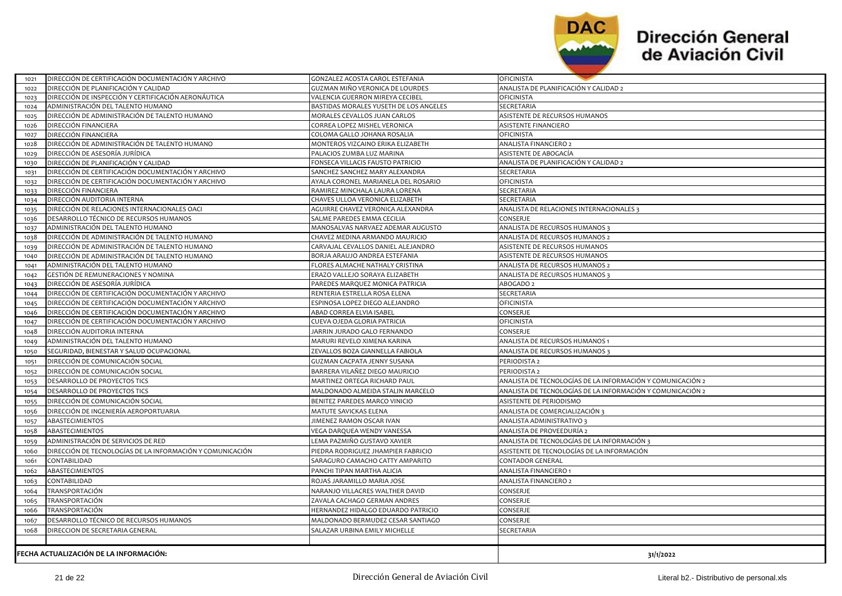

| 1021                                   | DIRECCIÓN DE CERTIFICACIÓN DOCUMENTACIÓN Y ARCHIVO        | GONZALEZ ACOSTA CAROL ESTEFANIA        | <b>OFICINISTA</b>                                          |
|----------------------------------------|-----------------------------------------------------------|----------------------------------------|------------------------------------------------------------|
| 1022                                   | DIRECCIÓN DE PLANIFICACIÓN Y CALIDAD                      | GUZMAN MIÑO VERONICA DE LOURDES        | ANALISTA DE PLANIFICACIÓN Y CALIDAD 2                      |
| 1023                                   | DIRECCIÓN DE INSPECCIÓN Y CERTIFICACIÓN AERONÁUTICA       | VALENCIA GUERRON MIREYA CECIBEL        | OFICINISTA                                                 |
| 1024                                   | ADMINISTRACIÓN DEL TALENTO HUMANO                         | BASTIDAS MORALES YUSETH DE LOS ANGELES | SECRETARIA                                                 |
| 1025                                   | DIRECCIÓN DE ADMINISTRACIÓN DE TALENTO HUMANO             | MORALES CEVALLOS JUAN CARLOS           | ASISTENTE DE RECURSOS HUMANOS                              |
| 1026                                   | DIRECCIÓN FINANCIERA                                      | CORREA LOPEZ MISHEL VERONICA           | ASISTENTE FINANCIERO                                       |
| 1027                                   | DIRECCIÓN FINANCIERA                                      | COLOMA GALLO JOHANA ROSALIA            | <b>OFICINISTA</b>                                          |
| 1028                                   | DIRECCIÓN DE ADMINISTRACIÓN DE TALENTO HUMANO             | MONTEROS VIZCAINO ERIKA ELIZABETH      | ANALISTA FINANCIERO 2                                      |
| 1029                                   | DIRECCIÓN DE ASESORÍA JURÍDICA                            | PALACIOS ZUMBA LUZ MARINA              | ASISTENTE DE ABOGACÍA                                      |
| 1030                                   | DIRECCIÓN DE PLANIFICACIÓN Y CALIDAD                      | FONSECA VILLACIS FAUSTO PATRICIO       | ANALISTA DE PLANIFICACIÓN Y CALIDAD 2                      |
| 1031                                   | DIRECCIÓN DE CERTIFICACIÓN DOCUMENTACIÓN Y ARCHIVO        | SANCHEZ SANCHEZ MARY ALEXANDRA         | SECRETARIA                                                 |
| 1032                                   | DIRECCIÓN DE CERTIFICACIÓN DOCUMENTACIÓN Y ARCHIVO        | AYALA CORONEL MARIANELA DEL ROSARIO    | OFICINISTA                                                 |
| 1033                                   | DIRECCIÓN FINANCIERA                                      | RAMIREZ MINCHALA LAURA LORENA          | SECRETARIA                                                 |
| 1034                                   | DIRECCIÓN AUDITORIA INTERNA                               | CHAVES ULLOA VERONICA ELIZABETH        | SECRETARIA                                                 |
| 1035                                   | DIRECCIÓN DE RELACIONES INTERNACIONALES OACI              | AGUIRRE CHAVEZ VERONICA ALEXANDRA      | ANALISTA DE RELACIONES INTERNACIONALES 3                   |
| 1036                                   | DESARROLLO TÉCNICO DE RECURSOS HUMANOS                    | SALME PAREDES EMMA CECILIA             | CONSERJE                                                   |
| 1037                                   | ADMINISTRACIÓN DEL TALENTO HUMANO                         | MANOSALVAS NARVAEZ ADEMAR AUGUSTO      | ANALISTA DE RECURSOS HUMANOS 3                             |
| 1038                                   | DIRECCIÓN DE ADMINISTRACIÓN DE TALENTO HUMANO             | CHAVEZ MEDINA ARMANDO MAURICIO         | ANALISTA DE RECURSOS HUMANOS 2                             |
| 1039                                   | DIRECCIÓN DE ADMINISTRACIÓN DE TALENTO HUMANO             | CARVAJAL CEVALLOS DANIEL ALEJANDRO     | ASISTENTE DE RECURSOS HUMANOS                              |
| 1040                                   | DIRECCIÓN DE ADMINISTRACIÓN DE TALENTO HUMANO             | BORJA ARAUJO ANDREA ESTEFANIA          | ASISTENTE DE RECURSOS HUMANOS                              |
| 1041                                   | ADMINISTRACIÓN DEL TALENTO HUMANO                         | FLORES ALMACHE NATHALY CRISTINA        | ANALISTA DE RECURSOS HUMANOS 2                             |
| 1042                                   | GESTIÓN DE REMUNERACIONES Y NOMINA                        | ERAZO VALLEJO SORAYA ELIZABETH         | ANALISTA DE RECURSOS HUMANOS 3                             |
| 1043                                   | DIRECCIÓN DE ASESORÍA JURÍDICA                            | PAREDES MARQUEZ MONICA PATRICIA        | ABOGADO 2                                                  |
| 1044                                   | DIRECCIÓN DE CERTIFICACIÓN DOCUMENTACIÓN Y ARCHIVO        | RENTERIA ESTRELLA ROSA ELENA           | SECRETARIA                                                 |
| 1045                                   | DIRECCIÓN DE CERTIFICACIÓN DOCUMENTACIÓN Y ARCHIVO        | ESPINOSA LOPEZ DIEGO ALEJANDRO         | OFICINISTA                                                 |
| 1046                                   | DIRECCIÓN DE CERTIFICACIÓN DOCUMENTACIÓN Y ARCHIVO        | ABAD CORREA ELVIA ISABEL               | CONSERJE                                                   |
| 1047                                   | DIRECCIÓN DE CERTIFICACIÓN DOCUMENTACIÓN Y ARCHIVO        | CUEVA OJEDA GLORIA PATRICIA            | OFICINISTA                                                 |
| 1048                                   | DIRECCIÓN AUDITORIA INTERNA                               | JARRIN JURADO GALO FERNANDO            | CONSERJE                                                   |
| 1049                                   | ADMINISTRACIÓN DEL TALENTO HUMANO                         | MARURI REVELO XIMENA KARINA            | ANALISTA DE RECURSOS HUMANOS 1                             |
| 1050                                   | SEGURIDAD, BIENESTAR Y SALUD OCUPACIONAL                  | ZEVALLOS BOZA GIANNELLA FABIOLA        | ANALISTA DE RECURSOS HUMANOS 3                             |
| 1051                                   | DIRECCIÓN DE COMUNICACIÓN SOCIAL                          | <b>GUZMAN CACPATA JENNY SUSANA</b>     | PERIODISTA <sub>2</sub>                                    |
| 1052                                   | DIRECCIÓN DE COMUNICACIÓN SOCIAL                          | BARRERA VILAÑEZ DIEGO MAURICIO         | PERIODISTA 2                                               |
| 1053                                   | DESARROLLO DE PROYECTOS TICS                              | MARTINEZ ORTEGA RICHARD PAUL           | ANALISTA DE TECNOLOGÍAS DE LA INFORMACIÓN Y COMUNICACIÓN 2 |
| 1054                                   | DESARROLLO DE PROYECTOS TICS                              | MALDONADO ALMEIDA STALIN MARCELO       | ANALISTA DE TECNOLOGÍAS DE LA INFORMACIÓN Y COMUNICACIÓN 2 |
| 1055                                   | DIRECCIÓN DE COMUNICACIÓN SOCIAL                          | BENITEZ PAREDES MARCO VINICIO          | ASISTENTE DE PERIODISMO                                    |
| 1056                                   | DIRECCIÓN DE INGENIERÍA AEROPORTUARIA                     | MATUTE SAVICKAS ELENA                  | ANALISTA DE COMERCIALIZACIÓN 3                             |
| 1057                                   | ABASTECIMIENTOS                                           | JIMENEZ RAMON OSCAR IVAN               | ANALISTA ADMINISTRATIVO 3                                  |
| 1058                                   | ABASTECIMIENTOS                                           | VEGA DARQUEA WENDY VANESSA             | ANALISTA DE PROVEEDURÍA 2                                  |
| 1059                                   | ADMINISTRACIÓN DE SERVICIOS DE RED                        | LEMA PAZMIÑO GUSTAVO XAVIER            | ANALISTA DE TECNOLOGÍAS DE LA INFORMACIÓN 3                |
| 1060                                   | DIRECCIÓN DE TECNOLOGÍAS DE LA INFORMACIÓN Y COMUNICACIÓN | PIEDRA RODRIGUEZ JHAMPIER FABRICIO     | ASISTENTE DE TECNOLOGÍAS DE LA INFORMACIÓN                 |
| 1061                                   | CONTABILIDAD                                              | SARAGURO CAMACHO CATTY AMPARITO        | CONTADOR GENERAL                                           |
| 1062                                   | ABASTECIMIENTOS                                           | PANCHI TIPAN MARTHA ALICIA             | ANALISTA FINANCIERO 1                                      |
|                                        | CONTABILIDAD                                              | ROJAS JARAMILLO MARIA JOSE             | ANALISTA FINANCIERO 2                                      |
| 1063                                   |                                                           |                                        |                                                            |
| 1064                                   | TRANSPORTACIÓN                                            | NARANJO VILLACRES WALTHER DAVID        | CONSERJE                                                   |
| 1065                                   | TRANSPORTACIÓN                                            | ZAVALA CACHAGO GERMAN ANDRES           | CONSERJE                                                   |
| 1066                                   | TRANSPORTACIÓN                                            | HERNANDEZ HIDALGO EDUARDO PATRICIO     | CONSERJE                                                   |
| 1067                                   | DESARROLLO TÉCNICO DE RECURSOS HUMANOS                    | MALDONADO BERMUDEZ CESAR SANTIAGO      | CONSERJE                                                   |
| 1068                                   | DIRECCION DE SECRETARIA GENERAL                           | SALAZAR URBINA EMILY MICHELLE          | SECRETARIA                                                 |
|                                        |                                                           |                                        |                                                            |
| FECHA ACTUALIZACIÓN DE LA INFORMACIÓN: |                                                           |                                        | 31/1/2022                                                  |